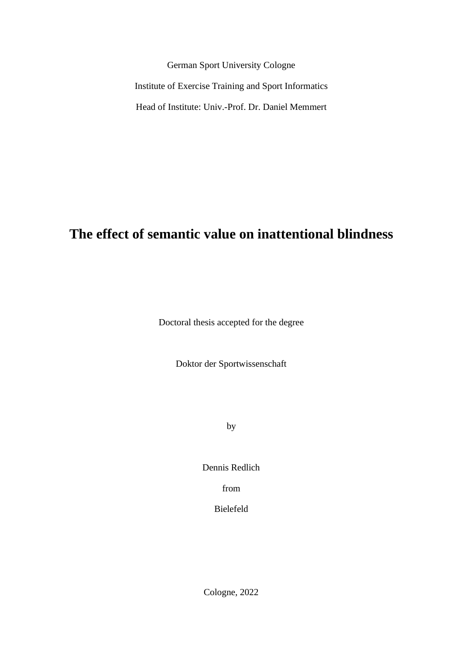German Sport University Cologne Institute of Exercise Training and Sport Informatics Head of Institute: Univ.-Prof. Dr. Daniel Memmert

# **The effect of semantic value on inattentional blindness**

Doctoral thesis accepted for the degree

Doktor der Sportwissenschaft

by

Dennis Redlich

from

Bielefeld

Cologne, 2022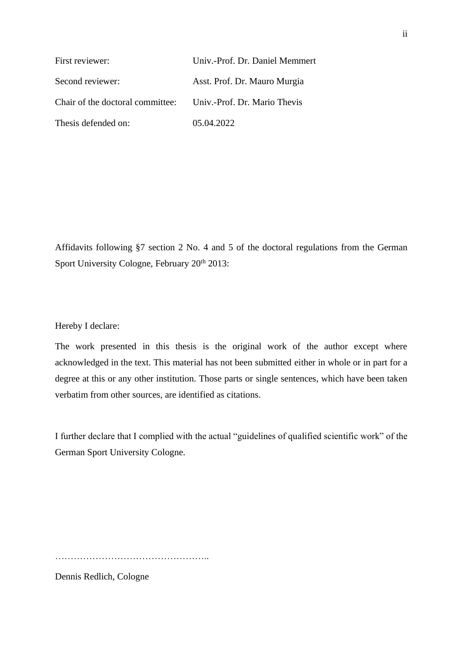| First reviewer:                                               | Univ.-Prof. Dr. Daniel Memmert |  |
|---------------------------------------------------------------|--------------------------------|--|
| Second reviewer:                                              | Asst. Prof. Dr. Mauro Murgia   |  |
| Chair of the doctoral committee: Univ.-Prof. Dr. Mario Thevis |                                |  |
| Thesis defended on:                                           | 05.04.2022                     |  |

Affidavits following §7 section 2 No. 4 and 5 of the doctoral regulations from the German Sport University Cologne, February 20<sup>th</sup> 2013:

Hereby I declare:

The work presented in this thesis is the original work of the author except where acknowledged in the text. This material has not been submitted either in whole or in part for a degree at this or any other institution. Those parts or single sentences, which have been taken verbatim from other sources, are identified as citations.

I further declare that I complied with the actual "guidelines of qualified scientific work" of the German Sport University Cologne.

…………………………………………..

Dennis Redlich, Cologne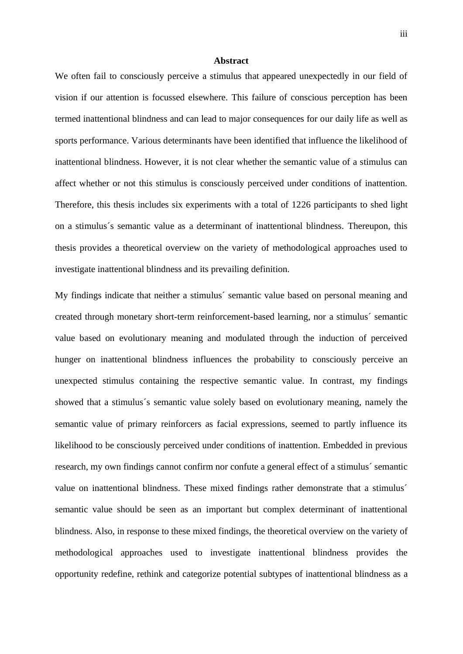#### **Abstract**

We often fail to consciously perceive a stimulus that appeared unexpectedly in our field of vision if our attention is focussed elsewhere. This failure of conscious perception has been termed inattentional blindness and can lead to major consequences for our daily life as well as sports performance. Various determinants have been identified that influence the likelihood of inattentional blindness. However, it is not clear whether the semantic value of a stimulus can affect whether or not this stimulus is consciously perceived under conditions of inattention. Therefore, this thesis includes six experiments with a total of 1226 participants to shed light on a stimulus´s semantic value as a determinant of inattentional blindness. Thereupon, this thesis provides a theoretical overview on the variety of methodological approaches used to investigate inattentional blindness and its prevailing definition.

My findings indicate that neither a stimulus´ semantic value based on personal meaning and created through monetary short-term reinforcement-based learning, nor a stimulus´ semantic value based on evolutionary meaning and modulated through the induction of perceived hunger on inattentional blindness influences the probability to consciously perceive an unexpected stimulus containing the respective semantic value. In contrast, my findings showed that a stimulus´s semantic value solely based on evolutionary meaning, namely the semantic value of primary reinforcers as facial expressions, seemed to partly influence its likelihood to be consciously perceived under conditions of inattention. Embedded in previous research, my own findings cannot confirm nor confute a general effect of a stimulus´ semantic value on inattentional blindness. These mixed findings rather demonstrate that a stimulus´ semantic value should be seen as an important but complex determinant of inattentional blindness. Also, in response to these mixed findings, the theoretical overview on the variety of methodological approaches used to investigate inattentional blindness provides the opportunity redefine, rethink and categorize potential subtypes of inattentional blindness as a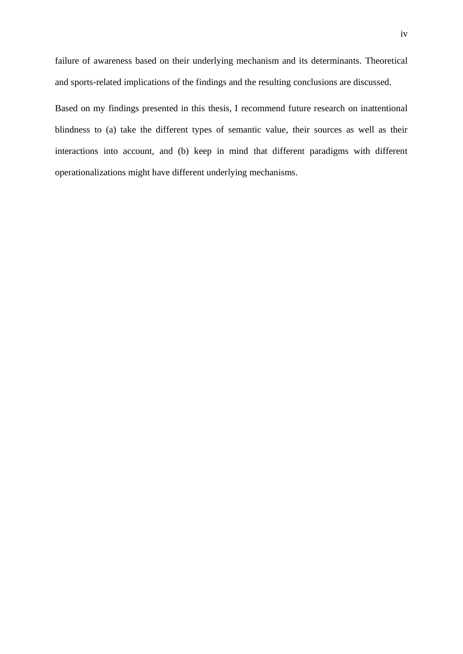failure of awareness based on their underlying mechanism and its determinants. Theoretical and sports-related implications of the findings and the resulting conclusions are discussed.

Based on my findings presented in this thesis, I recommend future research on inattentional blindness to (a) take the different types of semantic value, their sources as well as their interactions into account, and (b) keep in mind that different paradigms with different operationalizations might have different underlying mechanisms.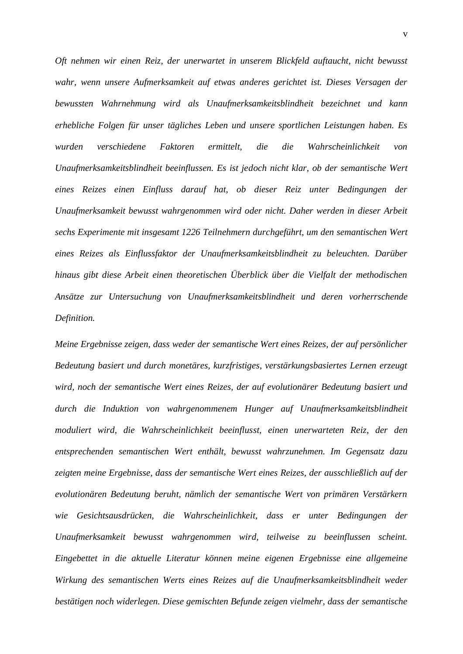*Oft nehmen wir einen Reiz, der unerwartet in unserem Blickfeld auftaucht, nicht bewusst wahr, wenn unsere Aufmerksamkeit auf etwas anderes gerichtet ist. Dieses Versagen der bewussten Wahrnehmung wird als Unaufmerksamkeitsblindheit bezeichnet und kann erhebliche Folgen für unser tägliches Leben und unsere sportlichen Leistungen haben. Es wurden verschiedene Faktoren ermittelt, die die Wahrscheinlichkeit von Unaufmerksamkeitsblindheit beeinflussen. Es ist jedoch nicht klar, ob der semantische Wert eines Reizes einen Einfluss darauf hat, ob dieser Reiz unter Bedingungen der Unaufmerksamkeit bewusst wahrgenommen wird oder nicht. Daher werden in dieser Arbeit sechs Experimente mit insgesamt 1226 Teilnehmern durchgeführt, um den semantischen Wert eines Reizes als Einflussfaktor der Unaufmerksamkeitsblindheit zu beleuchten. Darüber hinaus gibt diese Arbeit einen theoretischen Überblick über die Vielfalt der methodischen Ansätze zur Untersuchung von Unaufmerksamkeitsblindheit und deren vorherrschende Definition.*

*Meine Ergebnisse zeigen, dass weder der semantische Wert eines Reizes, der auf persönlicher Bedeutung basiert und durch monetäres, kurzfristiges, verstärkungsbasiertes Lernen erzeugt wird, noch der semantische Wert eines Reizes, der auf evolutionärer Bedeutung basiert und durch die Induktion von wahrgenommenem Hunger auf Unaufmerksamkeitsblindheit moduliert wird, die Wahrscheinlichkeit beeinflusst, einen unerwarteten Reiz, der den entsprechenden semantischen Wert enthält, bewusst wahrzunehmen. Im Gegensatz dazu zeigten meine Ergebnisse, dass der semantische Wert eines Reizes, der ausschließlich auf der evolutionären Bedeutung beruht, nämlich der semantische Wert von primären Verstärkern wie Gesichtsausdrücken, die Wahrscheinlichkeit, dass er unter Bedingungen der Unaufmerksamkeit bewusst wahrgenommen wird, teilweise zu beeinflussen scheint. Eingebettet in die aktuelle Literatur können meine eigenen Ergebnisse eine allgemeine Wirkung des semantischen Werts eines Reizes auf die Unaufmerksamkeitsblindheit weder bestätigen noch widerlegen. Diese gemischten Befunde zeigen vielmehr, dass der semantische*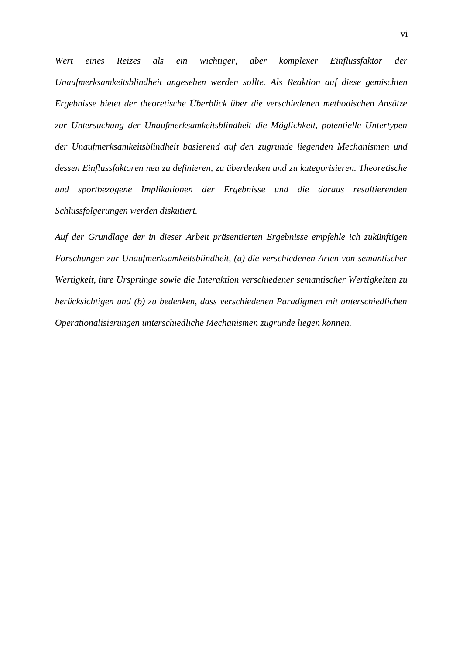*Wert eines Reizes als ein wichtiger, aber komplexer Einflussfaktor der Unaufmerksamkeitsblindheit angesehen werden sollte. Als Reaktion auf diese gemischten Ergebnisse bietet der theoretische Überblick über die verschiedenen methodischen Ansätze zur Untersuchung der Unaufmerksamkeitsblindheit die Möglichkeit, potentielle Untertypen der Unaufmerksamkeitsblindheit basierend auf den zugrunde liegenden Mechanismen und dessen Einflussfaktoren neu zu definieren, zu überdenken und zu kategorisieren. Theoretische und sportbezogene Implikationen der Ergebnisse und die daraus resultierenden Schlussfolgerungen werden diskutiert.*

*Auf der Grundlage der in dieser Arbeit präsentierten Ergebnisse empfehle ich zukünftigen Forschungen zur Unaufmerksamkeitsblindheit, (a) die verschiedenen Arten von semantischer Wertigkeit, ihre Ursprünge sowie die Interaktion verschiedener semantischer Wertigkeiten zu berücksichtigen und (b) zu bedenken, dass verschiedenen Paradigmen mit unterschiedlichen Operationalisierungen unterschiedliche Mechanismen zugrunde liegen können.*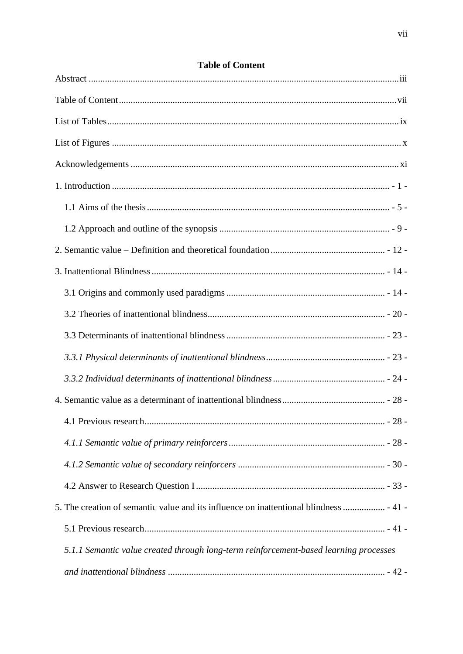| 5. The creation of semantic value and its influence on inattentional blindness  - 41 - |  |
|----------------------------------------------------------------------------------------|--|
|                                                                                        |  |
| 5.1.1 Semantic value created through long-term reinforcement-based learning processes  |  |
|                                                                                        |  |

# **Table of Content**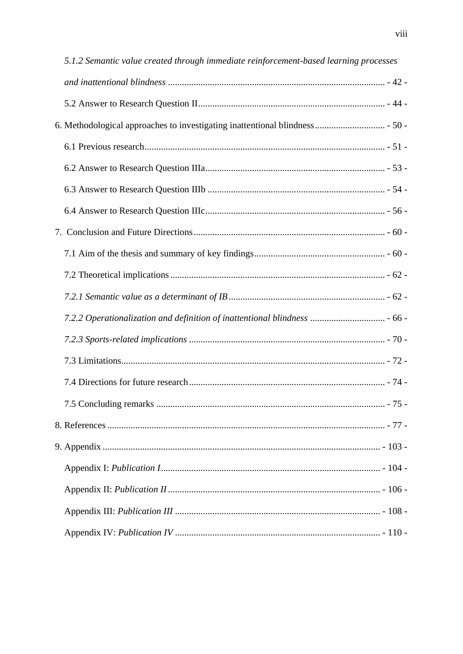| 5.1.2 Semantic value created through immediate reinforcement-based learning processes |        |
|---------------------------------------------------------------------------------------|--------|
|                                                                                       |        |
|                                                                                       |        |
|                                                                                       |        |
|                                                                                       |        |
|                                                                                       |        |
|                                                                                       |        |
|                                                                                       |        |
|                                                                                       |        |
|                                                                                       |        |
|                                                                                       |        |
|                                                                                       |        |
|                                                                                       |        |
|                                                                                       |        |
|                                                                                       |        |
|                                                                                       |        |
|                                                                                       | - 75 - |
|                                                                                       |        |
|                                                                                       |        |
|                                                                                       |        |
|                                                                                       |        |
|                                                                                       |        |
|                                                                                       |        |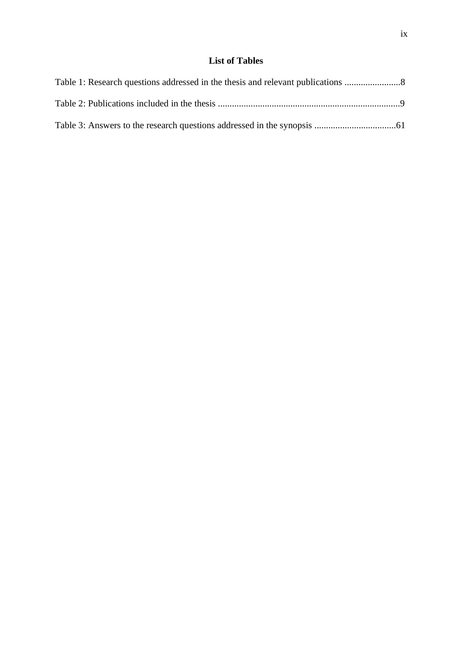# **List of Tables**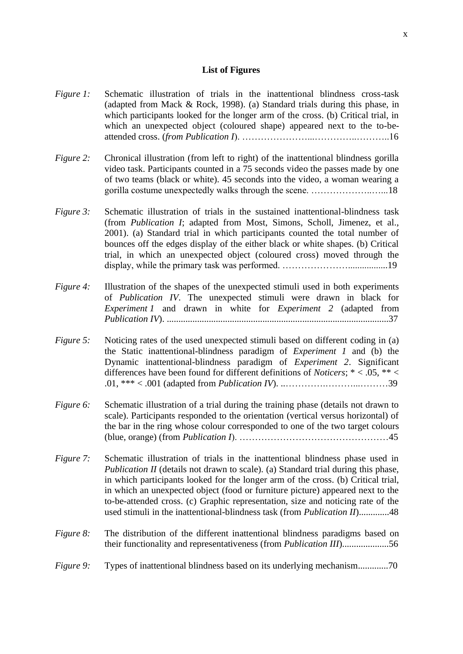## **List of Figures**

- *Figure 1:* Schematic illustration of trials in the inattentional blindness cross-task (adapted from Mack & Rock, 1998). (a) Standard trials during this phase, in which participants looked for the longer arm of the cross. (b) Critical trial, in which an unexpected object (coloured shape) appeared next to the to-beattended cross. (*from Publication I*). …………………...…………..………..16
- *Figure 2:* Chronical illustration (from left to right) of the inattentional blindness gorilla video task. Participants counted in a 75 seconds video the passes made by one of two teams (black or white). 45 seconds into the video, a woman wearing a gorilla costume unexpectedly walks through the scene. ………………..…...18
- *Figure 3:* Schematic illustration of trials in the sustained inattentional-blindness task (from *Publication I*; adapted from Most, Simons, Scholl, Jimenez, et al., 2001). (a) Standard trial in which participants counted the total number of bounces off the edges display of the either black or white shapes. (b) Critical trial, in which an unexpected object (coloured cross) moved through the display, while the primary task was performed. ………………….................19
- *Figure 4:* Illustration of the shapes of the unexpected stimuli used in both experiments of *Publication IV*. The unexpected stimuli were drawn in black for *Experiment 1* and drawn in white for *Experiment 2* (adapted from *Publication IV*). ...............................................................................................37
- *Figure 5:* Noticing rates of the used unexpected stimuli based on different coding in (a) the Static inattentional-blindness paradigm of *Experiment 1* and (b) the Dynamic inattentional-blindness paradigm of *Experiment 2*. Significant differences have been found for different definitions of *Noticers*; \* < .05, \*\* < .01, \*\*\* < .001 (adapted from *Publication IV*). ..………….………...………39
- *Figure 6:* Schematic illustration of a trial during the training phase (details not drawn to scale). Participants responded to the orientation (vertical versus horizontal) of the bar in the ring whose colour corresponded to one of the two target colours (blue, orange) (from *Publication I*). …………………………………………45
- *Figure 7:* Schematic illustration of trials in the inattentional blindness phase used in *Publication II* (details not drawn to scale). (a) Standard trial during this phase, in which participants looked for the longer arm of the cross. (b) Critical trial, in which an unexpected object (food or furniture picture) appeared next to the to-be-attended cross. (c) Graphic representation, size and noticing rate of the used stimuli in the inattentional-blindness task (from *Publication II*).............48
- *Figure 8:* The distribution of the different inattentional blindness paradigms based on their functionality and representativeness (from *Publication III*)....................56
- *Figure 9:* Types of inattentional blindness based on its underlying mechanism.............70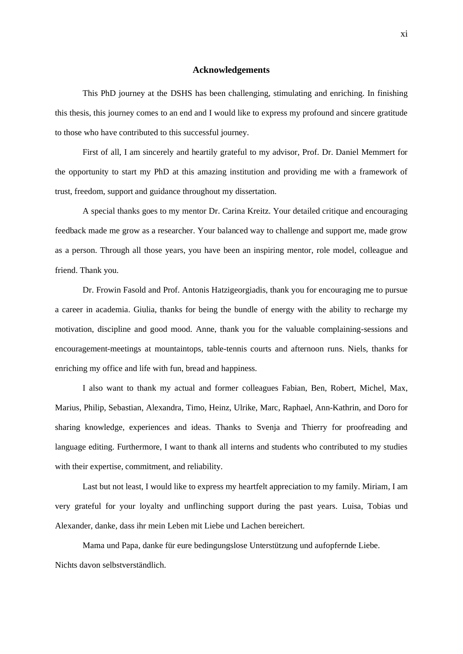#### **Acknowledgements**

This PhD journey at the DSHS has been challenging, stimulating and enriching. In finishing this thesis, this journey comes to an end and I would like to express my profound and sincere gratitude to those who have contributed to this successful journey.

First of all, I am sincerely and heartily grateful to my advisor, Prof. Dr. Daniel Memmert for the opportunity to start my PhD at this amazing institution and providing me with a framework of trust, freedom, support and guidance throughout my dissertation.

A special thanks goes to my mentor Dr. Carina Kreitz. Your detailed critique and encouraging feedback made me grow as a researcher. Your balanced way to challenge and support me, made grow as a person. Through all those years, you have been an inspiring mentor, role model, colleague and friend. Thank you.

Dr. Frowin Fasold and Prof. Antonis Hatzigeorgiadis, thank you for encouraging me to pursue a career in academia. Giulia, thanks for being the bundle of energy with the ability to recharge my motivation, discipline and good mood. Anne, thank you for the valuable complaining-sessions and encouragement-meetings at mountaintops, table-tennis courts and afternoon runs. Niels, thanks for enriching my office and life with fun, bread and happiness.

I also want to thank my actual and former colleagues Fabian, Ben, Robert, Michel, Max, Marius, Philip, Sebastian, Alexandra, Timo, Heinz, Ulrike, Marc, Raphael, Ann-Kathrin, and Doro for sharing knowledge, experiences and ideas. Thanks to Svenja and Thierry for proofreading and language editing. Furthermore, I want to thank all interns and students who contributed to my studies with their expertise, commitment, and reliability.

Last but not least, I would like to express my heartfelt appreciation to my family. Miriam, I am very grateful for your loyalty and unflinching support during the past years. Luisa, Tobias und Alexander, danke, dass ihr mein Leben mit Liebe und Lachen bereichert.

Mama und Papa, danke für eure bedingungslose Unterstützung und aufopfernde Liebe. Nichts davon selbstverständlich.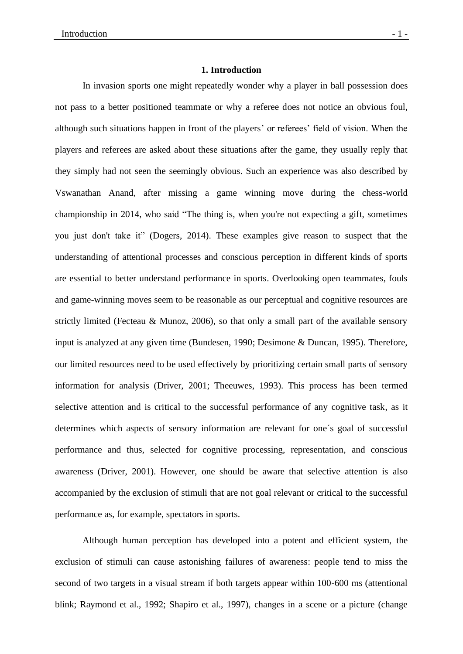# **1. Introduction**

In invasion sports one might repeatedly wonder why a player in ball possession does not pass to a better positioned teammate or why a referee does not notice an obvious foul, although such situations happen in front of the players' or referees' field of vision. When the players and referees are asked about these situations after the game, they usually reply that they simply had not seen the seemingly obvious. Such an experience was also described by Vswanathan Anand, after missing a game winning move during the chess-world championship in 2014, who said "The thing is, when you're not expecting a gift, sometimes you just don't take it" (Dogers, 2014). These examples give reason to suspect that the understanding of attentional processes and conscious perception in different kinds of sports are essential to better understand performance in sports. Overlooking open teammates, fouls and game-winning moves seem to be reasonable as our perceptual and cognitive resources are strictly limited (Fecteau & Munoz, 2006), so that only a small part of the available sensory input is analyzed at any given time (Bundesen, 1990; Desimone & Duncan, 1995). Therefore, our limited resources need to be used effectively by prioritizing certain small parts of sensory information for analysis (Driver, 2001; Theeuwes, 1993). This process has been termed selective attention and is critical to the successful performance of any cognitive task, as it determines which aspects of sensory information are relevant for one´s goal of successful performance and thus, selected for cognitive processing, representation, and conscious awareness (Driver, 2001). However, one should be aware that selective attention is also accompanied by the exclusion of stimuli that are not goal relevant or critical to the successful performance as, for example, spectators in sports.

Although human perception has developed into a potent and efficient system, the exclusion of stimuli can cause astonishing failures of awareness: people tend to miss the second of two targets in a visual stream if both targets appear within 100-600 ms (attentional blink; Raymond et al., 1992; Shapiro et al., 1997), changes in a scene or a picture (change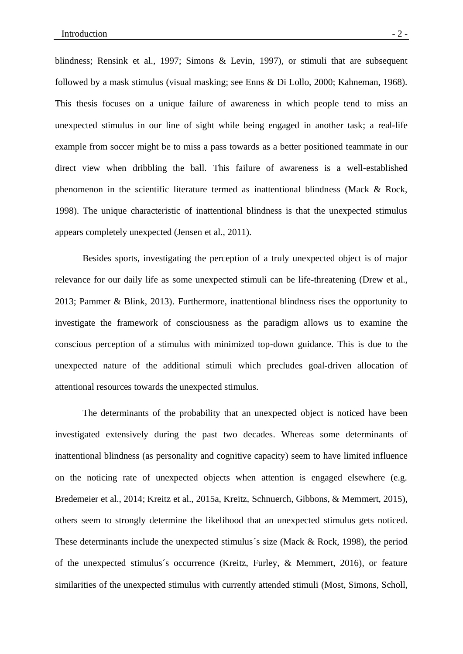blindness; Rensink et al., 1997; Simons & Levin, 1997), or stimuli that are subsequent followed by a mask stimulus (visual masking; see Enns & Di Lollo, 2000; Kahneman, 1968). This thesis focuses on a unique failure of awareness in which people tend to miss an unexpected stimulus in our line of sight while being engaged in another task; a real-life example from soccer might be to miss a pass towards as a better positioned teammate in our direct view when dribbling the ball. This failure of awareness is a well-established phenomenon in the scientific literature termed as inattentional blindness (Mack & Rock, 1998). The unique characteristic of inattentional blindness is that the unexpected stimulus appears completely unexpected (Jensen et al., 2011).

Besides sports, investigating the perception of a truly unexpected object is of major relevance for our daily life as some unexpected stimuli can be life-threatening (Drew et al., 2013; Pammer & Blink, 2013). Furthermore, inattentional blindness rises the opportunity to investigate the framework of consciousness as the paradigm allows us to examine the conscious perception of a stimulus with minimized top-down guidance. This is due to the unexpected nature of the additional stimuli which precludes goal-driven allocation of attentional resources towards the unexpected stimulus.

The determinants of the probability that an unexpected object is noticed have been investigated extensively during the past two decades. Whereas some determinants of inattentional blindness (as personality and cognitive capacity) seem to have limited influence on the noticing rate of unexpected objects when attention is engaged elsewhere (e.g. Bredemeier et al., 2014; Kreitz et al., 2015a, Kreitz, Schnuerch, Gibbons, & Memmert, 2015), others seem to strongly determine the likelihood that an unexpected stimulus gets noticed. These determinants include the unexpected stimulus´s size (Mack & Rock, 1998), the period of the unexpected stimulus´s occurrence (Kreitz, Furley, & Memmert, 2016), or feature similarities of the unexpected stimulus with currently attended stimuli (Most, Simons, Scholl,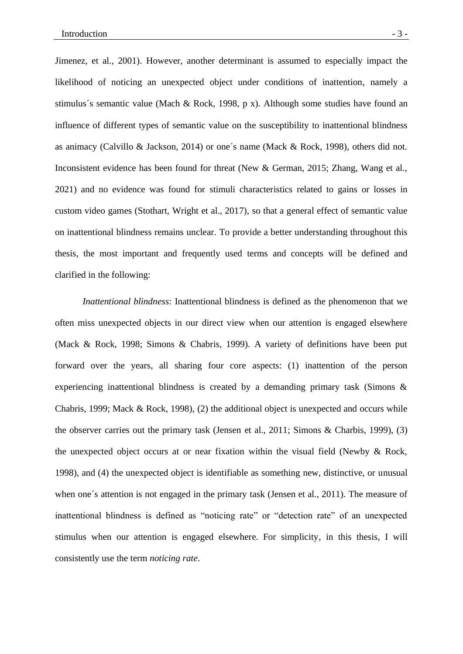Jimenez, et al., 2001). However, another determinant is assumed to especially impact the likelihood of noticing an unexpected object under conditions of inattention, namely a stimulus´s semantic value (Mach & Rock, 1998, p x). Although some studies have found an influence of different types of semantic value on the susceptibility to inattentional blindness as animacy (Calvillo & Jackson, 2014) or one´s name (Mack & Rock, 1998), others did not. Inconsistent evidence has been found for threat (New & German, 2015; Zhang, Wang et al., 2021) and no evidence was found for stimuli characteristics related to gains or losses in custom video games (Stothart, Wright et al., 2017), so that a general effect of semantic value on inattentional blindness remains unclear. To provide a better understanding throughout this thesis, the most important and frequently used terms and concepts will be defined and clarified in the following:

*Inattentional blindness*: Inattentional blindness is defined as the phenomenon that we often miss unexpected objects in our direct view when our attention is engaged elsewhere (Mack & Rock, 1998; Simons & Chabris, 1999). A variety of definitions have been put forward over the years, all sharing four core aspects: (1) inattention of the person experiencing inattentional blindness is created by a demanding primary task (Simons & Chabris, 1999; Mack & Rock, 1998), (2) the additional object is unexpected and occurs while the observer carries out the primary task (Jensen et al., 2011; Simons & Charbis, 1999), (3) the unexpected object occurs at or near fixation within the visual field (Newby & Rock, 1998), and (4) the unexpected object is identifiable as something new, distinctive, or unusual when one's attention is not engaged in the primary task (Jensen et al., 2011). The measure of inattentional blindness is defined as "noticing rate" or "detection rate" of an unexpected stimulus when our attention is engaged elsewhere. For simplicity, in this thesis, I will consistently use the term *noticing rate*.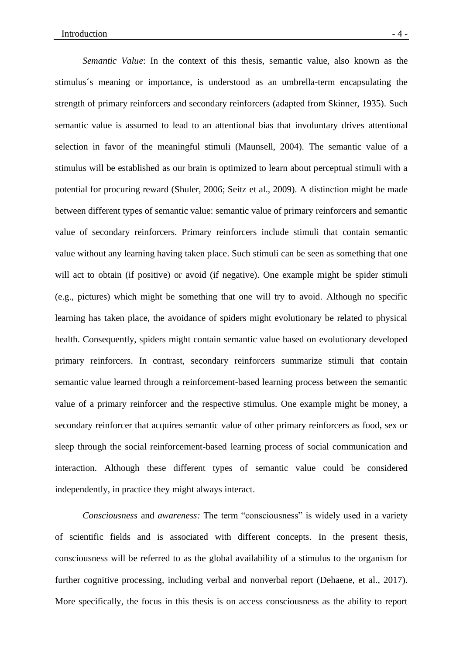*Semantic Value*: In the context of this thesis, semantic value, also known as the stimulus´s meaning or importance, is understood as an umbrella-term encapsulating the strength of primary reinforcers and secondary reinforcers (adapted from Skinner, 1935). Such semantic value is assumed to lead to an attentional bias that involuntary drives attentional selection in favor of the meaningful stimuli (Maunsell, 2004). The semantic value of a stimulus will be established as our brain is optimized to learn about perceptual stimuli with a potential for procuring reward (Shuler, 2006; Seitz et al., 2009). A distinction might be made between different types of semantic value: semantic value of primary reinforcers and semantic value of secondary reinforcers. Primary reinforcers include stimuli that contain semantic value without any learning having taken place. Such stimuli can be seen as something that one will act to obtain (if positive) or avoid (if negative). One example might be spider stimuli (e.g., pictures) which might be something that one will try to avoid. Although no specific learning has taken place, the avoidance of spiders might evolutionary be related to physical health. Consequently, spiders might contain semantic value based on evolutionary developed primary reinforcers. In contrast, secondary reinforcers summarize stimuli that contain semantic value learned through a reinforcement-based learning process between the semantic value of a primary reinforcer and the respective stimulus. One example might be money, a secondary reinforcer that acquires semantic value of other primary reinforcers as food, sex or sleep through the social reinforcement-based learning process of social communication and interaction. Although these different types of semantic value could be considered independently, in practice they might always interact.

*Consciousness* and *awareness:* The term "consciousness" is widely used in a variety of scientific fields and is associated with different concepts. In the present thesis, consciousness will be referred to as the global availability of a stimulus to the organism for further cognitive processing, including verbal and nonverbal report (Dehaene, et al., 2017). More specifically, the focus in this thesis is on access consciousness as the ability to report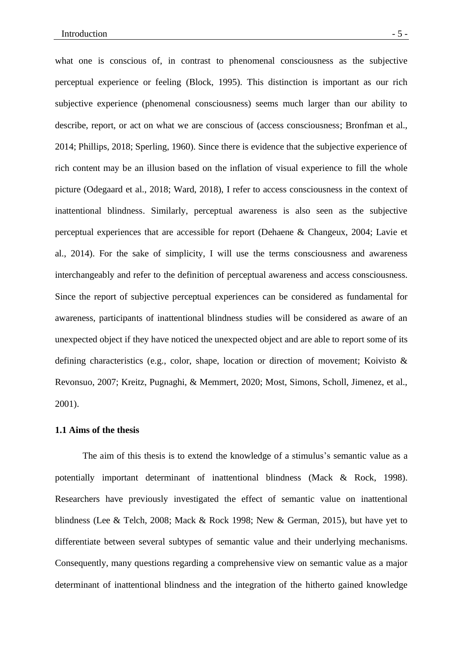what one is conscious of, in contrast to phenomenal consciousness as the subjective perceptual experience or feeling (Block, 1995). This distinction is important as our rich subjective experience (phenomenal consciousness) seems much larger than our ability to describe, report, or act on what we are conscious of (access consciousness; Bronfman et al., 2014; Phillips, 2018; Sperling, 1960). Since there is evidence that the subjective experience of rich content may be an illusion based on the inflation of visual experience to fill the whole picture (Odegaard et al., 2018; Ward, 2018), I refer to access consciousness in the context of inattentional blindness. Similarly, perceptual awareness is also seen as the subjective perceptual experiences that are accessible for report (Dehaene & Changeux, 2004; Lavie et al., 2014). For the sake of simplicity, I will use the terms consciousness and awareness interchangeably and refer to the definition of perceptual awareness and access consciousness. Since the report of subjective perceptual experiences can be considered as fundamental for awareness, participants of inattentional blindness studies will be considered as aware of an unexpected object if they have noticed the unexpected object and are able to report some of its defining characteristics (e.g., color, shape, location or direction of movement; Koivisto & Revonsuo, 2007; Kreitz, Pugnaghi, & Memmert, 2020; Most, Simons, Scholl, Jimenez, et al., 2001).

#### **1.1 Aims of the thesis**

The aim of this thesis is to extend the knowledge of a stimulus's semantic value as a potentially important determinant of inattentional blindness (Mack & Rock, 1998). Researchers have previously investigated the effect of semantic value on inattentional blindness (Lee & Telch, 2008; Mack & Rock 1998; New & German, 2015), but have yet to differentiate between several subtypes of semantic value and their underlying mechanisms. Consequently, many questions regarding a comprehensive view on semantic value as a major determinant of inattentional blindness and the integration of the hitherto gained knowledge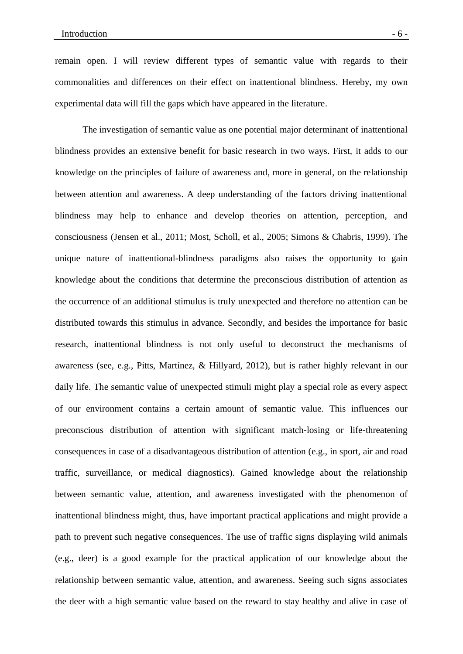remain open. I will review different types of semantic value with regards to their commonalities and differences on their effect on inattentional blindness. Hereby, my own experimental data will fill the gaps which have appeared in the literature.

The investigation of semantic value as one potential major determinant of inattentional blindness provides an extensive benefit for basic research in two ways. First, it adds to our knowledge on the principles of failure of awareness and, more in general, on the relationship between attention and awareness. A deep understanding of the factors driving inattentional blindness may help to enhance and develop theories on attention, perception, and consciousness (Jensen et al., 2011; Most, Scholl, et al., 2005; Simons & Chabris, 1999). The unique nature of inattentional-blindness paradigms also raises the opportunity to gain knowledge about the conditions that determine the preconscious distribution of attention as the occurrence of an additional stimulus is truly unexpected and therefore no attention can be distributed towards this stimulus in advance. Secondly, and besides the importance for basic research, inattentional blindness is not only useful to deconstruct the mechanisms of awareness (see, e.g., Pitts, Martínez, & Hillyard, 2012), but is rather highly relevant in our daily life. The semantic value of unexpected stimuli might play a special role as every aspect of our environment contains a certain amount of semantic value. This influences our preconscious distribution of attention with significant match-losing or life-threatening consequences in case of a disadvantageous distribution of attention (e.g., in sport, air and road traffic, surveillance, or medical diagnostics). Gained knowledge about the relationship between semantic value, attention, and awareness investigated with the phenomenon of inattentional blindness might, thus, have important practical applications and might provide a path to prevent such negative consequences. The use of traffic signs displaying wild animals (e.g., deer) is a good example for the practical application of our knowledge about the relationship between semantic value, attention, and awareness. Seeing such signs associates the deer with a high semantic value based on the reward to stay healthy and alive in case of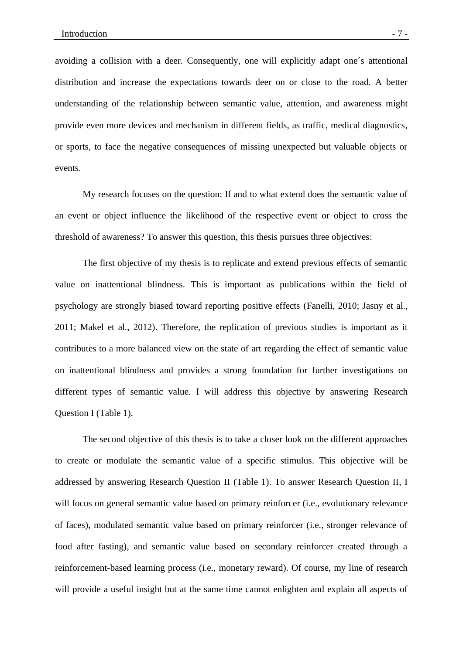avoiding a collision with a deer. Consequently, one will explicitly adapt one´s attentional distribution and increase the expectations towards deer on or close to the road. A better understanding of the relationship between semantic value, attention, and awareness might provide even more devices and mechanism in different fields, as traffic, medical diagnostics, or sports, to face the negative consequences of missing unexpected but valuable objects or events.

My research focuses on the question: If and to what extend does the semantic value of an event or object influence the likelihood of the respective event or object to cross the threshold of awareness? To answer this question, this thesis pursues three objectives:

The first objective of my thesis is to replicate and extend previous effects of semantic value on inattentional blindness. This is important as publications within the field of psychology are strongly biased toward reporting positive effects (Fanelli, 2010; Jasny et al., 2011; Makel et al., 2012). Therefore, the replication of previous studies is important as it contributes to a more balanced view on the state of art regarding the effect of semantic value on inattentional blindness and provides a strong foundation for further investigations on different types of semantic value. I will address this objective by answering Research Question I (Table 1).

The second objective of this thesis is to take a closer look on the different approaches to create or modulate the semantic value of a specific stimulus. This objective will be addressed by answering Research Question II (Table 1). To answer Research Question II, I will focus on general semantic value based on primary reinforcer (i.e., evolutionary relevance of faces), modulated semantic value based on primary reinforcer (i.e., stronger relevance of food after fasting), and semantic value based on secondary reinforcer created through a reinforcement-based learning process (i.e., monetary reward). Of course, my line of research will provide a useful insight but at the same time cannot enlighten and explain all aspects of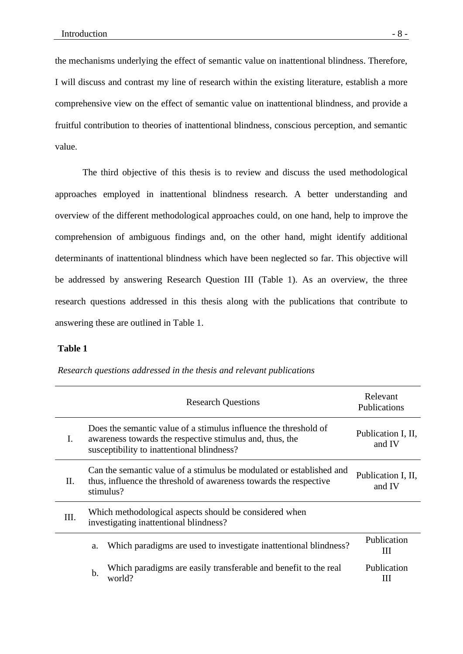the mechanisms underlying the effect of semantic value on inattentional blindness. Therefore, I will discuss and contrast my line of research within the existing literature, establish a more comprehensive view on the effect of semantic value on inattentional blindness, and provide a fruitful contribution to theories of inattentional blindness, conscious perception, and semantic value.

The third objective of this thesis is to review and discuss the used methodological approaches employed in inattentional blindness research. A better understanding and overview of the different methodological approaches could, on one hand, help to improve the comprehension of ambiguous findings and, on the other hand, might identify additional determinants of inattentional blindness which have been neglected so far. This objective will be addressed by answering Research Question III (Table 1). As an overview, the three research questions addressed in this thesis along with the publications that contribute to answering these are outlined in Table 1.

#### **Table 1**

|                                                                                                                                                              | <b>Research Questions</b>                                                                                                                                                  | Relevant<br><b>Publications</b> |
|--------------------------------------------------------------------------------------------------------------------------------------------------------------|----------------------------------------------------------------------------------------------------------------------------------------------------------------------------|---------------------------------|
| $\mathbf{I}$ .                                                                                                                                               | Does the semantic value of a stimulus influence the threshold of<br>awareness towards the respective stimulus and, thus, the<br>susceptibility to inattentional blindness? | Publication I, II,<br>and IV    |
| Can the semantic value of a stimulus be modulated or established and<br>П.<br>thus, influence the threshold of awareness towards the respective<br>stimulus? |                                                                                                                                                                            | Publication I, II,<br>and IV    |
| III.                                                                                                                                                         | Which methodological aspects should be considered when<br>investigating inattentional blindness?                                                                           |                                 |
|                                                                                                                                                              | Which paradigms are used to investigate inattentional blindness?<br>a.                                                                                                     | Publication<br>Ш                |
|                                                                                                                                                              | Which paradigms are easily transferable and benefit to the real<br>b.<br>world?                                                                                            | Publication<br>Ш                |

*Research questions addressed in the thesis and relevant publications*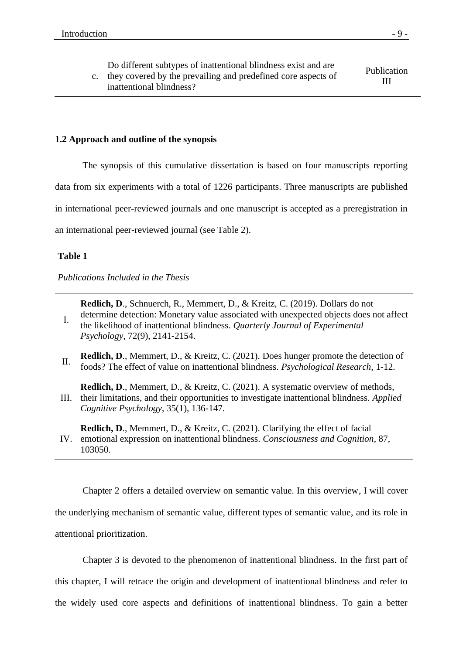c. they covered by the prevailing and predefined core aspects of inattentional blindness? Publication III

# **1.2 Approach and outline of the synopsis**

The synopsis of this cumulative dissertation is based on four manuscripts reporting data from six experiments with a total of 1226 participants. Three manuscripts are published in international peer-reviewed journals and one manuscript is accepted as a preregistration in an international peer-reviewed journal (see Table 2).

# **Table 1**

*Publications Included in the Thesis*

**Redlich, D**., Schnuerch, R., Memmert, D., & Kreitz, C. (2019). Dollars do not

- I. determine detection: Monetary value associated with unexpected objects does not affect the likelihood of inattentional blindness. *Quarterly Journal of Experimental Psychology*, 72(9), 2141-2154.
- II. **Redlich, D**., Memmert, D., & Kreitz, C. (2021). Does hunger promote the detection of foods? The effect of value on inattentional blindness. *Psychological Research*, 1-12.
- III. their limitations, and their opportunities to investigate inattentional blindness. *Applied*  **Redlich, D**., Memmert, D., & Kreitz, C. (2021). A systematic overview of methods, *Cognitive Psychology*, 35(1), 136-147.

IV. emotional expression on inattentional blindness. *Consciousness and Cognition*, 87, **Redlich, D**., Memmert, D., & Kreitz, C. (2021). Clarifying the effect of facial 103050.

Chapter 2 offers a detailed overview on semantic value. In this overview, I will cover the underlying mechanism of semantic value, different types of semantic value, and its role in attentional prioritization.

Chapter 3 is devoted to the phenomenon of inattentional blindness. In the first part of this chapter, I will retrace the origin and development of inattentional blindness and refer to the widely used core aspects and definitions of inattentional blindness. To gain a better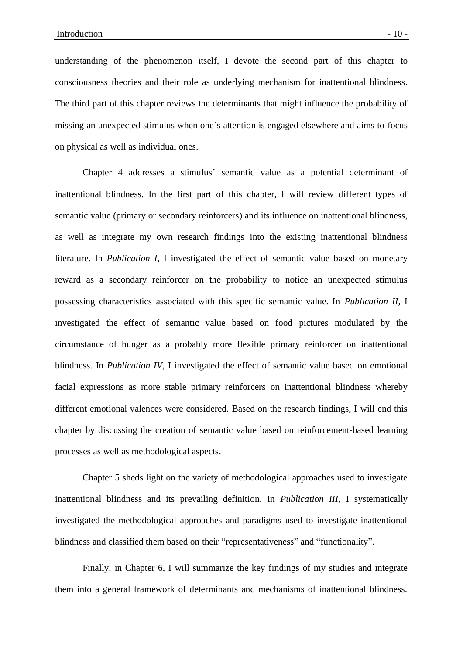understanding of the phenomenon itself, I devote the second part of this chapter to consciousness theories and their role as underlying mechanism for inattentional blindness. The third part of this chapter reviews the determinants that might influence the probability of missing an unexpected stimulus when one´s attention is engaged elsewhere and aims to focus on physical as well as individual ones.

Chapter 4 addresses a stimulus' semantic value as a potential determinant of inattentional blindness. In the first part of this chapter, I will review different types of semantic value (primary or secondary reinforcers) and its influence on inattentional blindness, as well as integrate my own research findings into the existing inattentional blindness literature. In *Publication I,* I investigated the effect of semantic value based on monetary reward as a secondary reinforcer on the probability to notice an unexpected stimulus possessing characteristics associated with this specific semantic value. In *Publication II,* I investigated the effect of semantic value based on food pictures modulated by the circumstance of hunger as a probably more flexible primary reinforcer on inattentional blindness. In *Publication IV*, I investigated the effect of semantic value based on emotional facial expressions as more stable primary reinforcers on inattentional blindness whereby different emotional valences were considered. Based on the research findings, I will end this chapter by discussing the creation of semantic value based on reinforcement-based learning processes as well as methodological aspects.

Chapter 5 sheds light on the variety of methodological approaches used to investigate inattentional blindness and its prevailing definition. In *Publication III*, I systematically investigated the methodological approaches and paradigms used to investigate inattentional blindness and classified them based on their "representativeness" and "functionality".

Finally, in Chapter 6, I will summarize the key findings of my studies and integrate them into a general framework of determinants and mechanisms of inattentional blindness.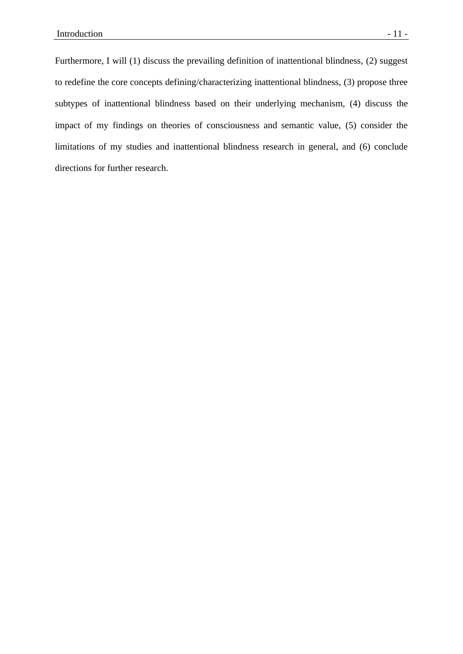Furthermore, I will (1) discuss the prevailing definition of inattentional blindness, (2) suggest to redefine the core concepts defining/characterizing inattentional blindness, (3) propose three subtypes of inattentional blindness based on their underlying mechanism, (4) discuss the impact of my findings on theories of consciousness and semantic value, (5) consider the limitations of my studies and inattentional blindness research in general, and (6) conclude directions for further research.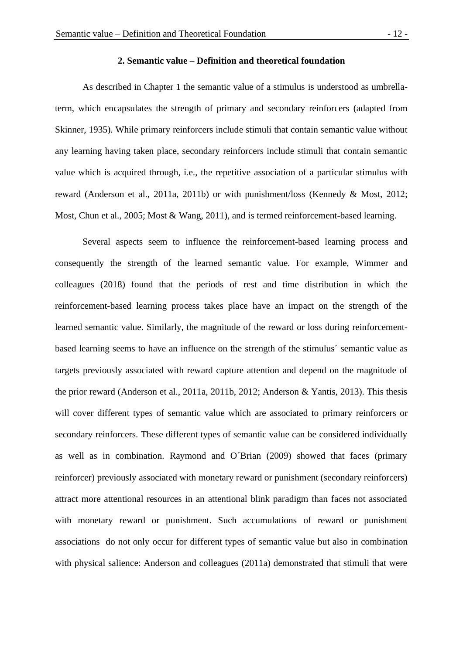# **2. Semantic value – Definition and theoretical foundation**

As described in Chapter 1 the semantic value of a stimulus is understood as umbrellaterm, which encapsulates the strength of primary and secondary reinforcers (adapted from Skinner, 1935). While primary reinforcers include stimuli that contain semantic value without any learning having taken place, secondary reinforcers include stimuli that contain semantic value which is acquired through, i.e., the repetitive association of a particular stimulus with reward (Anderson et al., 2011a, 2011b) or with punishment/loss (Kennedy & Most, 2012; Most, Chun et al., 2005; Most & Wang, 2011), and is termed reinforcement-based learning.

Several aspects seem to influence the reinforcement-based learning process and consequently the strength of the learned semantic value. For example, Wimmer and colleagues (2018) found that the periods of rest and time distribution in which the reinforcement-based learning process takes place have an impact on the strength of the learned semantic value. Similarly, the magnitude of the reward or loss during reinforcementbased learning seems to have an influence on the strength of the stimulus´ semantic value as targets previously associated with reward capture attention and depend on the magnitude of the prior reward (Anderson et al., 2011a, 2011b, 2012; Anderson & Yantis, 2013). This thesis will cover different types of semantic value which are associated to primary reinforcers or secondary reinforcers. These different types of semantic value can be considered individually as well as in combination. Raymond and O´Brian (2009) showed that faces (primary reinforcer) previously associated with monetary reward or punishment (secondary reinforcers) attract more attentional resources in an attentional blink paradigm than faces not associated with monetary reward or punishment. Such accumulations of reward or punishment associations do not only occur for different types of semantic value but also in combination with physical salience: Anderson and colleagues (2011a) demonstrated that stimuli that were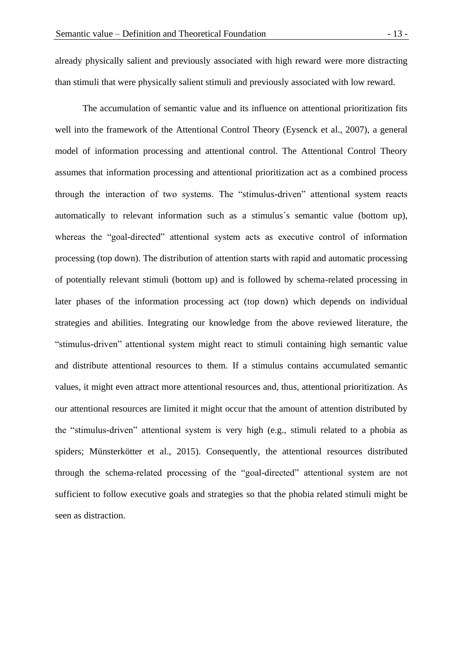already physically salient and previously associated with high reward were more distracting than stimuli that were physically salient stimuli and previously associated with low reward.

The accumulation of semantic value and its influence on attentional prioritization fits well into the framework of the Attentional Control Theory (Eysenck et al., 2007), a general model of information processing and attentional control. The Attentional Control Theory assumes that information processing and attentional prioritization act as a combined process through the interaction of two systems. The "stimulus-driven" attentional system reacts automatically to relevant information such as a stimulus´s semantic value (bottom up), whereas the "goal-directed" attentional system acts as executive control of information processing (top down). The distribution of attention starts with rapid and automatic processing of potentially relevant stimuli (bottom up) and is followed by schema-related processing in later phases of the information processing act (top down) which depends on individual strategies and abilities. Integrating our knowledge from the above reviewed literature, the "stimulus-driven" attentional system might react to stimuli containing high semantic value and distribute attentional resources to them. If a stimulus contains accumulated semantic values, it might even attract more attentional resources and, thus, attentional prioritization. As our attentional resources are limited it might occur that the amount of attention distributed by the "stimulus-driven" attentional system is very high (e.g., stimuli related to a phobia as spiders; Münsterkötter et al., 2015). Consequently, the attentional resources distributed through the schema-related processing of the "goal-directed" attentional system are not sufficient to follow executive goals and strategies so that the phobia related stimuli might be seen as distraction.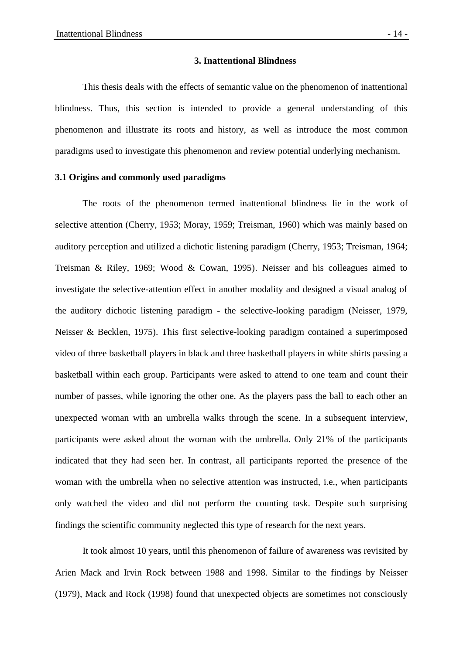#### **3. Inattentional Blindness**

This thesis deals with the effects of semantic value on the phenomenon of inattentional blindness. Thus, this section is intended to provide a general understanding of this phenomenon and illustrate its roots and history, as well as introduce the most common paradigms used to investigate this phenomenon and review potential underlying mechanism.

# **3.1 Origins and commonly used paradigms**

The roots of the phenomenon termed inattentional blindness lie in the work of selective attention (Cherry, 1953; Moray, 1959; Treisman, 1960) which was mainly based on auditory perception and utilized a dichotic listening paradigm (Cherry, 1953; Treisman, 1964; Treisman & Riley, 1969; Wood & Cowan, 1995). Neisser and his colleagues aimed to investigate the selective-attention effect in another modality and designed a visual analog of the auditory dichotic listening paradigm - the selective-looking paradigm (Neisser, 1979, Neisser & Becklen, 1975). This first selective-looking paradigm contained a superimposed video of three basketball players in black and three basketball players in white shirts passing a basketball within each group. Participants were asked to attend to one team and count their number of passes, while ignoring the other one. As the players pass the ball to each other an unexpected woman with an umbrella walks through the scene. In a subsequent interview, participants were asked about the woman with the umbrella. Only 21% of the participants indicated that they had seen her. In contrast, all participants reported the presence of the woman with the umbrella when no selective attention was instructed, i.e., when participants only watched the video and did not perform the counting task. Despite such surprising findings the scientific community neglected this type of research for the next years.

It took almost 10 years, until this phenomenon of failure of awareness was revisited by Arien Mack and Irvin Rock between 1988 and 1998. Similar to the findings by Neisser (1979), Mack and Rock (1998) found that unexpected objects are sometimes not consciously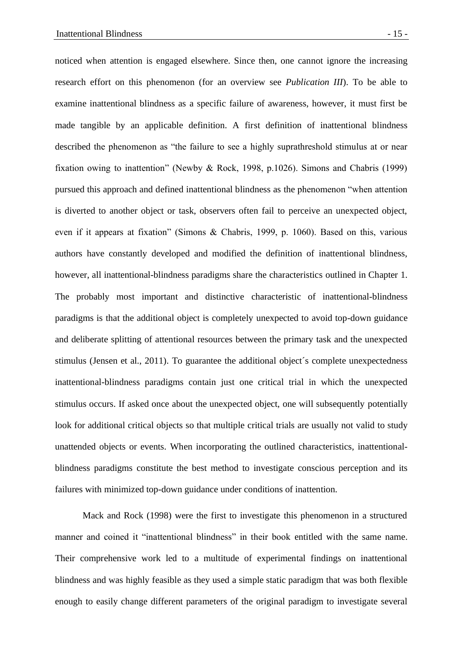noticed when attention is engaged elsewhere. Since then, one cannot ignore the increasing research effort on this phenomenon (for an overview see *Publication III*). To be able to examine inattentional blindness as a specific failure of awareness, however, it must first be made tangible by an applicable definition. A first definition of inattentional blindness described the phenomenon as "the failure to see a highly suprathreshold stimulus at or near fixation owing to inattention" (Newby & Rock, 1998, p.1026). Simons and Chabris (1999) pursued this approach and defined inattentional blindness as the phenomenon "when attention is diverted to another object or task, observers often fail to perceive an unexpected object, even if it appears at fixation" (Simons & Chabris, 1999, p. 1060). Based on this, various authors have constantly developed and modified the definition of inattentional blindness, however, all inattentional-blindness paradigms share the characteristics outlined in Chapter 1. The probably most important and distinctive characteristic of inattentional-blindness paradigms is that the additional object is completely unexpected to avoid top-down guidance and deliberate splitting of attentional resources between the primary task and the unexpected stimulus (Jensen et al., 2011). To guarantee the additional object´s complete unexpectedness inattentional-blindness paradigms contain just one critical trial in which the unexpected stimulus occurs. If asked once about the unexpected object, one will subsequently potentially look for additional critical objects so that multiple critical trials are usually not valid to study unattended objects or events. When incorporating the outlined characteristics, inattentionalblindness paradigms constitute the best method to investigate conscious perception and its failures with minimized top-down guidance under conditions of inattention.

Mack and Rock (1998) were the first to investigate this phenomenon in a structured manner and coined it "inattentional blindness" in their book entitled with the same name. Their comprehensive work led to a multitude of experimental findings on inattentional blindness and was highly feasible as they used a simple static paradigm that was both flexible enough to easily change different parameters of the original paradigm to investigate several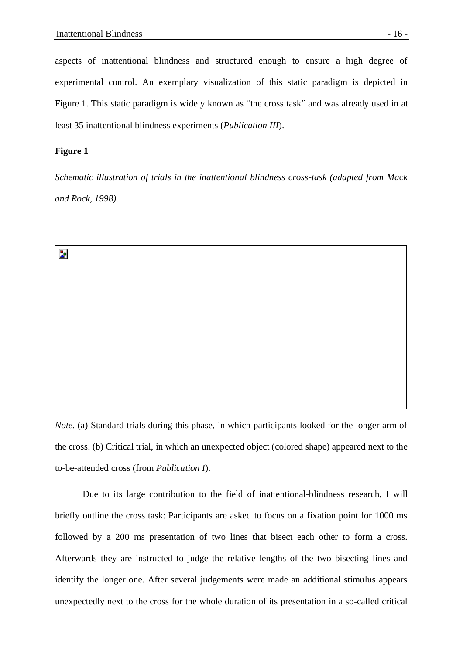aspects of inattentional blindness and structured enough to ensure a high degree of experimental control. An exemplary visualization of this static paradigm is depicted in Figure 1. This static paradigm is widely known as "the cross task" and was already used in at least 35 inattentional blindness experiments (*Publication III*).

# **Figure 1**

Þ.

*Schematic illustration of trials in the inattentional blindness cross-task (adapted from Mack and Rock, 1998).* 

*Note.* (a) Standard trials during this phase, in which participants looked for the longer arm of the cross. (b) Critical trial, in which an unexpected object (colored shape) appeared next to the to-be-attended cross (from *Publication I*).

Due to its large contribution to the field of inattentional-blindness research, I will briefly outline the cross task: Participants are asked to focus on a fixation point for 1000 ms followed by a 200 ms presentation of two lines that bisect each other to form a cross. Afterwards they are instructed to judge the relative lengths of the two bisecting lines and identify the longer one. After several judgements were made an additional stimulus appears unexpectedly next to the cross for the whole duration of its presentation in a so-called critical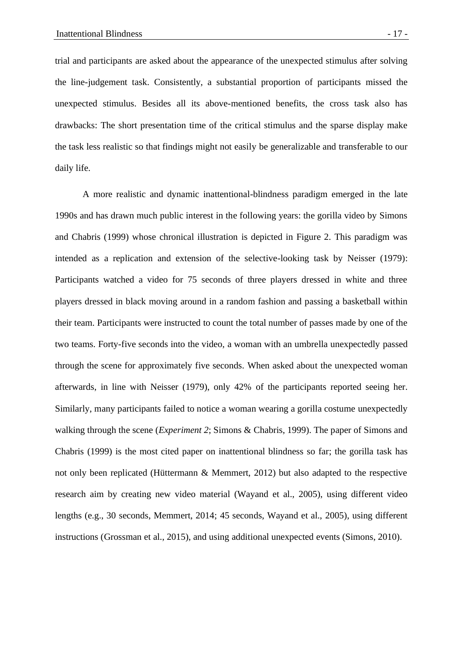trial and participants are asked about the appearance of the unexpected stimulus after solving the line-judgement task. Consistently, a substantial proportion of participants missed the unexpected stimulus. Besides all its above-mentioned benefits, the cross task also has drawbacks: The short presentation time of the critical stimulus and the sparse display make the task less realistic so that findings might not easily be generalizable and transferable to our daily life.

A more realistic and dynamic inattentional-blindness paradigm emerged in the late 1990s and has drawn much public interest in the following years: the gorilla video by Simons and Chabris (1999) whose chronical illustration is depicted in Figure 2. This paradigm was intended as a replication and extension of the selective-looking task by Neisser (1979): Participants watched a video for 75 seconds of three players dressed in white and three players dressed in black moving around in a random fashion and passing a basketball within their team. Participants were instructed to count the total number of passes made by one of the two teams. Forty-five seconds into the video, a woman with an umbrella unexpectedly passed through the scene for approximately five seconds. When asked about the unexpected woman afterwards, in line with Neisser (1979), only 42% of the participants reported seeing her. Similarly, many participants failed to notice a woman wearing a gorilla costume unexpectedly walking through the scene (*Experiment 2*; Simons & Chabris, 1999). The paper of Simons and Chabris (1999) is the most cited paper on inattentional blindness so far; the gorilla task has not only been replicated (Hüttermann & Memmert, 2012) but also adapted to the respective research aim by creating new video material (Wayand et al., 2005), using different video lengths (e.g., 30 seconds, Memmert, 2014; 45 seconds, Wayand et al., 2005), using different instructions (Grossman et al., 2015), and using additional unexpected events (Simons, 2010).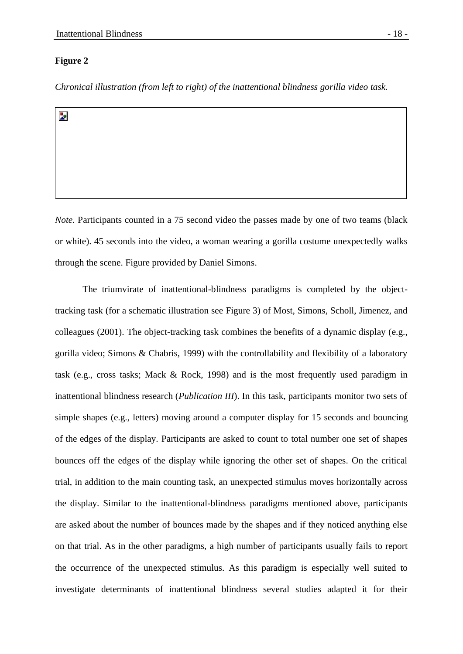# **Figure 2**

*Chronical illustration (from left to right) of the inattentional blindness gorilla video task.* 

Þ.

*Note.* Participants counted in a 75 second video the passes made by one of two teams (black or white). 45 seconds into the video, a woman wearing a gorilla costume unexpectedly walks through the scene. Figure provided by Daniel Simons.

The triumvirate of inattentional-blindness paradigms is completed by the objecttracking task (for a schematic illustration see Figure 3) of Most, Simons, Scholl, Jimenez, and colleagues (2001). The object-tracking task combines the benefits of a dynamic display (e.g., gorilla video; Simons & Chabris, 1999) with the controllability and flexibility of a laboratory task (e.g., cross tasks; Mack & Rock, 1998) and is the most frequently used paradigm in inattentional blindness research (*Publication III*). In this task, participants monitor two sets of simple shapes (e.g., letters) moving around a computer display for 15 seconds and bouncing of the edges of the display. Participants are asked to count to total number one set of shapes bounces off the edges of the display while ignoring the other set of shapes. On the critical trial, in addition to the main counting task, an unexpected stimulus moves horizontally across the display. Similar to the inattentional-blindness paradigms mentioned above, participants are asked about the number of bounces made by the shapes and if they noticed anything else on that trial. As in the other paradigms, a high number of participants usually fails to report the occurrence of the unexpected stimulus. As this paradigm is especially well suited to investigate determinants of inattentional blindness several studies adapted it for their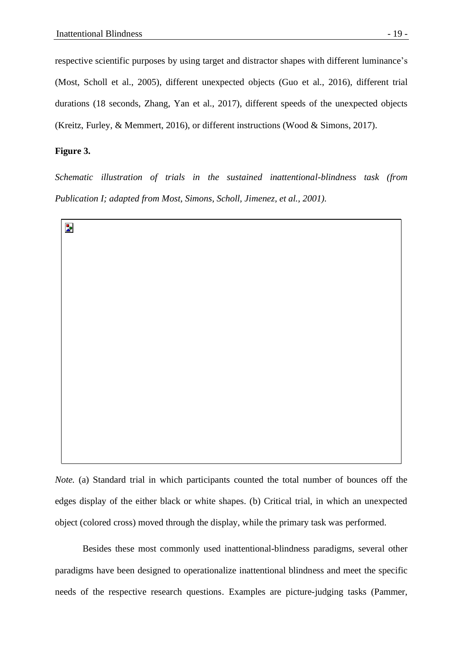respective scientific purposes by using target and distractor shapes with different luminance's (Most, Scholl et al., 2005), different unexpected objects (Guo et al., 2016), different trial durations (18 seconds, Zhang, Yan et al., 2017), different speeds of the unexpected objects (Kreitz, Furley, & Memmert, 2016), or different instructions (Wood & Simons, 2017).

# **Figure 3.**

*Schematic illustration of trials in the sustained inattentional-blindness task (from Publication I; adapted from Most, Simons, Scholl, Jimenez, et al., 2001).*



*Note.* (a) Standard trial in which participants counted the total number of bounces off the edges display of the either black or white shapes. (b) Critical trial, in which an unexpected object (colored cross) moved through the display, while the primary task was performed.

Besides these most commonly used inattentional-blindness paradigms, several other paradigms have been designed to operationalize inattentional blindness and meet the specific needs of the respective research questions. Examples are picture-judging tasks (Pammer,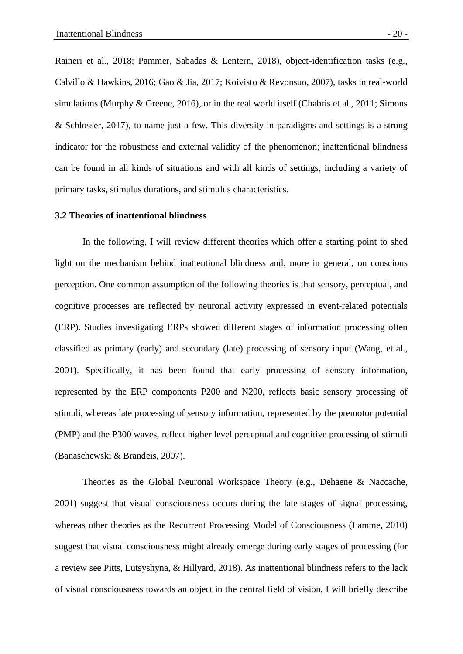Raineri et al., 2018; Pammer, Sabadas & Lentern, 2018), object-identification tasks (e.g., Calvillo & Hawkins, 2016; Gao & Jia, 2017; Koivisto & Revonsuo, 2007), tasks in real-world simulations (Murphy & Greene, 2016), or in the real world itself (Chabris et al., 2011; Simons & Schlosser, 2017), to name just a few. This diversity in paradigms and settings is a strong indicator for the robustness and external validity of the phenomenon; inattentional blindness can be found in all kinds of situations and with all kinds of settings, including a variety of primary tasks, stimulus durations, and stimulus characteristics.

#### **3.2 Theories of inattentional blindness**

In the following, I will review different theories which offer a starting point to shed light on the mechanism behind inattentional blindness and, more in general, on conscious perception. One common assumption of the following theories is that sensory, perceptual, and cognitive processes are reflected by neuronal activity expressed in event-related potentials (ERP). Studies investigating ERPs showed different stages of information processing often classified as primary (early) and secondary (late) processing of sensory input (Wang, et al., 2001). Specifically, it has been found that early processing of sensory information, represented by the ERP components P200 and N200, reflects basic sensory processing of stimuli, whereas late processing of sensory information, represented by the premotor potential (PMP) and the P300 waves, reflect higher level perceptual and cognitive processing of stimuli (Banaschewski & Brandeis, 2007).

Theories as the Global Neuronal Workspace Theory (e.g., Dehaene & Naccache, 2001) suggest that visual consciousness occurs during the late stages of signal processing, whereas other theories as the Recurrent Processing Model of Consciousness (Lamme, 2010) suggest that visual consciousness might already emerge during early stages of processing (for a review see Pitts, Lutsyshyna, & Hillyard, 2018). As inattentional blindness refers to the lack of visual consciousness towards an object in the central field of vision, I will briefly describe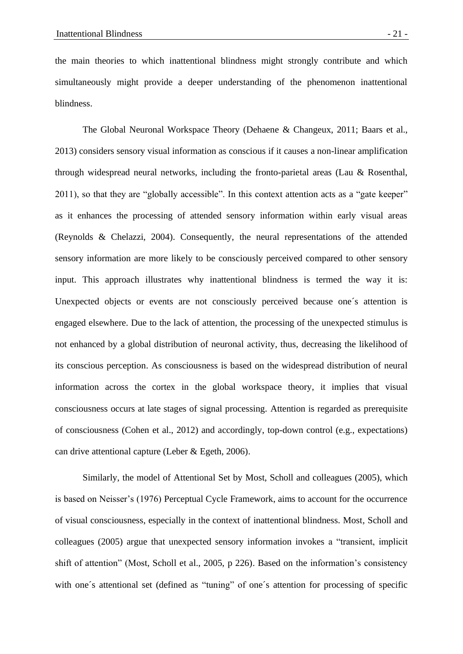the main theories to which inattentional blindness might strongly contribute and which simultaneously might provide a deeper understanding of the phenomenon inattentional blindness.

The Global Neuronal Workspace Theory (Dehaene & Changeux, 2011; Baars et al., 2013) considers sensory visual information as conscious if it causes a non-linear amplification through widespread neural networks, including the fronto-parietal areas (Lau & Rosenthal, 2011), so that they are "globally accessible". In this context attention acts as a "gate keeper" as it enhances the processing of attended sensory information within early visual areas (Reynolds & Chelazzi, 2004). Consequently, the neural representations of the attended sensory information are more likely to be consciously perceived compared to other sensory input. This approach illustrates why inattentional blindness is termed the way it is: Unexpected objects or events are not consciously perceived because one´s attention is engaged elsewhere. Due to the lack of attention, the processing of the unexpected stimulus is not enhanced by a global distribution of neuronal activity, thus, decreasing the likelihood of its conscious perception. As consciousness is based on the widespread distribution of neural information across the cortex in the global workspace theory, it implies that visual consciousness occurs at late stages of signal processing. Attention is regarded as prerequisite of consciousness (Cohen et al., 2012) and accordingly, top-down control (e.g., expectations) can drive attentional capture (Leber & Egeth, 2006).

Similarly, the model of Attentional Set by Most, Scholl and colleagues (2005), which is based on Neisser's (1976) Perceptual Cycle Framework, aims to account for the occurrence of visual consciousness, especially in the context of inattentional blindness. Most, Scholl and colleagues (2005) argue that unexpected sensory information invokes a "transient, implicit shift of attention" (Most, Scholl et al., 2005, p 226). Based on the information's consistency with one's attentional set (defined as "tuning" of one's attention for processing of specific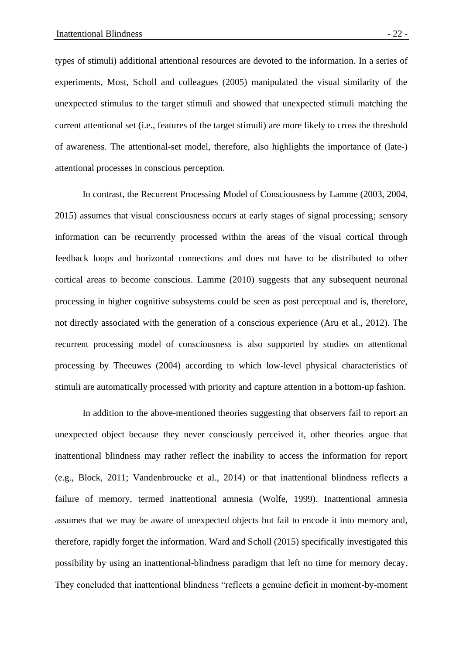types of stimuli) additional attentional resources are devoted to the information. In a series of experiments, Most, Scholl and colleagues (2005) manipulated the visual similarity of the unexpected stimulus to the target stimuli and showed that unexpected stimuli matching the current attentional set (i.e., features of the target stimuli) are more likely to cross the threshold of awareness. The attentional-set model, therefore, also highlights the importance of (late-) attentional processes in conscious perception.

In contrast, the Recurrent Processing Model of Consciousness by Lamme (2003, 2004, 2015) assumes that visual consciousness occurs at early stages of signal processing; sensory information can be recurrently processed within the areas of the visual cortical through feedback loops and horizontal connections and does not have to be distributed to other cortical areas to become conscious. Lamme (2010) suggests that any subsequent neuronal processing in higher cognitive subsystems could be seen as post perceptual and is, therefore, not directly associated with the generation of a conscious experience (Aru et al., 2012). The recurrent processing model of consciousness is also supported by studies on attentional processing by Theeuwes (2004) according to which low-level physical characteristics of stimuli are automatically processed with priority and capture attention in a bottom-up fashion.

In addition to the above-mentioned theories suggesting that observers fail to report an unexpected object because they never consciously perceived it, other theories argue that inattentional blindness may rather reflect the inability to access the information for report (e.g., Block, 2011; Vandenbroucke et al., 2014) or that inattentional blindness reflects a failure of memory, termed inattentional amnesia (Wolfe, 1999). Inattentional amnesia assumes that we may be aware of unexpected objects but fail to encode it into memory and, therefore, rapidly forget the information. Ward and Scholl (2015) specifically investigated this possibility by using an inattentional-blindness paradigm that left no time for memory decay. They concluded that inattentional blindness "reflects a genuine deficit in moment-by-moment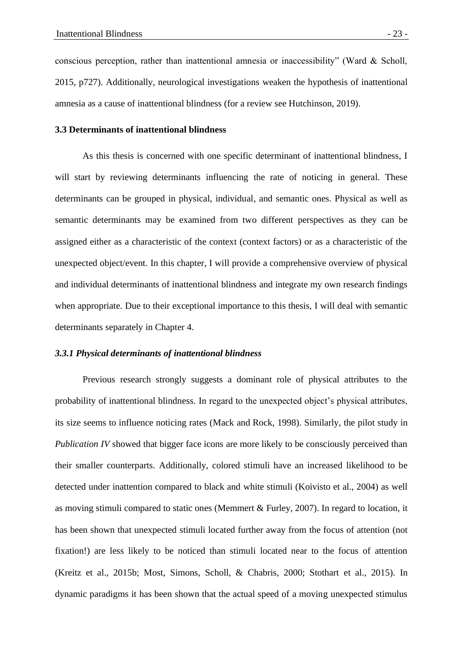conscious perception, rather than inattentional amnesia or inaccessibility" (Ward & Scholl, 2015, p727). Additionally, neurological investigations weaken the hypothesis of inattentional amnesia as a cause of inattentional blindness (for a review see Hutchinson, 2019).

#### **3.3 Determinants of inattentional blindness**

As this thesis is concerned with one specific determinant of inattentional blindness, I will start by reviewing determinants influencing the rate of noticing in general. These determinants can be grouped in physical, individual, and semantic ones. Physical as well as semantic determinants may be examined from two different perspectives as they can be assigned either as a characteristic of the context (context factors) or as a characteristic of the unexpected object/event. In this chapter, I will provide a comprehensive overview of physical and individual determinants of inattentional blindness and integrate my own research findings when appropriate. Due to their exceptional importance to this thesis, I will deal with semantic determinants separately in Chapter 4.

# *3.3.1 Physical determinants of inattentional blindness*

Previous research strongly suggests a dominant role of physical attributes to the probability of inattentional blindness. In regard to the unexpected object's physical attributes, its size seems to influence noticing rates (Mack and Rock, 1998). Similarly, the pilot study in *Publication IV* showed that bigger face icons are more likely to be consciously perceived than their smaller counterparts. Additionally, colored stimuli have an increased likelihood to be detected under inattention compared to black and white stimuli (Koivisto et al., 2004) as well as moving stimuli compared to static ones (Memmert & Furley, 2007). In regard to location, it has been shown that unexpected stimuli located further away from the focus of attention (not fixation!) are less likely to be noticed than stimuli located near to the focus of attention (Kreitz et al., 2015b; Most, Simons, Scholl, & Chabris, 2000; Stothart et al., 2015). In dynamic paradigms it has been shown that the actual speed of a moving unexpected stimulus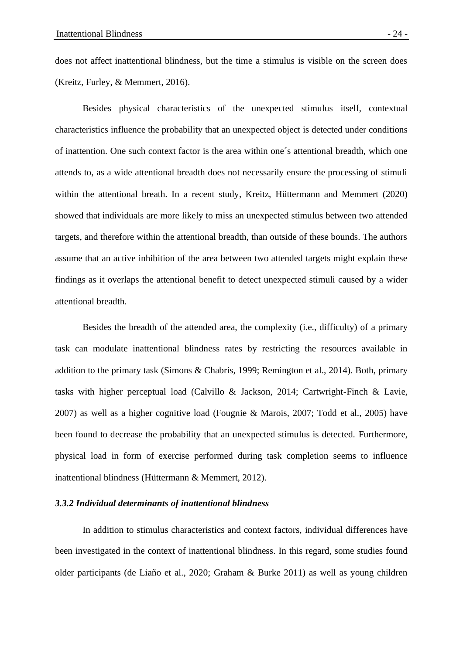does not affect inattentional blindness, but the time a stimulus is visible on the screen does (Kreitz, Furley, & Memmert, 2016).

Besides physical characteristics of the unexpected stimulus itself, contextual characteristics influence the probability that an unexpected object is detected under conditions of inattention. One such context factor is the area within one´s attentional breadth, which one attends to, as a wide attentional breadth does not necessarily ensure the processing of stimuli within the attentional breath. In a recent study, Kreitz, Hüttermann and Memmert (2020) showed that individuals are more likely to miss an unexpected stimulus between two attended targets, and therefore within the attentional breadth, than outside of these bounds. The authors assume that an active inhibition of the area between two attended targets might explain these findings as it overlaps the attentional benefit to detect unexpected stimuli caused by a wider attentional breadth.

Besides the breadth of the attended area, the complexity (i.e., difficulty) of a primary task can modulate inattentional blindness rates by restricting the resources available in addition to the primary task (Simons & Chabris, 1999; Remington et al., 2014). Both, primary tasks with higher perceptual load (Calvillo & Jackson, 2014; Cartwright-Finch & Lavie, 2007) as well as a higher cognitive load (Fougnie & Marois, 2007; Todd et al., 2005) have been found to decrease the probability that an unexpected stimulus is detected. Furthermore, physical load in form of exercise performed during task completion seems to influence inattentional blindness (Hüttermann & Memmert, 2012).

# *3.3.2 Individual determinants of inattentional blindness*

In addition to stimulus characteristics and context factors, individual differences have been investigated in the context of inattentional blindness. In this regard, some studies found older participants (de Liaño et al., 2020; Graham & Burke 2011) as well as young children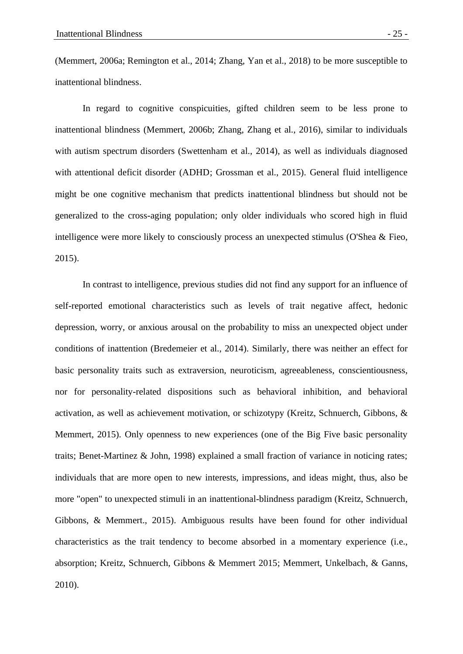(Memmert, 2006a; Remington et al., 2014; Zhang, Yan et al., 2018) to be more susceptible to inattentional blindness.

In regard to cognitive conspicuities, gifted children seem to be less prone to inattentional blindness (Memmert, 2006b; Zhang, Zhang et al., 2016), similar to individuals with autism spectrum disorders (Swettenham et al., 2014), as well as individuals diagnosed with attentional deficit disorder (ADHD; Grossman et al., 2015). General fluid intelligence might be one cognitive mechanism that predicts inattentional blindness but should not be generalized to the cross-aging population; only older individuals who scored high in fluid intelligence were more likely to consciously process an unexpected stimulus (O'Shea & Fieo, 2015).

In contrast to intelligence, previous studies did not find any support for an influence of self-reported emotional characteristics such as levels of trait negative affect, hedonic depression, worry, or anxious arousal on the probability to miss an unexpected object under conditions of inattention (Bredemeier et al., 2014). Similarly, there was neither an effect for basic personality traits such as extraversion, neuroticism, agreeableness, conscientiousness, nor for personality-related dispositions such as behavioral inhibition, and behavioral activation, as well as achievement motivation, or schizotypy (Kreitz, Schnuerch, Gibbons, & Memmert, 2015). Only openness to new experiences (one of the Big Five basic personality traits; Benet-Martinez & John, 1998) explained a small fraction of variance in noticing rates; individuals that are more open to new interests, impressions, and ideas might, thus, also be more "open" to unexpected stimuli in an inattentional-blindness paradigm (Kreitz, Schnuerch, Gibbons, & Memmert., 2015). Ambiguous results have been found for other individual characteristics as the trait tendency to become absorbed in a momentary experience (i.e., absorption; Kreitz, Schnuerch, Gibbons & Memmert 2015; Memmert, Unkelbach, & Ganns, 2010).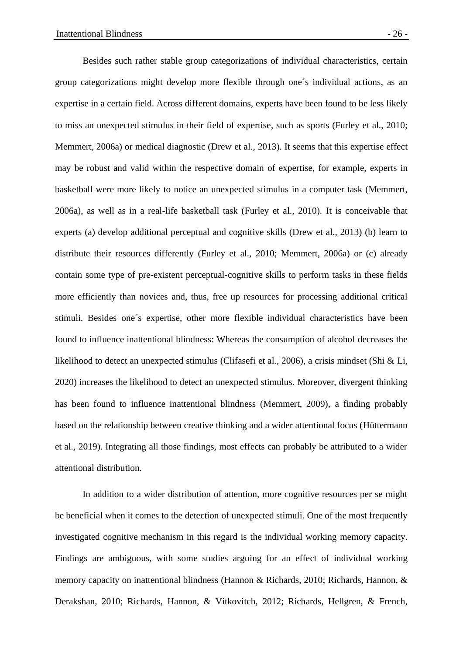Besides such rather stable group categorizations of individual characteristics, certain group categorizations might develop more flexible through one´s individual actions, as an expertise in a certain field. Across different domains, experts have been found to be less likely to miss an unexpected stimulus in their field of expertise, such as sports (Furley et al., 2010; Memmert, 2006a) or medical diagnostic (Drew et al., 2013). It seems that this expertise effect may be robust and valid within the respective domain of expertise, for example, experts in basketball were more likely to notice an unexpected stimulus in a computer task (Memmert, 2006a), as well as in a real-life basketball task (Furley et al., 2010). It is conceivable that experts (a) develop additional perceptual and cognitive skills (Drew et al., 2013) (b) learn to distribute their resources differently (Furley et al., 2010; Memmert, 2006a) or (c) already contain some type of pre-existent perceptual-cognitive skills to perform tasks in these fields more efficiently than novices and, thus, free up resources for processing additional critical stimuli. Besides one´s expertise, other more flexible individual characteristics have been found to influence inattentional blindness: Whereas the consumption of alcohol decreases the likelihood to detect an unexpected stimulus (Clifasefi et al., 2006), a crisis mindset (Shi & Li, 2020) increases the likelihood to detect an unexpected stimulus. Moreover, divergent thinking has been found to influence inattentional blindness (Memmert, 2009), a finding probably based on the relationship between creative thinking and a wider attentional focus (Hüttermann et al., 2019). Integrating all those findings, most effects can probably be attributed to a wider attentional distribution.

In addition to a wider distribution of attention, more cognitive resources per se might be beneficial when it comes to the detection of unexpected stimuli. One of the most frequently investigated cognitive mechanism in this regard is the individual working memory capacity. Findings are ambiguous, with some studies arguing for an effect of individual working memory capacity on inattentional blindness (Hannon & Richards, 2010; Richards, Hannon, & Derakshan, 2010; Richards, Hannon, & Vitkovitch, 2012; Richards, Hellgren, & French,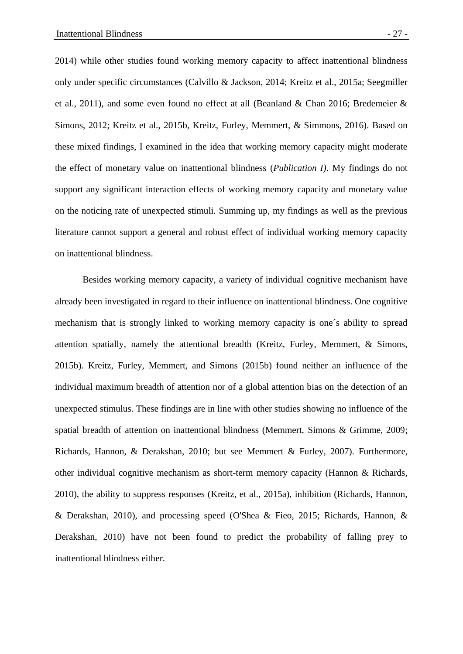2014) while other studies found working memory capacity to affect inattentional blindness only under specific circumstances (Calvillo & Jackson, 2014; Kreitz et al., 2015a; Seegmiller et al., 2011), and some even found no effect at all (Beanland & Chan 2016; Bredemeier & Simons, 2012; Kreitz et al., 2015b, Kreitz, Furley, Memmert, & Simmons, 2016). Based on these mixed findings, I examined in the idea that working memory capacity might moderate the effect of monetary value on inattentional blindness (*Publication I)*. My findings do not support any significant interaction effects of working memory capacity and monetary value on the noticing rate of unexpected stimuli. Summing up, my findings as well as the previous literature cannot support a general and robust effect of individual working memory capacity on inattentional blindness.

Besides working memory capacity, a variety of individual cognitive mechanism have already been investigated in regard to their influence on inattentional blindness. One cognitive mechanism that is strongly linked to working memory capacity is one´s ability to spread attention spatially, namely the attentional breadth (Kreitz, Furley, Memmert, & Simons, 2015b). Kreitz, Furley, Memmert, and Simons (2015b) found neither an influence of the individual maximum breadth of attention nor of a global attention bias on the detection of an unexpected stimulus. These findings are in line with other studies showing no influence of the spatial breadth of attention on inattentional blindness (Memmert, Simons & Grimme, 2009; Richards, Hannon, & Derakshan, 2010; but see Memmert & Furley, 2007). Furthermore, other individual cognitive mechanism as short-term memory capacity (Hannon & Richards, 2010), the ability to suppress responses (Kreitz, et al., 2015a), inhibition (Richards, Hannon, & Derakshan, 2010), and processing speed (O'Shea & Fieo, 2015; Richards, Hannon, & Derakshan, 2010) have not been found to predict the probability of falling prey to inattentional blindness either.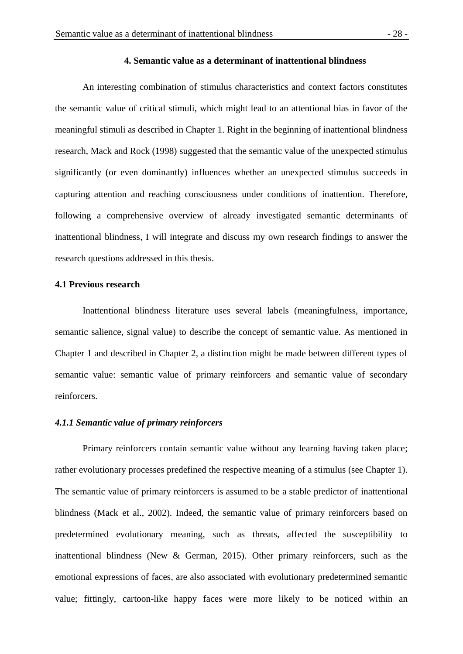### **4. Semantic value as a determinant of inattentional blindness**

An interesting combination of stimulus characteristics and context factors constitutes the semantic value of critical stimuli, which might lead to an attentional bias in favor of the meaningful stimuli as described in Chapter 1. Right in the beginning of inattentional blindness research, Mack and Rock (1998) suggested that the semantic value of the unexpected stimulus significantly (or even dominantly) influences whether an unexpected stimulus succeeds in capturing attention and reaching consciousness under conditions of inattention. Therefore, following a comprehensive overview of already investigated semantic determinants of inattentional blindness, I will integrate and discuss my own research findings to answer the research questions addressed in this thesis.

### **4.1 Previous research**

Inattentional blindness literature uses several labels (meaningfulness, importance, semantic salience, signal value) to describe the concept of semantic value. As mentioned in Chapter 1 and described in Chapter 2, a distinction might be made between different types of semantic value: semantic value of primary reinforcers and semantic value of secondary reinforcers.

### *4.1.1 Semantic value of primary reinforcers*

Primary reinforcers contain semantic value without any learning having taken place; rather evolutionary processes predefined the respective meaning of a stimulus (see Chapter 1). The semantic value of primary reinforcers is assumed to be a stable predictor of inattentional blindness (Mack et al., 2002). Indeed, the semantic value of primary reinforcers based on predetermined evolutionary meaning, such as threats, affected the susceptibility to inattentional blindness (New & German, 2015). Other primary reinforcers, such as the emotional expressions of faces, are also associated with evolutionary predetermined semantic value; fittingly, cartoon-like happy faces were more likely to be noticed within an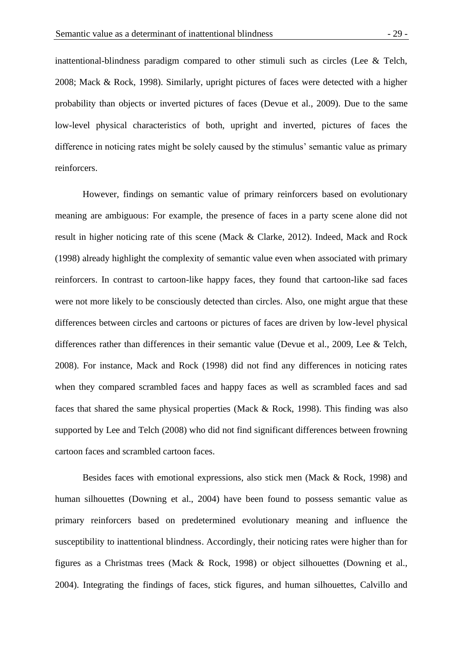inattentional-blindness paradigm compared to other stimuli such as circles (Lee & Telch, 2008; Mack & Rock, 1998). Similarly, upright pictures of faces were detected with a higher probability than objects or inverted pictures of faces (Devue et al., 2009). Due to the same low-level physical characteristics of both, upright and inverted, pictures of faces the difference in noticing rates might be solely caused by the stimulus' semantic value as primary reinforcers.

However, findings on semantic value of primary reinforcers based on evolutionary meaning are ambiguous: For example, the presence of faces in a party scene alone did not result in higher noticing rate of this scene (Mack & Clarke, 2012). Indeed, Mack and Rock (1998) already highlight the complexity of semantic value even when associated with primary reinforcers. In contrast to cartoon-like happy faces, they found that cartoon-like sad faces were not more likely to be consciously detected than circles. Also, one might argue that these differences between circles and cartoons or pictures of faces are driven by low-level physical differences rather than differences in their semantic value (Devue et al., 2009, Lee & Telch, 2008). For instance, Mack and Rock (1998) did not find any differences in noticing rates when they compared scrambled faces and happy faces as well as scrambled faces and sad faces that shared the same physical properties (Mack & Rock, 1998). This finding was also supported by Lee and Telch (2008) who did not find significant differences between frowning cartoon faces and scrambled cartoon faces.

Besides faces with emotional expressions, also stick men (Mack & Rock, 1998) and human silhouettes (Downing et al., 2004) have been found to possess semantic value as primary reinforcers based on predetermined evolutionary meaning and influence the susceptibility to inattentional blindness. Accordingly, their noticing rates were higher than for figures as a Christmas trees (Mack & Rock, 1998) or object silhouettes (Downing et al., 2004). Integrating the findings of faces, stick figures, and human silhouettes, Calvillo and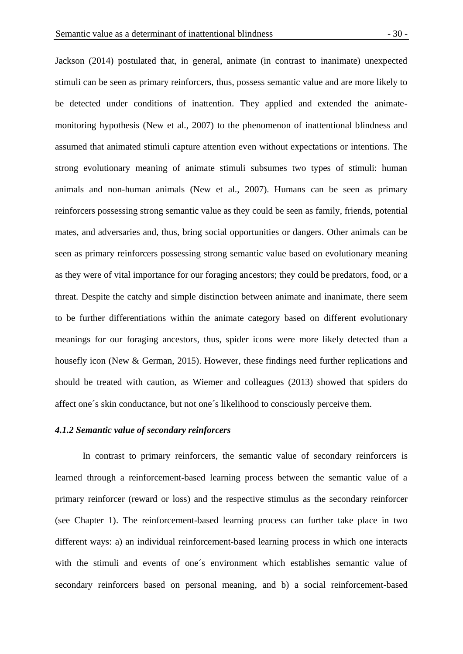Jackson (2014) postulated that, in general, animate (in contrast to inanimate) unexpected stimuli can be seen as primary reinforcers, thus, possess semantic value and are more likely to be detected under conditions of inattention. They applied and extended the animatemonitoring hypothesis (New et al., 2007) to the phenomenon of inattentional blindness and assumed that animated stimuli capture attention even without expectations or intentions. The strong evolutionary meaning of animate stimuli subsumes two types of stimuli: human animals and non-human animals (New et al., 2007). Humans can be seen as primary reinforcers possessing strong semantic value as they could be seen as family, friends, potential mates, and adversaries and, thus, bring social opportunities or dangers. Other animals can be seen as primary reinforcers possessing strong semantic value based on evolutionary meaning as they were of vital importance for our foraging ancestors; they could be predators, food, or a threat. Despite the catchy and simple distinction between animate and inanimate, there seem to be further differentiations within the animate category based on different evolutionary meanings for our foraging ancestors, thus, spider icons were more likely detected than a housefly icon (New & German, 2015). However, these findings need further replications and should be treated with caution, as Wiemer and colleagues (2013) showed that spiders do affect one´s skin conductance, but not one´s likelihood to consciously perceive them.

### *4.1.2 Semantic value of secondary reinforcers*

In contrast to primary reinforcers, the semantic value of secondary reinforcers is learned through a reinforcement-based learning process between the semantic value of a primary reinforcer (reward or loss) and the respective stimulus as the secondary reinforcer (see Chapter 1). The reinforcement-based learning process can further take place in two different ways: a) an individual reinforcement-based learning process in which one interacts with the stimuli and events of one´s environment which establishes semantic value of secondary reinforcers based on personal meaning, and b) a social reinforcement-based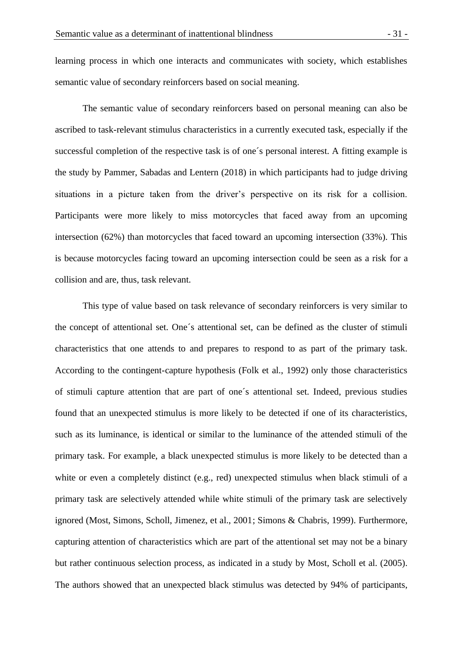learning process in which one interacts and communicates with society, which establishes semantic value of secondary reinforcers based on social meaning.

The semantic value of secondary reinforcers based on personal meaning can also be ascribed to task-relevant stimulus characteristics in a currently executed task, especially if the successful completion of the respective task is of one´s personal interest. A fitting example is the study by Pammer, Sabadas and Lentern (2018) in which participants had to judge driving situations in a picture taken from the driver's perspective on its risk for a collision. Participants were more likely to miss motorcycles that faced away from an upcoming intersection (62%) than motorcycles that faced toward an upcoming intersection (33%). This is because motorcycles facing toward an upcoming intersection could be seen as a risk for a collision and are, thus, task relevant.

This type of value based on task relevance of secondary reinforcers is very similar to the concept of attentional set. One´s attentional set, can be defined as the cluster of stimuli characteristics that one attends to and prepares to respond to as part of the primary task. According to the contingent-capture hypothesis (Folk et al., 1992) only those characteristics of stimuli capture attention that are part of one´s attentional set. Indeed, previous studies found that an unexpected stimulus is more likely to be detected if one of its characteristics, such as its luminance, is identical or similar to the luminance of the attended stimuli of the primary task. For example, a black unexpected stimulus is more likely to be detected than a white or even a completely distinct (e.g., red) unexpected stimulus when black stimuli of a primary task are selectively attended while white stimuli of the primary task are selectively ignored (Most, Simons, Scholl, Jimenez, et al., 2001; Simons & Chabris, 1999). Furthermore, capturing attention of characteristics which are part of the attentional set may not be a binary but rather continuous selection process, as indicated in a study by Most, Scholl et al. (2005). The authors showed that an unexpected black stimulus was detected by 94% of participants,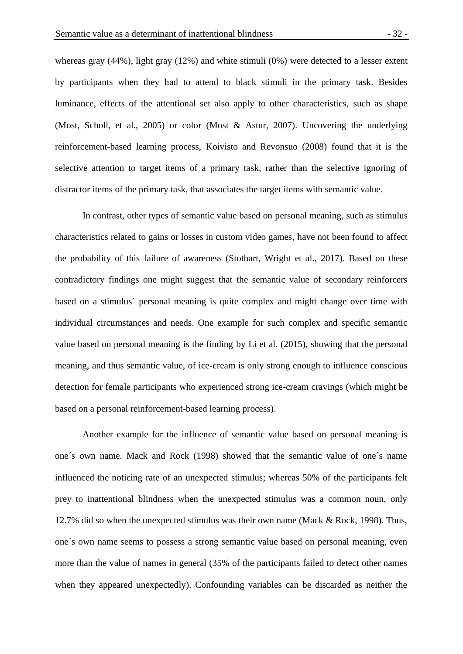whereas gray (44%), light gray (12%) and white stimuli (0%) were detected to a lesser extent by participants when they had to attend to black stimuli in the primary task. Besides luminance, effects of the attentional set also apply to other characteristics, such as shape (Most, Scholl, et al., 2005) or color (Most & Astur, 2007). Uncovering the underlying reinforcement-based learning process, Koivisto and Revonsuo (2008) found that it is the selective attention to target items of a primary task, rather than the selective ignoring of distractor items of the primary task, that associates the target items with semantic value.

In contrast, other types of semantic value based on personal meaning, such as stimulus characteristics related to gains or losses in custom video games, have not been found to affect the probability of this failure of awareness (Stothart, Wright et al., 2017). Based on these contradictory findings one might suggest that the semantic value of secondary reinforcers based on a stimulus´ personal meaning is quite complex and might change over time with individual circumstances and needs. One example for such complex and specific semantic value based on personal meaning is the finding by Li et al. (2015), showing that the personal meaning, and thus semantic value, of ice-cream is only strong enough to influence conscious detection for female participants who experienced strong ice-cream cravings (which might be based on a personal reinforcement-based learning process).

Another example for the influence of semantic value based on personal meaning is one´s own name. Mack and Rock (1998) showed that the semantic value of one´s name influenced the noticing rate of an unexpected stimulus; whereas 50% of the participants felt prey to inattentional blindness when the unexpected stimulus was a common noun, only 12.7% did so when the unexpected stimulus was their own name (Mack & Rock, 1998). Thus, one´s own name seems to possess a strong semantic value based on personal meaning, even more than the value of names in general (35% of the participants failed to detect other names when they appeared unexpectedly). Confounding variables can be discarded as neither the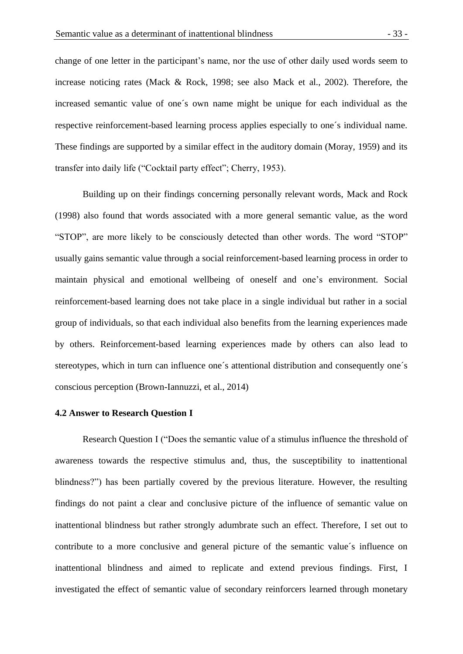change of one letter in the participant's name, nor the use of other daily used words seem to increase noticing rates (Mack & Rock, 1998; see also Mack et al., 2002). Therefore, the increased semantic value of one´s own name might be unique for each individual as the respective reinforcement-based learning process applies especially to one´s individual name. These findings are supported by a similar effect in the auditory domain (Moray, 1959) and its transfer into daily life ("Cocktail party effect"; Cherry, 1953).

Building up on their findings concerning personally relevant words, Mack and Rock (1998) also found that words associated with a more general semantic value, as the word "STOP", are more likely to be consciously detected than other words. The word "STOP" usually gains semantic value through a social reinforcement-based learning process in order to maintain physical and emotional wellbeing of oneself and one's environment. Social reinforcement-based learning does not take place in a single individual but rather in a social group of individuals, so that each individual also benefits from the learning experiences made by others. Reinforcement-based learning experiences made by others can also lead to stereotypes, which in turn can influence one´s attentional distribution and consequently one´s conscious perception (Brown-Iannuzzi, et al., 2014)

### **4.2 Answer to Research Question I**

Research Question I ("Does the semantic value of a stimulus influence the threshold of awareness towards the respective stimulus and, thus, the susceptibility to inattentional blindness?") has been partially covered by the previous literature. However, the resulting findings do not paint a clear and conclusive picture of the influence of semantic value on inattentional blindness but rather strongly adumbrate such an effect. Therefore, I set out to contribute to a more conclusive and general picture of the semantic value´s influence on inattentional blindness and aimed to replicate and extend previous findings. First, I investigated the effect of semantic value of secondary reinforcers learned through monetary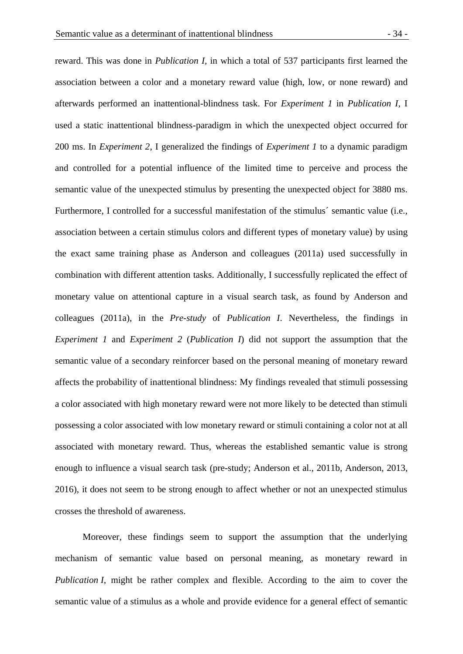reward. This was done in *Publication I,* in which a total of 537 participants first learned the association between a color and a monetary reward value (high, low, or none reward) and afterwards performed an inattentional-blindness task. For *Experiment 1* in *Publication I*, I used a static inattentional blindness-paradigm in which the unexpected object occurred for 200 ms. In *Experiment 2*, I generalized the findings of *Experiment 1* to a dynamic paradigm and controlled for a potential influence of the limited time to perceive and process the semantic value of the unexpected stimulus by presenting the unexpected object for 3880 ms. Furthermore, I controlled for a successful manifestation of the stimulus´ semantic value (i.e., association between a certain stimulus colors and different types of monetary value) by using the exact same training phase as Anderson and colleagues (2011a) used successfully in combination with different attention tasks. Additionally, I successfully replicated the effect of monetary value on attentional capture in a visual search task, as found by Anderson and colleagues (2011a), in the *Pre-study* of *Publication I*. Nevertheless, the findings in *Experiment 1* and *Experiment 2* (*Publication I*) did not support the assumption that the semantic value of a secondary reinforcer based on the personal meaning of monetary reward affects the probability of inattentional blindness: My findings revealed that stimuli possessing a color associated with high monetary reward were not more likely to be detected than stimuli possessing a color associated with low monetary reward or stimuli containing a color not at all associated with monetary reward. Thus, whereas the established semantic value is strong enough to influence a visual search task (pre-study; Anderson et al., 2011b, Anderson, 2013, 2016), it does not seem to be strong enough to affect whether or not an unexpected stimulus crosses the threshold of awareness.

Moreover, these findings seem to support the assumption that the underlying mechanism of semantic value based on personal meaning, as monetary reward in *Publication I*, might be rather complex and flexible. According to the aim to cover the semantic value of a stimulus as a whole and provide evidence for a general effect of semantic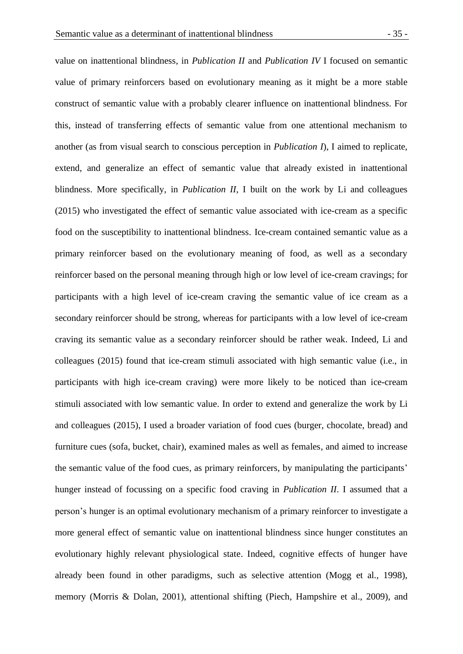value on inattentional blindness, in *Publication II* and *Publication IV* I focused on semantic value of primary reinforcers based on evolutionary meaning as it might be a more stable construct of semantic value with a probably clearer influence on inattentional blindness. For this, instead of transferring effects of semantic value from one attentional mechanism to another (as from visual search to conscious perception in *Publication I*), I aimed to replicate, extend, and generalize an effect of semantic value that already existed in inattentional blindness. More specifically, in *Publication II*, I built on the work by Li and colleagues (2015) who investigated the effect of semantic value associated with ice-cream as a specific food on the susceptibility to inattentional blindness. Ice-cream contained semantic value as a primary reinforcer based on the evolutionary meaning of food, as well as a secondary reinforcer based on the personal meaning through high or low level of ice-cream cravings; for participants with a high level of ice-cream craving the semantic value of ice cream as a secondary reinforcer should be strong, whereas for participants with a low level of ice-cream craving its semantic value as a secondary reinforcer should be rather weak. Indeed, Li and colleagues (2015) found that ice-cream stimuli associated with high semantic value (i.e., in participants with high ice-cream craving) were more likely to be noticed than ice-cream stimuli associated with low semantic value. In order to extend and generalize the work by Li and colleagues (2015), I used a broader variation of food cues (burger, chocolate, bread) and furniture cues (sofa, bucket, chair), examined males as well as females, and aimed to increase the semantic value of the food cues, as primary reinforcers, by manipulating the participants' hunger instead of focussing on a specific food craving in *Publication II*. I assumed that a person's hunger is an optimal evolutionary mechanism of a primary reinforcer to investigate a more general effect of semantic value on inattentional blindness since hunger constitutes an evolutionary highly relevant physiological state. Indeed, cognitive effects of hunger have already been found in other paradigms, such as selective attention (Mogg et al., 1998), memory (Morris & Dolan, 2001), attentional shifting (Piech, Hampshire et al., 2009), and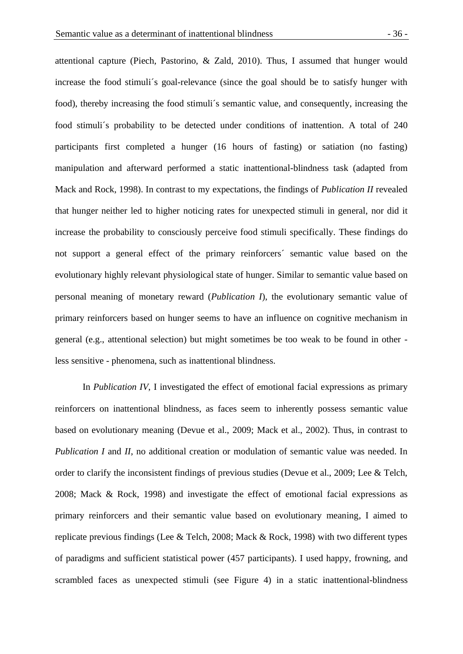attentional capture (Piech, Pastorino, & Zald, 2010). Thus, I assumed that hunger would increase the food stimuli´s goal-relevance (since the goal should be to satisfy hunger with food), thereby increasing the food stimuli´s semantic value, and consequently, increasing the food stimuli´s probability to be detected under conditions of inattention. A total of 240 participants first completed a hunger (16 hours of fasting) or satiation (no fasting) manipulation and afterward performed a static inattentional-blindness task (adapted from Mack and Rock, 1998). In contrast to my expectations, the findings of *Publication II* revealed that hunger neither led to higher noticing rates for unexpected stimuli in general, nor did it increase the probability to consciously perceive food stimuli specifically. These findings do not support a general effect of the primary reinforcers´ semantic value based on the evolutionary highly relevant physiological state of hunger. Similar to semantic value based on personal meaning of monetary reward (*Publication I*), the evolutionary semantic value of primary reinforcers based on hunger seems to have an influence on cognitive mechanism in general (e.g., attentional selection) but might sometimes be too weak to be found in other less sensitive - phenomena, such as inattentional blindness.

In *Publication IV*, I investigated the effect of emotional facial expressions as primary reinforcers on inattentional blindness, as faces seem to inherently possess semantic value based on evolutionary meaning (Devue et al., 2009; Mack et al., 2002). Thus, in contrast to *Publication I* and *II*, no additional creation or modulation of semantic value was needed. In order to clarify the inconsistent findings of previous studies (Devue et al., 2009; Lee & Telch, 2008; Mack & Rock, 1998) and investigate the effect of emotional facial expressions as primary reinforcers and their semantic value based on evolutionary meaning, I aimed to replicate previous findings (Lee & Telch, 2008; Mack & Rock, 1998) with two different types of paradigms and sufficient statistical power (457 participants). I used happy, frowning, and scrambled faces as unexpected stimuli (see Figure 4) in a static inattentional-blindness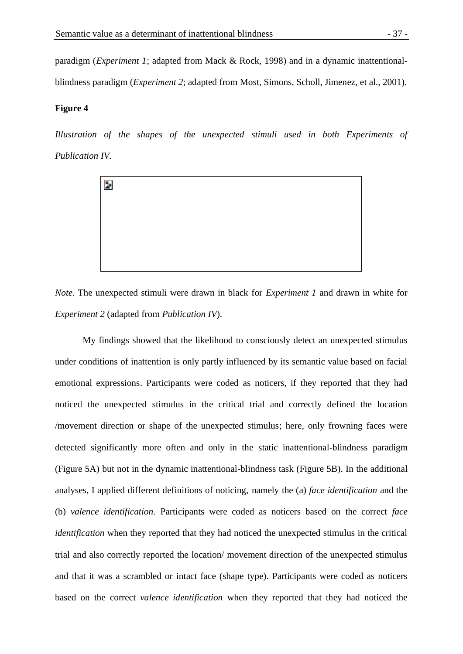paradigm (*Experiment 1*; adapted from Mack & Rock, 1998) and in a dynamic inattentionalblindness paradigm (*Experiment 2*; adapted from Most, Simons, Scholl, Jimenez, et al., 2001).

### **Figure 4**

*Illustration of the shapes of the unexpected stimuli used in both Experiments of Publication IV.*



*Note.* The unexpected stimuli were drawn in black for *Experiment 1* and drawn in white for *Experiment 2* (adapted from *Publication IV*).

My findings showed that the likelihood to consciously detect an unexpected stimulus under conditions of inattention is only partly influenced by its semantic value based on facial emotional expressions. Participants were coded as noticers, if they reported that they had noticed the unexpected stimulus in the critical trial and correctly defined the location /movement direction or shape of the unexpected stimulus; here, only frowning faces were detected significantly more often and only in the static inattentional-blindness paradigm (Figure 5A) but not in the dynamic inattentional-blindness task (Figure 5B). In the additional analyses, I applied different definitions of noticing, namely the (a) *face identification* and the (b) *valence identification.* Participants were coded as noticers based on the correct *face identification* when they reported that they had noticed the unexpected stimulus in the critical trial and also correctly reported the location/ movement direction of the unexpected stimulus and that it was a scrambled or intact face (shape type). Participants were coded as noticers based on the correct *valence identification* when they reported that they had noticed the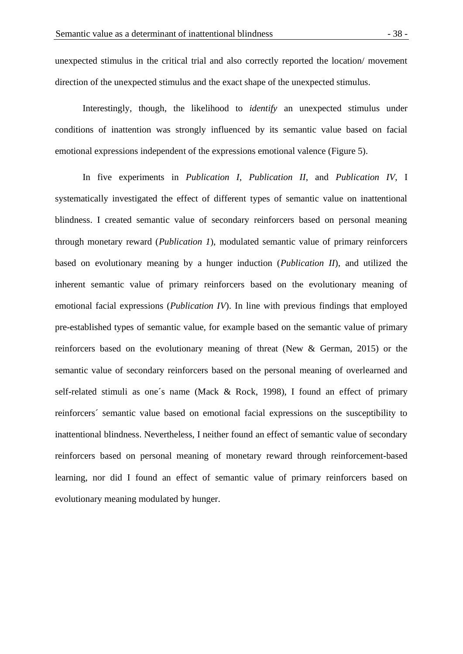unexpected stimulus in the critical trial and also correctly reported the location/ movement direction of the unexpected stimulus and the exact shape of the unexpected stimulus.

Interestingly, though, the likelihood to *identify* an unexpected stimulus under conditions of inattention was strongly influenced by its semantic value based on facial emotional expressions independent of the expressions emotional valence (Figure 5).

In five experiments in *Publication I*, *Publication II*, and *Publication IV*, I systematically investigated the effect of different types of semantic value on inattentional blindness. I created semantic value of secondary reinforcers based on personal meaning through monetary reward (*Publication 1*), modulated semantic value of primary reinforcers based on evolutionary meaning by a hunger induction (*Publication II*), and utilized the inherent semantic value of primary reinforcers based on the evolutionary meaning of emotional facial expressions (*Publication IV*). In line with previous findings that employed pre-established types of semantic value, for example based on the semantic value of primary reinforcers based on the evolutionary meaning of threat (New & German, 2015) or the semantic value of secondary reinforcers based on the personal meaning of overlearned and self-related stimuli as one´s name (Mack & Rock, 1998), I found an effect of primary reinforcers´ semantic value based on emotional facial expressions on the susceptibility to inattentional blindness. Nevertheless, I neither found an effect of semantic value of secondary reinforcers based on personal meaning of monetary reward through reinforcement-based learning, nor did I found an effect of semantic value of primary reinforcers based on evolutionary meaning modulated by hunger.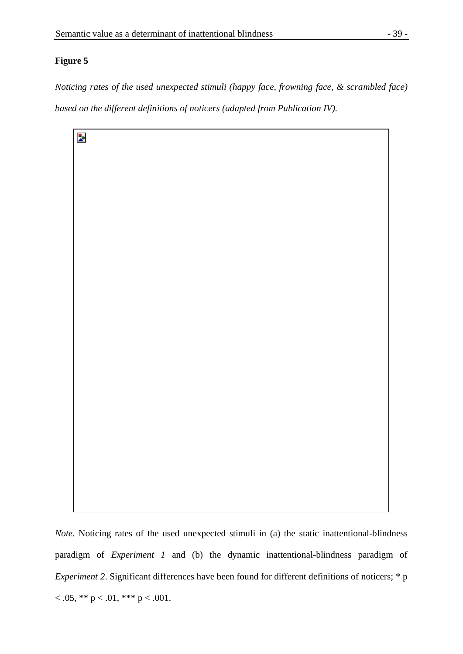## **Figure 5**

*Noticing rates of the used unexpected stimuli (happy face, frowning face, & scrambled face) based on the different definitions of noticers (adapted from Publication IV).* 

Þ

*Note.* Noticing rates of the used unexpected stimuli in (a) the static inattentional-blindness paradigm of *Experiment 1* and (b) the dynamic inattentional-blindness paradigm of *Experiment 2.* Significant differences have been found for different definitions of noticers; \* p  $< .05, ** p < .01, ** p < .001.$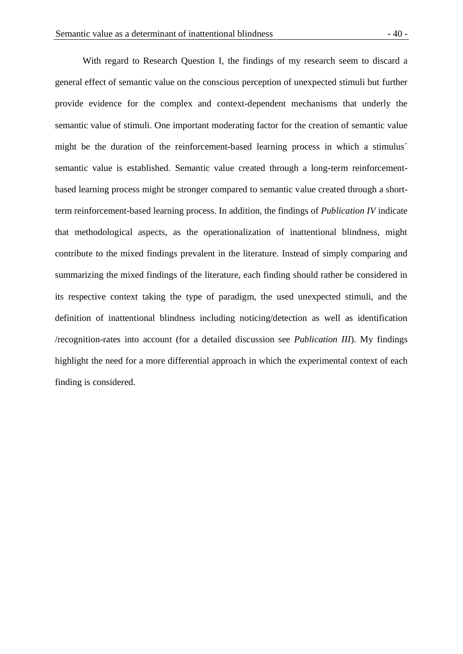With regard to Research Question I, the findings of my research seem to discard a general effect of semantic value on the conscious perception of unexpected stimuli but further provide evidence for the complex and context-dependent mechanisms that underly the semantic value of stimuli. One important moderating factor for the creation of semantic value might be the duration of the reinforcement-based learning process in which a stimulus´ semantic value is established. Semantic value created through a long-term reinforcementbased learning process might be stronger compared to semantic value created through a shortterm reinforcement-based learning process. In addition, the findings of *Publication IV* indicate that methodological aspects, as the operationalization of inattentional blindness, might contribute to the mixed findings prevalent in the literature. Instead of simply comparing and summarizing the mixed findings of the literature, each finding should rather be considered in its respective context taking the type of paradigm, the used unexpected stimuli, and the definition of inattentional blindness including noticing/detection as well as identification /recognition-rates into account (for a detailed discussion see *Publication III*). My findings highlight the need for a more differential approach in which the experimental context of each finding is considered.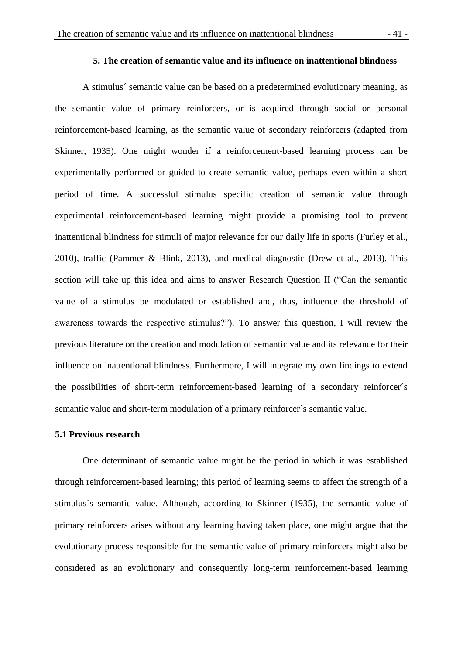A stimulus´ semantic value can be based on a predetermined evolutionary meaning, as the semantic value of primary reinforcers, or is acquired through social or personal reinforcement-based learning, as the semantic value of secondary reinforcers (adapted from Skinner, 1935). One might wonder if a reinforcement-based learning process can be experimentally performed or guided to create semantic value, perhaps even within a short period of time. A successful stimulus specific creation of semantic value through experimental reinforcement-based learning might provide a promising tool to prevent inattentional blindness for stimuli of major relevance for our daily life in sports (Furley et al., 2010), traffic (Pammer & Blink, 2013), and medical diagnostic (Drew et al., 2013). This section will take up this idea and aims to answer Research Question II ("Can the semantic value of a stimulus be modulated or established and, thus, influence the threshold of awareness towards the respective stimulus?"). To answer this question, I will review the previous literature on the creation and modulation of semantic value and its relevance for their influence on inattentional blindness. Furthermore, I will integrate my own findings to extend the possibilities of short-term reinforcement-based learning of a secondary reinforcer´s semantic value and short-term modulation of a primary reinforcer´s semantic value.

#### **5.1 Previous research**

One determinant of semantic value might be the period in which it was established through reinforcement-based learning; this period of learning seems to affect the strength of a stimulus´s semantic value. Although, according to Skinner (1935), the semantic value of primary reinforcers arises without any learning having taken place, one might argue that the evolutionary process responsible for the semantic value of primary reinforcers might also be considered as an evolutionary and consequently long-term reinforcement-based learning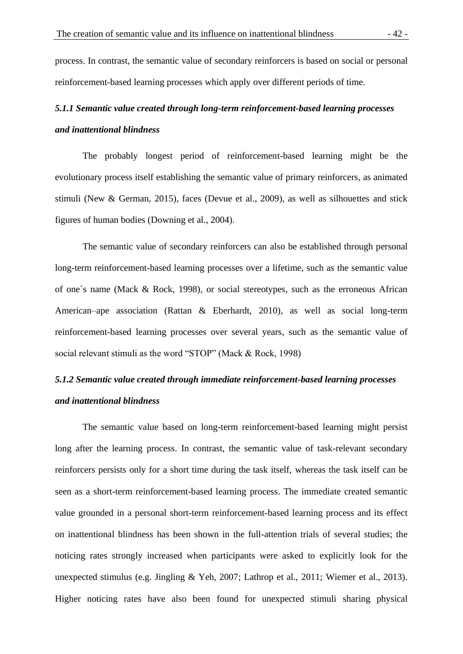process. In contrast, the semantic value of secondary reinforcers is based on social or personal reinforcement-based learning processes which apply over different periods of time.

# *5.1.1 Semantic value created through long-term reinforcement-based learning processes and inattentional blindness*

The probably longest period of reinforcement-based learning might be the evolutionary process itself establishing the semantic value of primary reinforcers, as animated stimuli (New & German, 2015), faces (Devue et al., 2009), as well as silhouettes and stick figures of human bodies (Downing et al., 2004).

The semantic value of secondary reinforcers can also be established through personal long-term reinforcement-based learning processes over a lifetime, such as the semantic value of one´s name (Mack & Rock, 1998), or social stereotypes, such as the erroneous African American–ape association (Rattan & Eberhardt, 2010), as well as social long-term reinforcement-based learning processes over several years, such as the semantic value of social relevant stimuli as the word "STOP" (Mack & Rock, 1998)

# *5.1.2 Semantic value created through immediate reinforcement-based learning processes and inattentional blindness*

The semantic value based on long-term reinforcement-based learning might persist long after the learning process. In contrast, the semantic value of task-relevant secondary reinforcers persists only for a short time during the task itself, whereas the task itself can be seen as a short-term reinforcement-based learning process. The immediate created semantic value grounded in a personal short-term reinforcement-based learning process and its effect on inattentional blindness has been shown in the full-attention trials of several studies; the noticing rates strongly increased when participants were asked to explicitly look for the unexpected stimulus (e.g. Jingling & Yeh, 2007; Lathrop et al., 2011; Wiemer et al., 2013). Higher noticing rates have also been found for unexpected stimuli sharing physical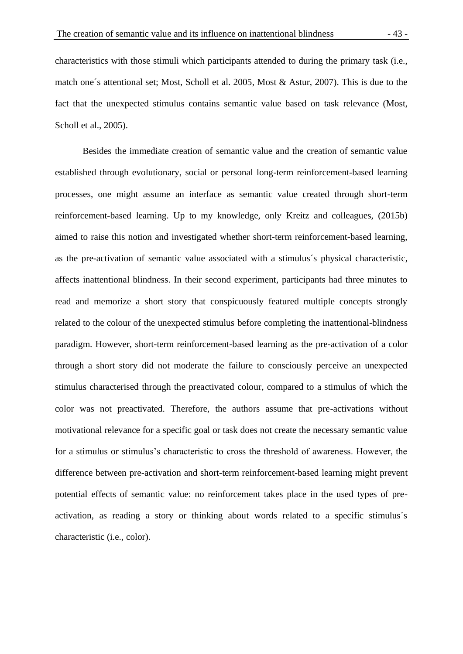characteristics with those stimuli which participants attended to during the primary task (i.e., match one´s attentional set; Most, Scholl et al. 2005, Most & Astur, 2007). This is due to the fact that the unexpected stimulus contains semantic value based on task relevance (Most, Scholl et al., 2005).

Besides the immediate creation of semantic value and the creation of semantic value established through evolutionary, social or personal long-term reinforcement-based learning processes, one might assume an interface as semantic value created through short-term reinforcement-based learning. Up to my knowledge, only Kreitz and colleagues, (2015b) aimed to raise this notion and investigated whether short-term reinforcement-based learning, as the pre-activation of semantic value associated with a stimulus´s physical characteristic, affects inattentional blindness. In their second experiment, participants had three minutes to read and memorize a short story that conspicuously featured multiple concepts strongly related to the colour of the unexpected stimulus before completing the inattentional-blindness paradigm. However, short-term reinforcement-based learning as the pre-activation of a color through a short story did not moderate the failure to consciously perceive an unexpected stimulus characterised through the preactivated colour, compared to a stimulus of which the color was not preactivated. Therefore, the authors assume that pre-activations without motivational relevance for a specific goal or task does not create the necessary semantic value for a stimulus or stimulus's characteristic to cross the threshold of awareness. However, the difference between pre-activation and short-term reinforcement-based learning might prevent potential effects of semantic value: no reinforcement takes place in the used types of preactivation, as reading a story or thinking about words related to a specific stimulus´s characteristic (i.e., color).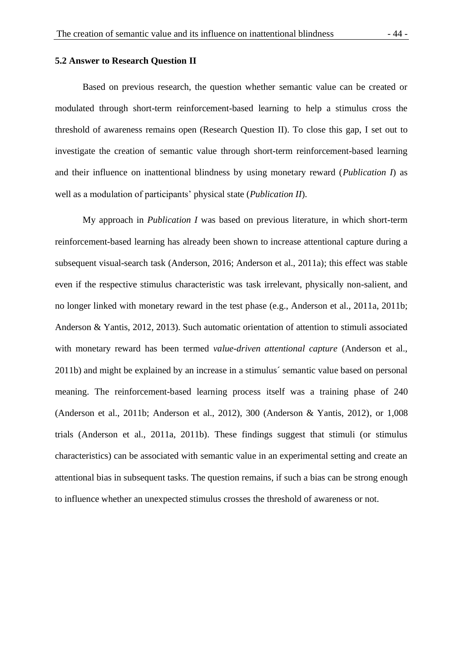Based on previous research, the question whether semantic value can be created or modulated through short-term reinforcement-based learning to help a stimulus cross the threshold of awareness remains open (Research Question II). To close this gap, I set out to investigate the creation of semantic value through short-term reinforcement-based learning and their influence on inattentional blindness by using monetary reward (*Publication I*) as well as a modulation of participants' physical state (*Publication II*).

My approach in *Publication I* was based on previous literature, in which short-term reinforcement-based learning has already been shown to increase attentional capture during a subsequent visual-search task (Anderson, 2016; Anderson et al., 2011a); this effect was stable even if the respective stimulus characteristic was task irrelevant, physically non-salient, and no longer linked with monetary reward in the test phase (e.g., Anderson et al., 2011a, 2011b; Anderson & Yantis, 2012, 2013). Such automatic orientation of attention to stimuli associated with monetary reward has been termed *value-driven attentional capture* (Anderson et al., 2011b) and might be explained by an increase in a stimulus´ semantic value based on personal meaning. The reinforcement-based learning process itself was a training phase of 240 (Anderson et al., 2011b; Anderson et al., 2012), 300 (Anderson & Yantis, 2012), or 1,008 trials (Anderson et al., 2011a, 2011b). These findings suggest that stimuli (or stimulus characteristics) can be associated with semantic value in an experimental setting and create an attentional bias in subsequent tasks. The question remains, if such a bias can be strong enough to influence whether an unexpected stimulus crosses the threshold of awareness or not.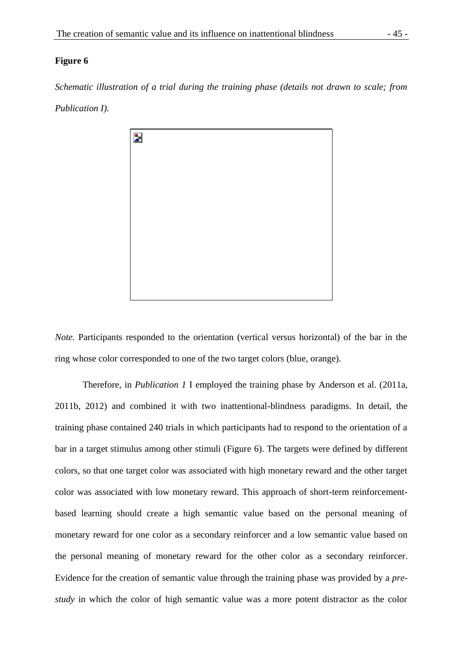### **Figure 6**

*Schematic illustration of a trial during the training phase (details not drawn to scale; from Publication I).*



*Note.* Participants responded to the orientation (vertical versus horizontal) of the bar in the ring whose color corresponded to one of the two target colors (blue, orange).

Therefore, in *Publication 1* I employed the training phase by Anderson et al. (2011a, 2011b, 2012) and combined it with two inattentional-blindness paradigms. In detail, the training phase contained 240 trials in which participants had to respond to the orientation of a bar in a target stimulus among other stimuli (Figure 6). The targets were defined by different colors, so that one target color was associated with high monetary reward and the other target color was associated with low monetary reward. This approach of short-term reinforcementbased learning should create a high semantic value based on the personal meaning of monetary reward for one color as a secondary reinforcer and a low semantic value based on the personal meaning of monetary reward for the other color as a secondary reinforcer. Evidence for the creation of semantic value through the training phase was provided by a *prestudy* in which the color of high semantic value was a more potent distractor as the color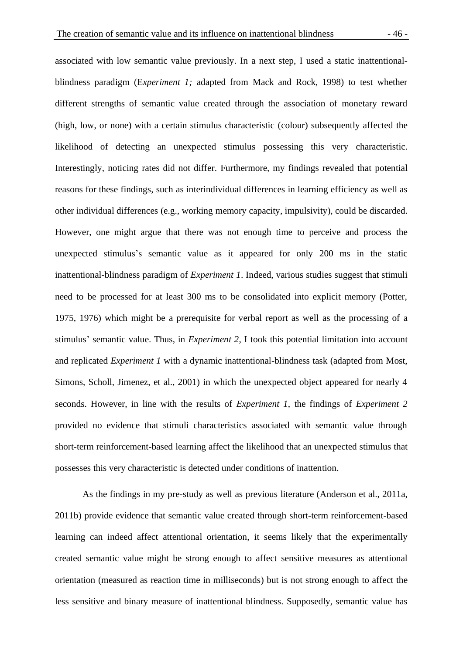associated with low semantic value previously. In a next step, I used a static inattentionalblindness paradigm (E*xperiment 1;* adapted from Mack and Rock, 1998) to test whether different strengths of semantic value created through the association of monetary reward (high, low, or none) with a certain stimulus characteristic (colour) subsequently affected the likelihood of detecting an unexpected stimulus possessing this very characteristic. Interestingly, noticing rates did not differ. Furthermore, my findings revealed that potential reasons for these findings, such as interindividual differences in learning efficiency as well as other individual differences (e.g., working memory capacity, impulsivity), could be discarded. However, one might argue that there was not enough time to perceive and process the unexpected stimulus's semantic value as it appeared for only 200 ms in the static inattentional-blindness paradigm of *Experiment 1*. Indeed, various studies suggest that stimuli need to be processed for at least 300 ms to be consolidated into explicit memory (Potter, 1975, 1976) which might be a prerequisite for verbal report as well as the processing of a stimulus' semantic value. Thus, in *Experiment 2*, I took this potential limitation into account and replicated *Experiment 1* with a dynamic inattentional-blindness task (adapted from Most, Simons, Scholl, Jimenez, et al., 2001) in which the unexpected object appeared for nearly 4 seconds. However, in line with the results of *Experiment 1*, the findings of *Experiment 2* provided no evidence that stimuli characteristics associated with semantic value through short-term reinforcement-based learning affect the likelihood that an unexpected stimulus that possesses this very characteristic is detected under conditions of inattention.

As the findings in my pre-study as well as previous literature (Anderson et al., 2011a, 2011b) provide evidence that semantic value created through short-term reinforcement-based learning can indeed affect attentional orientation, it seems likely that the experimentally created semantic value might be strong enough to affect sensitive measures as attentional orientation (measured as reaction time in milliseconds) but is not strong enough to affect the less sensitive and binary measure of inattentional blindness. Supposedly, semantic value has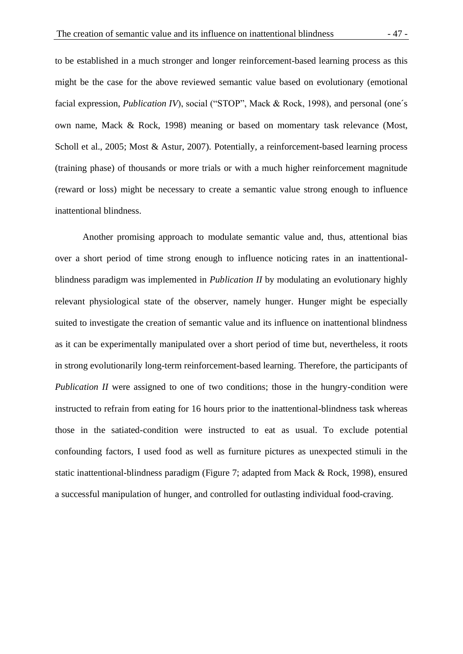to be established in a much stronger and longer reinforcement-based learning process as this might be the case for the above reviewed semantic value based on evolutionary (emotional facial expression, *Publication IV*), social ("STOP", Mack & Rock, 1998), and personal (one's own name, Mack & Rock, 1998) meaning or based on momentary task relevance (Most, Scholl et al., 2005; Most & Astur, 2007). Potentially, a reinforcement-based learning process (training phase) of thousands or more trials or with a much higher reinforcement magnitude (reward or loss) might be necessary to create a semantic value strong enough to influence inattentional blindness.

Another promising approach to modulate semantic value and, thus, attentional bias over a short period of time strong enough to influence noticing rates in an inattentionalblindness paradigm was implemented in *Publication II* by modulating an evolutionary highly relevant physiological state of the observer, namely hunger. Hunger might be especially suited to investigate the creation of semantic value and its influence on inattentional blindness as it can be experimentally manipulated over a short period of time but, nevertheless, it roots in strong evolutionarily long-term reinforcement-based learning. Therefore, the participants of *Publication II* were assigned to one of two conditions; those in the hungry-condition were instructed to refrain from eating for 16 hours prior to the inattentional-blindness task whereas those in the satiated-condition were instructed to eat as usual. To exclude potential confounding factors, I used food as well as furniture pictures as unexpected stimuli in the static inattentional-blindness paradigm (Figure 7; adapted from Mack & Rock, 1998), ensured a successful manipulation of hunger, and controlled for outlasting individual food-craving.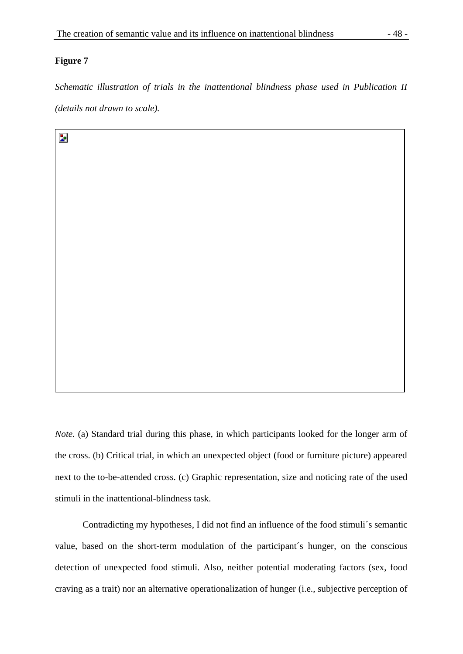### **Figure 7**

 $\mathbf{z}$ 

*Schematic illustration of trials in the inattentional blindness phase used in Publication II (details not drawn to scale).*

*Note.* (a) Standard trial during this phase, in which participants looked for the longer arm of the cross. (b) Critical trial, in which an unexpected object (food or furniture picture) appeared next to the to-be-attended cross. (c) Graphic representation, size and noticing rate of the used stimuli in the inattentional-blindness task.

Contradicting my hypotheses, I did not find an influence of the food stimuli´s semantic value, based on the short-term modulation of the participant´s hunger, on the conscious detection of unexpected food stimuli. Also, neither potential moderating factors (sex, food craving as a trait) nor an alternative operationalization of hunger (i.e., subjective perception of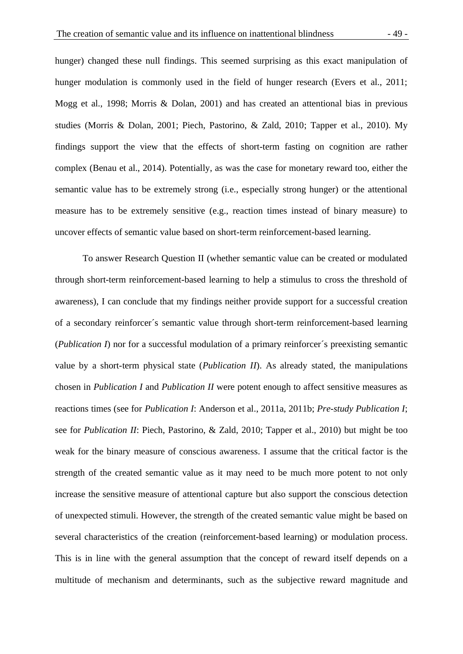hunger) changed these null findings. This seemed surprising as this exact manipulation of hunger modulation is commonly used in the field of hunger research (Evers et al., 2011; Mogg et al., 1998; Morris & Dolan, 2001) and has created an attentional bias in previous studies (Morris & Dolan, 2001; Piech, Pastorino, & Zald, 2010; Tapper et al., 2010). My findings support the view that the effects of short-term fasting on cognition are rather complex (Benau et al., 2014). Potentially, as was the case for monetary reward too, either the semantic value has to be extremely strong (i.e., especially strong hunger) or the attentional measure has to be extremely sensitive (e.g., reaction times instead of binary measure) to uncover effects of semantic value based on short-term reinforcement-based learning.

To answer Research Question II (whether semantic value can be created or modulated through short-term reinforcement-based learning to help a stimulus to cross the threshold of awareness), I can conclude that my findings neither provide support for a successful creation of a secondary reinforcer´s semantic value through short-term reinforcement-based learning (*Publication I*) nor for a successful modulation of a primary reinforcer´s preexisting semantic value by a short-term physical state (*Publication II*). As already stated, the manipulations chosen in *Publication I* and *Publication II* were potent enough to affect sensitive measures as reactions times (see for *Publication I*: Anderson et al., 2011a, 2011b; *Pre-study Publication I*; see for *Publication II*: Piech, Pastorino, & Zald, 2010; Tapper et al., 2010) but might be too weak for the binary measure of conscious awareness. I assume that the critical factor is the strength of the created semantic value as it may need to be much more potent to not only increase the sensitive measure of attentional capture but also support the conscious detection of unexpected stimuli. However, the strength of the created semantic value might be based on several characteristics of the creation (reinforcement-based learning) or modulation process. This is in line with the general assumption that the concept of reward itself depends on a multitude of mechanism and determinants, such as the subjective reward magnitude and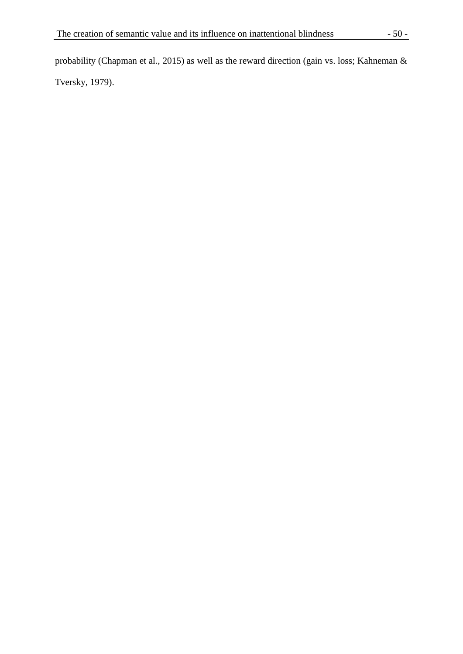probability (Chapman et al., 2015) as well as the reward direction (gain vs. loss; Kahneman & Tversky, 1979).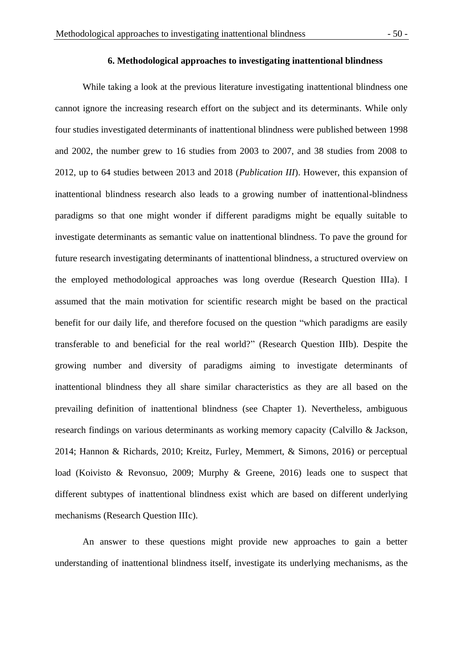While taking a look at the previous literature investigating inattentional blindness one cannot ignore the increasing research effort on the subject and its determinants. While only four studies investigated determinants of inattentional blindness were published between 1998 and 2002, the number grew to 16 studies from 2003 to 2007, and 38 studies from 2008 to 2012, up to 64 studies between 2013 and 2018 (*Publication III*). However, this expansion of inattentional blindness research also leads to a growing number of inattentional-blindness paradigms so that one might wonder if different paradigms might be equally suitable to investigate determinants as semantic value on inattentional blindness. To pave the ground for future research investigating determinants of inattentional blindness, a structured overview on the employed methodological approaches was long overdue (Research Question IIIa). I assumed that the main motivation for scientific research might be based on the practical benefit for our daily life, and therefore focused on the question "which paradigms are easily transferable to and beneficial for the real world?" (Research Question IIIb). Despite the growing number and diversity of paradigms aiming to investigate determinants of inattentional blindness they all share similar characteristics as they are all based on the prevailing definition of inattentional blindness (see Chapter 1). Nevertheless, ambiguous research findings on various determinants as working memory capacity (Calvillo & Jackson, 2014; Hannon & Richards, 2010; Kreitz, Furley, Memmert, & Simons, 2016) or perceptual load (Koivisto & Revonsuo, 2009; Murphy & Greene, 2016) leads one to suspect that different subtypes of inattentional blindness exist which are based on different underlying mechanisms (Research Question IIIc).

An answer to these questions might provide new approaches to gain a better understanding of inattentional blindness itself, investigate its underlying mechanisms, as the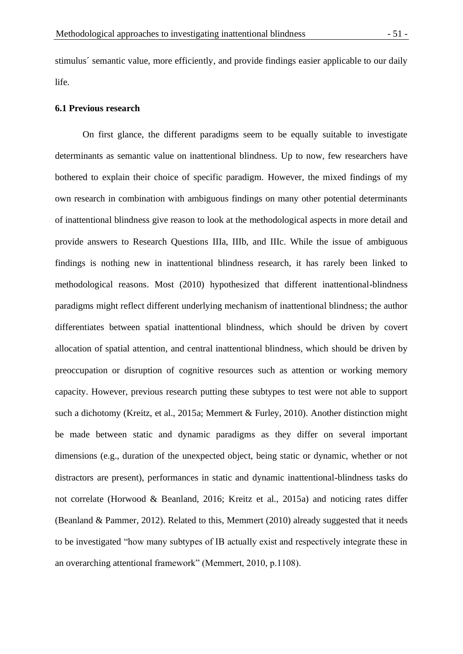stimulus´ semantic value, more efficiently, and provide findings easier applicable to our daily life.

### **6.1 Previous research**

On first glance, the different paradigms seem to be equally suitable to investigate determinants as semantic value on inattentional blindness. Up to now, few researchers have bothered to explain their choice of specific paradigm. However, the mixed findings of my own research in combination with ambiguous findings on many other potential determinants of inattentional blindness give reason to look at the methodological aspects in more detail and provide answers to Research Questions IIIa, IIIb, and IIIc. While the issue of ambiguous findings is nothing new in inattentional blindness research, it has rarely been linked to methodological reasons. Most (2010) hypothesized that different inattentional-blindness paradigms might reflect different underlying mechanism of inattentional blindness; the author differentiates between spatial inattentional blindness, which should be driven by covert allocation of spatial attention, and central inattentional blindness, which should be driven by preoccupation or disruption of cognitive resources such as attention or working memory capacity. However, previous research putting these subtypes to test were not able to support such a dichotomy (Kreitz, et al., 2015a; Memmert & Furley, 2010). Another distinction might be made between static and dynamic paradigms as they differ on several important dimensions (e.g., duration of the unexpected object, being static or dynamic, whether or not distractors are present), performances in static and dynamic inattentional-blindness tasks do not correlate (Horwood & Beanland, 2016; Kreitz et al., 2015a) and noticing rates differ (Beanland & Pammer, 2012). Related to this, Memmert (2010) already suggested that it needs to be investigated "how many subtypes of IB actually exist and respectively integrate these in an overarching attentional framework" (Memmert, 2010, p.1108).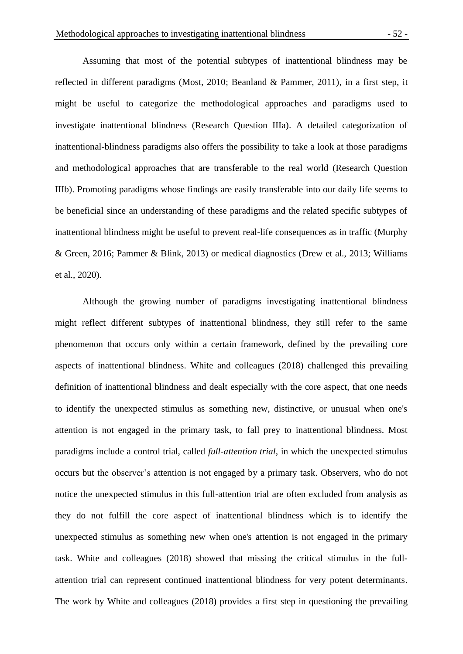Assuming that most of the potential subtypes of inattentional blindness may be reflected in different paradigms (Most, 2010; Beanland & Pammer, 2011), in a first step, it might be useful to categorize the methodological approaches and paradigms used to investigate inattentional blindness (Research Question IIIa). A detailed categorization of inattentional-blindness paradigms also offers the possibility to take a look at those paradigms and methodological approaches that are transferable to the real world (Research Question IIIb). Promoting paradigms whose findings are easily transferable into our daily life seems to be beneficial since an understanding of these paradigms and the related specific subtypes of inattentional blindness might be useful to prevent real-life consequences as in traffic (Murphy & Green, 2016; Pammer & Blink, 2013) or medical diagnostics (Drew et al., 2013; Williams et al., 2020).

Although the growing number of paradigms investigating inattentional blindness might reflect different subtypes of inattentional blindness, they still refer to the same phenomenon that occurs only within a certain framework, defined by the prevailing core aspects of inattentional blindness. White and colleagues (2018) challenged this prevailing definition of inattentional blindness and dealt especially with the core aspect, that one needs to identify the unexpected stimulus as something new, distinctive, or unusual when one's attention is not engaged in the primary task, to fall prey to inattentional blindness. Most paradigms include a control trial, called *full-attention trial*, in which the unexpected stimulus occurs but the observer's attention is not engaged by a primary task. Observers, who do not notice the unexpected stimulus in this full-attention trial are often excluded from analysis as they do not fulfill the core aspect of inattentional blindness which is to identify the unexpected stimulus as something new when one's attention is not engaged in the primary task. White and colleagues (2018) showed that missing the critical stimulus in the fullattention trial can represent continued inattentional blindness for very potent determinants. The work by White and colleagues (2018) provides a first step in questioning the prevailing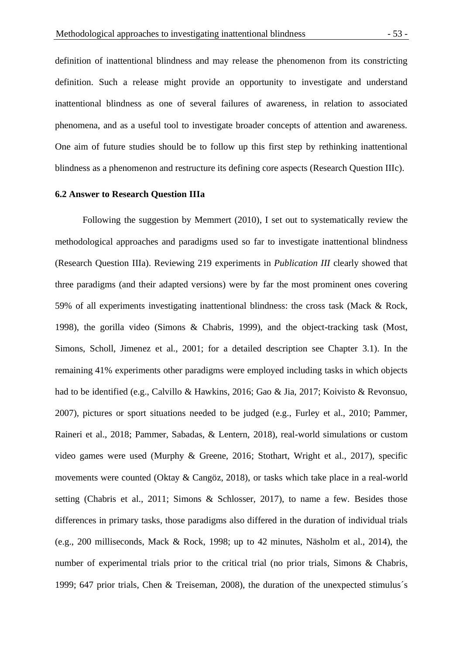definition of inattentional blindness and may release the phenomenon from its constricting definition. Such a release might provide an opportunity to investigate and understand inattentional blindness as one of several failures of awareness, in relation to associated phenomena, and as a useful tool to investigate broader concepts of attention and awareness. One aim of future studies should be to follow up this first step by rethinking inattentional blindness as a phenomenon and restructure its defining core aspects (Research Question IIIc).

### **6.2 Answer to Research Question IIIa**

Following the suggestion by Memmert (2010), I set out to systematically review the methodological approaches and paradigms used so far to investigate inattentional blindness (Research Question IIIa). Reviewing 219 experiments in *Publication III* clearly showed that three paradigms (and their adapted versions) were by far the most prominent ones covering 59% of all experiments investigating inattentional blindness: the cross task (Mack & Rock, 1998), the gorilla video (Simons & Chabris, 1999), and the object-tracking task (Most, Simons, Scholl, Jimenez et al., 2001; for a detailed description see Chapter 3.1). In the remaining 41% experiments other paradigms were employed including tasks in which objects had to be identified (e.g., Calvillo & Hawkins, 2016; Gao & Jia, 2017; Koivisto & Revonsuo, 2007), pictures or sport situations needed to be judged (e.g., Furley et al., 2010; Pammer, Raineri et al., 2018; Pammer, Sabadas, & Lentern, 2018), real-world simulations or custom video games were used (Murphy & Greene, 2016; Stothart, Wright et al., 2017), specific movements were counted (Oktay & Cangöz, 2018), or tasks which take place in a real-world setting (Chabris et al., 2011; Simons & Schlosser, 2017), to name a few. Besides those differences in primary tasks, those paradigms also differed in the duration of individual trials (e.g., 200 milliseconds, Mack & Rock, 1998; up to 42 minutes, Näsholm et al., 2014), the number of experimental trials prior to the critical trial (no prior trials, Simons & Chabris, 1999; 647 prior trials, Chen & Treiseman, 2008), the duration of the unexpected stimulus´s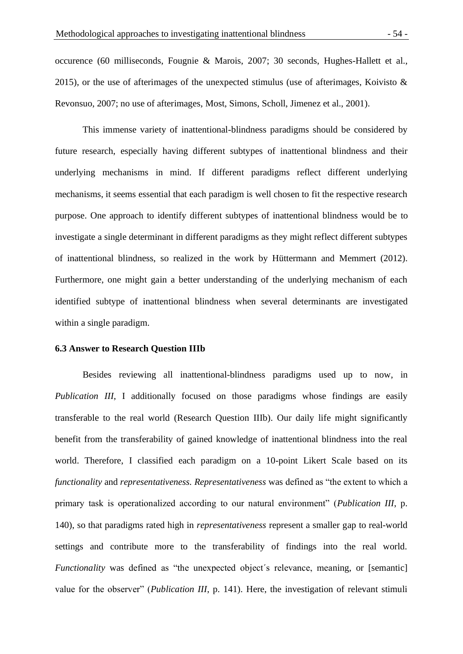occurence (60 milliseconds, Fougnie & Marois, 2007; 30 seconds, Hughes-Hallett et al., 2015), or the use of afterimages of the unexpected stimulus (use of afterimages, Koivisto  $\&$ Revonsuo, 2007; no use of afterimages, Most, Simons, Scholl, Jimenez et al., 2001).

This immense variety of inattentional-blindness paradigms should be considered by future research, especially having different subtypes of inattentional blindness and their underlying mechanisms in mind. If different paradigms reflect different underlying mechanisms, it seems essential that each paradigm is well chosen to fit the respective research purpose. One approach to identify different subtypes of inattentional blindness would be to investigate a single determinant in different paradigms as they might reflect different subtypes of inattentional blindness, so realized in the work by Hüttermann and Memmert (2012). Furthermore, one might gain a better understanding of the underlying mechanism of each identified subtype of inattentional blindness when several determinants are investigated within a single paradigm.

#### **6.3 Answer to Research Question IIIb**

Besides reviewing all inattentional-blindness paradigms used up to now, in *Publication III*, I additionally focused on those paradigms whose findings are easily transferable to the real world (Research Question IIIb). Our daily life might significantly benefit from the transferability of gained knowledge of inattentional blindness into the real world. Therefore, I classified each paradigm on a 10-point Likert Scale based on its *functionality* and *representativeness. Representativeness* was defined as "the extent to which a primary task is operationalized according to our natural environment" (*Publication III*, p. 140), so that paradigms rated high in *representativeness* represent a smaller gap to real-world settings and contribute more to the transferability of findings into the real world. *Functionality* was defined as "the unexpected object's relevance, meaning, or [semantic] value for the observer" (*Publication III*, p. 141). Here, the investigation of relevant stimuli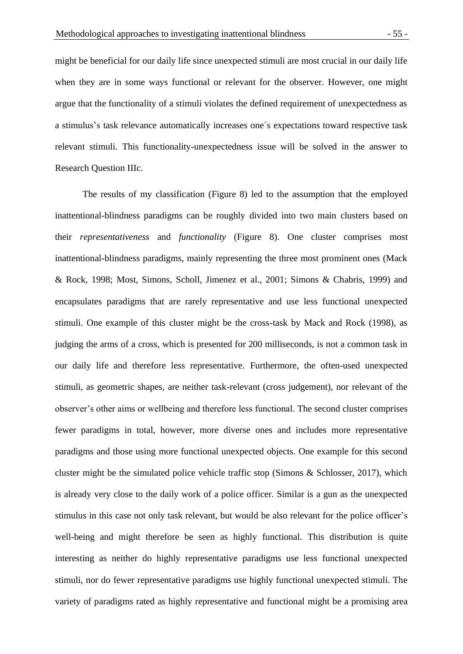might be beneficial for our daily life since unexpected stimuli are most crucial in our daily life when they are in some ways functional or relevant for the observer. However, one might argue that the functionality of a stimuli violates the defined requirement of unexpectedness as a stimulus's task relevance automatically increases one´s expectations toward respective task relevant stimuli. This functionality-unexpectedness issue will be solved in the answer to Research Question IIIc.

The results of my classification (Figure 8) led to the assumption that the employed inattentional-blindness paradigms can be roughly divided into two main clusters based on their *representativeness* and *functionality* (Figure 8). One cluster comprises most inattentional-blindness paradigms, mainly representing the three most prominent ones (Mack & Rock, 1998; Most, Simons, Scholl, Jimenez et al., 2001; Simons & Chabris, 1999) and encapsulates paradigms that are rarely representative and use less functional unexpected stimuli. One example of this cluster might be the cross-task by Mack and Rock (1998), as judging the arms of a cross, which is presented for 200 milliseconds, is not a common task in our daily life and therefore less representative. Furthermore, the often-used unexpected stimuli, as geometric shapes, are neither task-relevant (cross judgement), nor relevant of the observer's other aims or wellbeing and therefore less functional. The second cluster comprises fewer paradigms in total, however, more diverse ones and includes more representative paradigms and those using more functional unexpected objects. One example for this second cluster might be the simulated police vehicle traffic stop (Simons & Schlosser, 2017), which is already very close to the daily work of a police officer. Similar is a gun as the unexpected stimulus in this case not only task relevant, but would be also relevant for the police officer's well-being and might therefore be seen as highly functional. This distribution is quite interesting as neither do highly representative paradigms use less functional unexpected stimuli, nor do fewer representative paradigms use highly functional unexpected stimuli. The variety of paradigms rated as highly representative and functional might be a promising area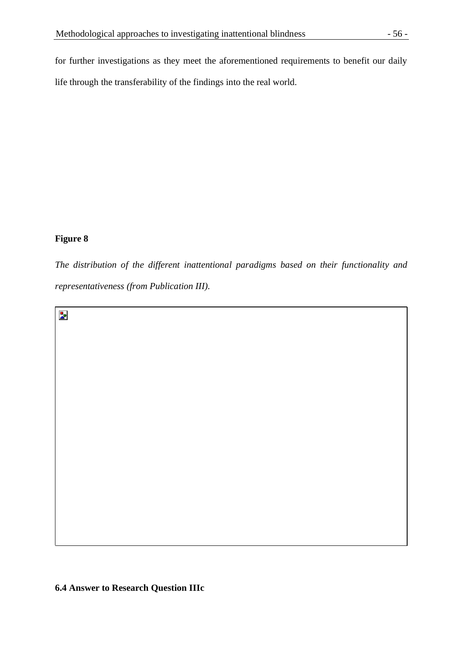for further investigations as they meet the aforementioned requirements to benefit our daily life through the transferability of the findings into the real world.

# **Figure 8**

*The distribution of the different inattentional paradigms based on their functionality and representativeness (from Publication III).*

 $\mathbf{z}$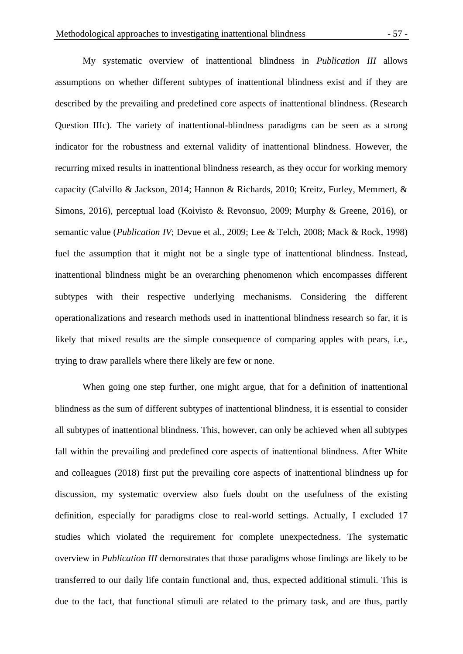My systematic overview of inattentional blindness in *Publication III* allows assumptions on whether different subtypes of inattentional blindness exist and if they are described by the prevailing and predefined core aspects of inattentional blindness. (Research Question IIIc). The variety of inattentional-blindness paradigms can be seen as a strong indicator for the robustness and external validity of inattentional blindness. However, the recurring mixed results in inattentional blindness research, as they occur for working memory capacity (Calvillo & Jackson, 2014; Hannon & Richards, 2010; Kreitz, Furley, Memmert, & Simons, 2016), perceptual load (Koivisto & Revonsuo, 2009; Murphy & Greene, 2016), or semantic value (*Publication IV*; Devue et al., 2009; Lee & Telch, 2008; Mack & Rock, 1998) fuel the assumption that it might not be a single type of inattentional blindness. Instead, inattentional blindness might be an overarching phenomenon which encompasses different subtypes with their respective underlying mechanisms. Considering the different operationalizations and research methods used in inattentional blindness research so far, it is likely that mixed results are the simple consequence of comparing apples with pears, i.e., trying to draw parallels where there likely are few or none.

When going one step further, one might argue, that for a definition of inattentional blindness as the sum of different subtypes of inattentional blindness, it is essential to consider all subtypes of inattentional blindness. This, however, can only be achieved when all subtypes fall within the prevailing and predefined core aspects of inattentional blindness. After White and colleagues (2018) first put the prevailing core aspects of inattentional blindness up for discussion, my systematic overview also fuels doubt on the usefulness of the existing definition, especially for paradigms close to real-world settings. Actually, I excluded 17 studies which violated the requirement for complete unexpectedness. The systematic overview in *Publication III* demonstrates that those paradigms whose findings are likely to be transferred to our daily life contain functional and, thus, expected additional stimuli. This is due to the fact, that functional stimuli are related to the primary task, and are thus, partly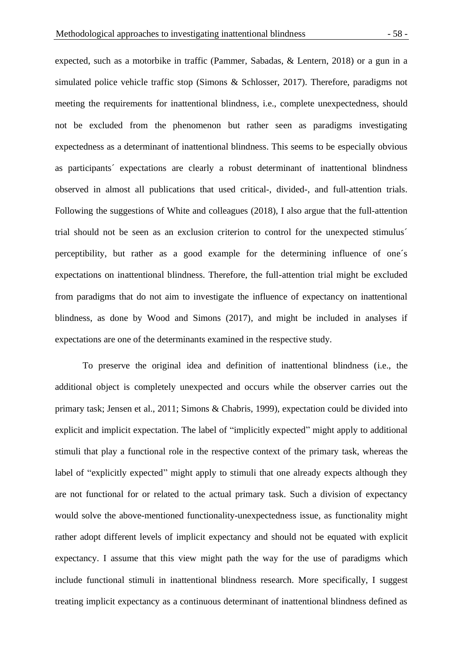expected, such as a motorbike in traffic (Pammer, Sabadas, & Lentern, 2018) or a gun in a simulated police vehicle traffic stop (Simons & Schlosser, 2017). Therefore, paradigms not meeting the requirements for inattentional blindness, i.e., complete unexpectedness, should not be excluded from the phenomenon but rather seen as paradigms investigating expectedness as a determinant of inattentional blindness. This seems to be especially obvious as participants´ expectations are clearly a robust determinant of inattentional blindness observed in almost all publications that used critical-, divided-, and full-attention trials. Following the suggestions of White and colleagues (2018), I also argue that the full-attention trial should not be seen as an exclusion criterion to control for the unexpected stimulus´ perceptibility, but rather as a good example for the determining influence of one´s expectations on inattentional blindness. Therefore, the full-attention trial might be excluded from paradigms that do not aim to investigate the influence of expectancy on inattentional blindness, as done by Wood and Simons (2017), and might be included in analyses if expectations are one of the determinants examined in the respective study.

To preserve the original idea and definition of inattentional blindness (i.e., the additional object is completely unexpected and occurs while the observer carries out the primary task; Jensen et al., 2011; Simons & Chabris, 1999), expectation could be divided into explicit and implicit expectation. The label of "implicitly expected" might apply to additional stimuli that play a functional role in the respective context of the primary task, whereas the label of "explicitly expected" might apply to stimuli that one already expects although they are not functional for or related to the actual primary task. Such a division of expectancy would solve the above-mentioned functionality-unexpectedness issue, as functionality might rather adopt different levels of implicit expectancy and should not be equated with explicit expectancy. I assume that this view might path the way for the use of paradigms which include functional stimuli in inattentional blindness research. More specifically, I suggest treating implicit expectancy as a continuous determinant of inattentional blindness defined as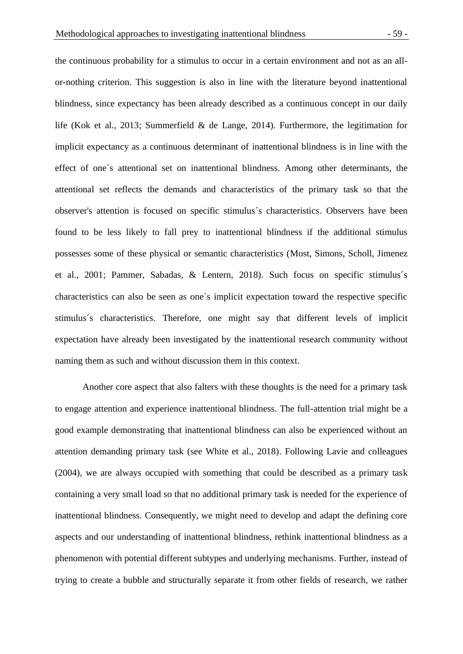the continuous probability for a stimulus to occur in a certain environment and not as an allor-nothing criterion. This suggestion is also in line with the literature beyond inattentional blindness, since expectancy has been already described as a continuous concept in our daily life (Kok et al., 2013; Summerfield & de Lange, 2014). Furthermore, the legitimation for implicit expectancy as a continuous determinant of inattentional blindness is in line with the effect of one´s attentional set on inattentional blindness. Among other determinants, the attentional set reflects the demands and characteristics of the primary task so that the observer's attention is focused on specific stimulus´s characteristics. Observers have been found to be less likely to fall prey to inattentional blindness if the additional stimulus possesses some of these physical or semantic characteristics (Most, Simons, Scholl, Jimenez et al., 2001; Pammer, Sabadas, & Lentern, 2018). Such focus on specific stimulus´s characteristics can also be seen as one´s implicit expectation toward the respective specific stimulus´s characteristics. Therefore, one might say that different levels of implicit expectation have already been investigated by the inattentional research community without naming them as such and without discussion them in this context.

Another core aspect that also falters with these thoughts is the need for a primary task to engage attention and experience inattentional blindness. The full-attention trial might be a good example demonstrating that inattentional blindness can also be experienced without an attention demanding primary task (see White et al., 2018). Following Lavie and colleagues (2004), we are always occupied with something that could be described as a primary task containing a very small load so that no additional primary task is needed for the experience of inattentional blindness. Consequently, we might need to develop and adapt the defining core aspects and our understanding of inattentional blindness, rethink inattentional blindness as a phenomenon with potential different subtypes and underlying mechanisms. Further, instead of trying to create a bubble and structurally separate it from other fields of research, we rather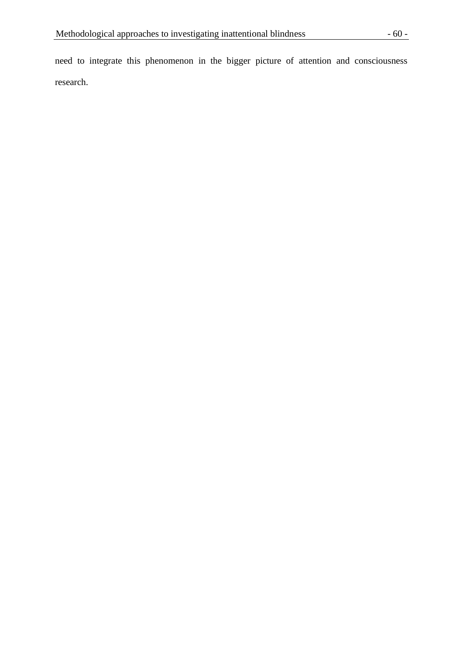need to integrate this phenomenon in the bigger picture of attention and consciousness research.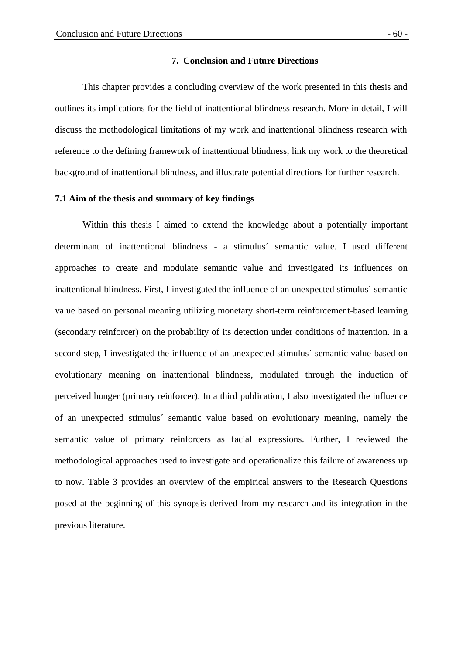# **7. Conclusion and Future Directions**

This chapter provides a concluding overview of the work presented in this thesis and outlines its implications for the field of inattentional blindness research. More in detail, I will discuss the methodological limitations of my work and inattentional blindness research with reference to the defining framework of inattentional blindness, link my work to the theoretical background of inattentional blindness, and illustrate potential directions for further research.

#### **7.1 Aim of the thesis and summary of key findings**

Within this thesis I aimed to extend the knowledge about a potentially important determinant of inattentional blindness - a stimulus´ semantic value. I used different approaches to create and modulate semantic value and investigated its influences on inattentional blindness. First, I investigated the influence of an unexpected stimulus´ semantic value based on personal meaning utilizing monetary short-term reinforcement-based learning (secondary reinforcer) on the probability of its detection under conditions of inattention. In a second step, I investigated the influence of an unexpected stimulus´ semantic value based on evolutionary meaning on inattentional blindness, modulated through the induction of perceived hunger (primary reinforcer). In a third publication, I also investigated the influence of an unexpected stimulus´ semantic value based on evolutionary meaning, namely the semantic value of primary reinforcers as facial expressions. Further, I reviewed the methodological approaches used to investigate and operationalize this failure of awareness up to now. Table 3 provides an overview of the empirical answers to the Research Questions posed at the beginning of this synopsis derived from my research and its integration in the previous literature.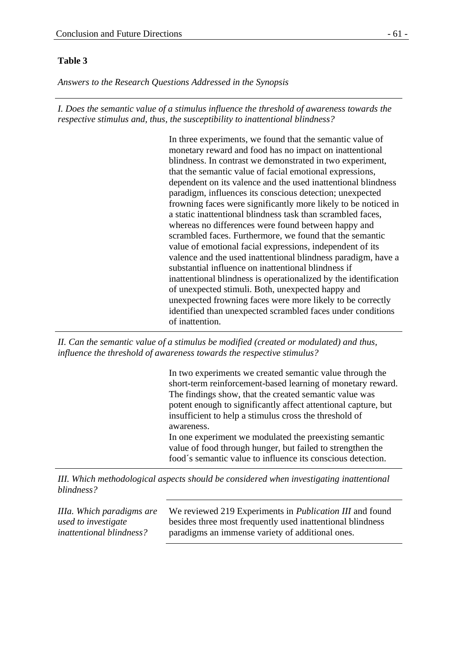# **Table 3**

*Answers to the Research Questions Addressed in the Synopsis*

*I. Does the semantic value of a stimulus influence the threshold of awareness towards the respective stimulus and, thus, the susceptibility to inattentional blindness?*

> In three experiments, we found that the semantic value of monetary reward and food has no impact on inattentional blindness. In contrast we demonstrated in two experiment, that the semantic value of facial emotional expressions, dependent on its valence and the used inattentional blindness paradigm, influences its conscious detection; unexpected frowning faces were significantly more likely to be noticed in a static inattentional blindness task than scrambled faces, whereas no differences were found between happy and scrambled faces. Furthermore, we found that the semantic value of emotional facial expressions, independent of its valence and the used inattentional blindness paradigm, have a substantial influence on inattentional blindness if inattentional blindness is operationalized by the identification of unexpected stimuli. Both, unexpected happy and unexpected frowning faces were more likely to be correctly identified than unexpected scrambled faces under conditions of inattention.

*II. Can the semantic value of a stimulus be modified (created or modulated) and thus, influence the threshold of awareness towards the respective stimulus?*

> In two experiments we created semantic value through the short-term reinforcement-based learning of monetary reward. The findings show, that the created semantic value was potent enough to significantly affect attentional capture, but insufficient to help a stimulus cross the threshold of awareness. In one experiment we modulated the preexisting semantic

value of food through hunger, but failed to strengthen the food´s semantic value to influence its conscious detection.

*III. Which methodological aspects should be considered when investigating inattentional blindness?*

*IIIa. Which paradigms are used to investigate inattentional blindness?* We reviewed 219 Experiments in *Publication III* and found besides three most frequently used inattentional blindness paradigms an immense variety of additional ones.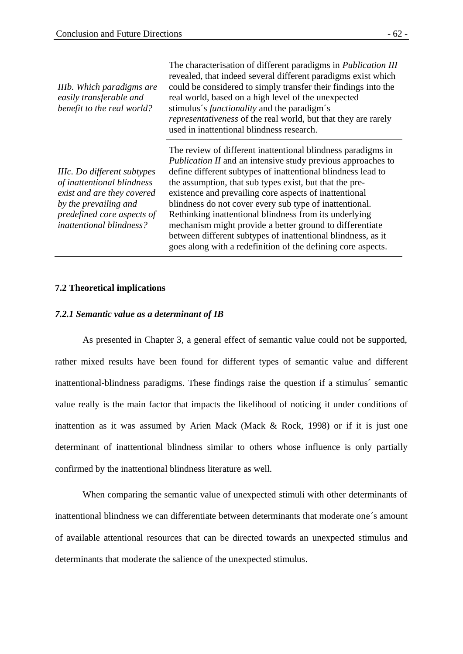| IIIb. Which paradigms are<br>easily transferable and<br>benefit to the real world?                                                                                                | The characterisation of different paradigms in <i>Publication III</i><br>revealed, that indeed several different paradigms exist which<br>could be considered to simply transfer their findings into the<br>real world, based on a high level of the unexpected<br>stimulus's <i>functionality</i> and the paradigm's<br><i>representativeness</i> of the real world, but that they are rarely<br>used in inattentional blindness research.                                                                                                                                                                                               |
|-----------------------------------------------------------------------------------------------------------------------------------------------------------------------------------|-------------------------------------------------------------------------------------------------------------------------------------------------------------------------------------------------------------------------------------------------------------------------------------------------------------------------------------------------------------------------------------------------------------------------------------------------------------------------------------------------------------------------------------------------------------------------------------------------------------------------------------------|
| IIIc. Do different subtypes<br>of inattentional blindness<br>exist and are they covered<br>by the prevailing and<br>predefined core aspects of<br><i>inattentional blindness?</i> | The review of different inattentional blindness paradigms in<br><i>Publication II</i> and an intensive study previous approaches to<br>define different subtypes of inattentional blindness lead to<br>the assumption, that sub types exist, but that the pre-<br>existence and prevailing core aspects of inattentional<br>blindness do not cover every sub type of inattentional.<br>Rethinking inattentional blindness from its underlying<br>mechanism might provide a better ground to differentiate<br>between different subtypes of inattentional blindness, as it<br>goes along with a redefinition of the defining core aspects. |

## **7.2 Theoretical implications**

### *7.2.1 Semantic value as a determinant of IB*

As presented in Chapter 3, a general effect of semantic value could not be supported, rather mixed results have been found for different types of semantic value and different inattentional-blindness paradigms. These findings raise the question if a stimulus´ semantic value really is the main factor that impacts the likelihood of noticing it under conditions of inattention as it was assumed by Arien Mack (Mack & Rock, 1998) or if it is just one determinant of inattentional blindness similar to others whose influence is only partially confirmed by the inattentional blindness literature as well.

When comparing the semantic value of unexpected stimuli with other determinants of inattentional blindness we can differentiate between determinants that moderate one´s amount of available attentional resources that can be directed towards an unexpected stimulus and determinants that moderate the salience of the unexpected stimulus.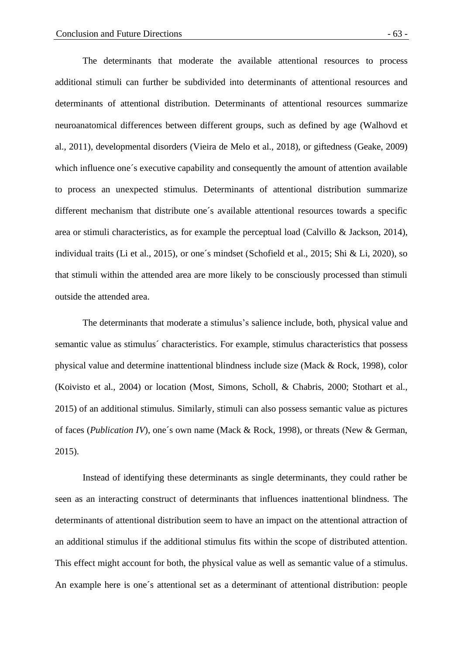The determinants that moderate the available attentional resources to process additional stimuli can further be subdivided into determinants of attentional resources and determinants of attentional distribution. Determinants of attentional resources summarize neuroanatomical differences between different groups, such as defined by age (Walhovd et al., 2011), developmental disorders (Vieira de Melo et al., 2018), or giftedness (Geake, 2009) which influence one's executive capability and consequently the amount of attention available to process an unexpected stimulus. Determinants of attentional distribution summarize different mechanism that distribute one´s available attentional resources towards a specific area or stimuli characteristics, as for example the perceptual load (Calvillo & Jackson, 2014), individual traits (Li et al., 2015), or one´s mindset (Schofield et al., 2015; Shi & Li, 2020), so that stimuli within the attended area are more likely to be consciously processed than stimuli outside the attended area.

The determinants that moderate a stimulus's salience include, both, physical value and semantic value as stimulus´ characteristics. For example, stimulus characteristics that possess physical value and determine inattentional blindness include size (Mack & Rock, 1998), color (Koivisto et al., 2004) or location (Most, Simons, Scholl, & Chabris, 2000; Stothart et al., 2015) of an additional stimulus. Similarly, stimuli can also possess semantic value as pictures of faces (*Publication IV*), one´s own name (Mack & Rock, 1998), or threats (New & German, 2015).

Instead of identifying these determinants as single determinants, they could rather be seen as an interacting construct of determinants that influences inattentional blindness. The determinants of attentional distribution seem to have an impact on the attentional attraction of an additional stimulus if the additional stimulus fits within the scope of distributed attention. This effect might account for both, the physical value as well as semantic value of a stimulus. An example here is one´s attentional set as a determinant of attentional distribution: people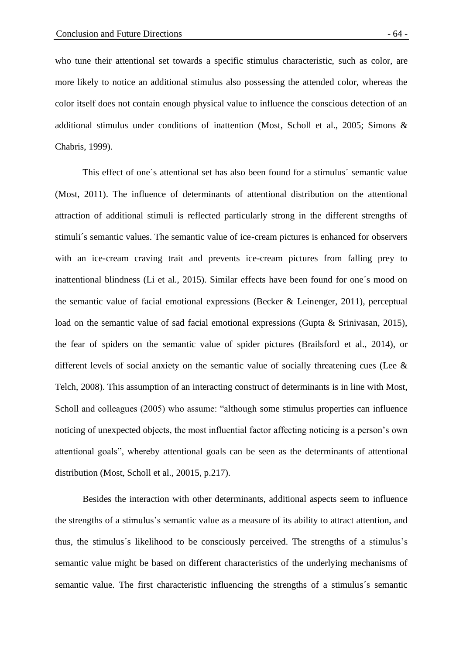who tune their attentional set towards a specific stimulus characteristic, such as color, are more likely to notice an additional stimulus also possessing the attended color, whereas the color itself does not contain enough physical value to influence the conscious detection of an additional stimulus under conditions of inattention (Most, Scholl et al., 2005; Simons & Chabris, 1999).

This effect of one´s attentional set has also been found for a stimulus´ semantic value (Most, 2011). The influence of determinants of attentional distribution on the attentional attraction of additional stimuli is reflected particularly strong in the different strengths of stimuli´s semantic values. The semantic value of ice-cream pictures is enhanced for observers with an ice-cream craving trait and prevents ice-cream pictures from falling prey to inattentional blindness (Li et al., 2015). Similar effects have been found for one´s mood on the semantic value of facial emotional expressions (Becker & Leinenger, 2011), perceptual load on the semantic value of sad facial emotional expressions (Gupta & Srinivasan, 2015), the fear of spiders on the semantic value of spider pictures (Brailsford et al., 2014), or different levels of social anxiety on the semantic value of socially threatening cues (Lee & Telch, 2008). This assumption of an interacting construct of determinants is in line with Most, Scholl and colleagues (2005) who assume: "although some stimulus properties can influence noticing of unexpected objects, the most influential factor affecting noticing is a person's own attentional goals", whereby attentional goals can be seen as the determinants of attentional distribution (Most, Scholl et al., 20015, p.217).

Besides the interaction with other determinants, additional aspects seem to influence the strengths of a stimulus's semantic value as a measure of its ability to attract attention, and thus, the stimulus´s likelihood to be consciously perceived. The strengths of a stimulus's semantic value might be based on different characteristics of the underlying mechanisms of semantic value. The first characteristic influencing the strengths of a stimulus´s semantic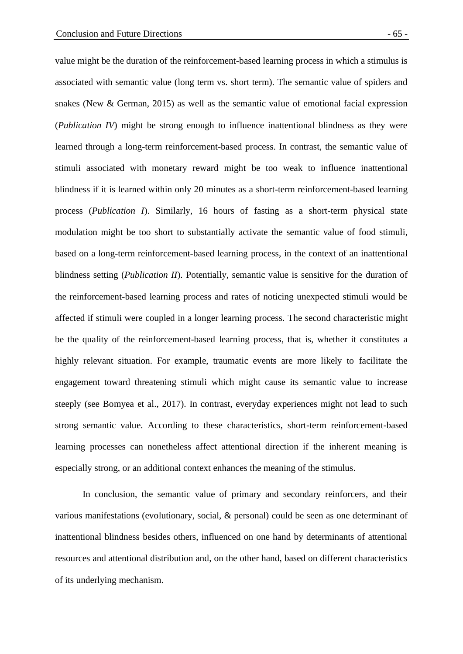value might be the duration of the reinforcement-based learning process in which a stimulus is associated with semantic value (long term vs. short term). The semantic value of spiders and snakes (New & German, 2015) as well as the semantic value of emotional facial expression (*Publication IV*) might be strong enough to influence inattentional blindness as they were learned through a long-term reinforcement-based process. In contrast, the semantic value of stimuli associated with monetary reward might be too weak to influence inattentional blindness if it is learned within only 20 minutes as a short-term reinforcement-based learning process (*Publication I*). Similarly, 16 hours of fasting as a short-term physical state modulation might be too short to substantially activate the semantic value of food stimuli, based on a long-term reinforcement-based learning process, in the context of an inattentional blindness setting (*Publication II*). Potentially, semantic value is sensitive for the duration of the reinforcement-based learning process and rates of noticing unexpected stimuli would be affected if stimuli were coupled in a longer learning process. The second characteristic might be the quality of the reinforcement-based learning process, that is, whether it constitutes a highly relevant situation. For example, traumatic events are more likely to facilitate the engagement toward threatening stimuli which might cause its semantic value to increase steeply (see Bomyea et al., 2017). In contrast, everyday experiences might not lead to such strong semantic value. According to these characteristics, short-term reinforcement-based learning processes can nonetheless affect attentional direction if the inherent meaning is especially strong, or an additional context enhances the meaning of the stimulus.

In conclusion, the semantic value of primary and secondary reinforcers, and their various manifestations (evolutionary, social, & personal) could be seen as one determinant of inattentional blindness besides others, influenced on one hand by determinants of attentional resources and attentional distribution and, on the other hand, based on different characteristics of its underlying mechanism.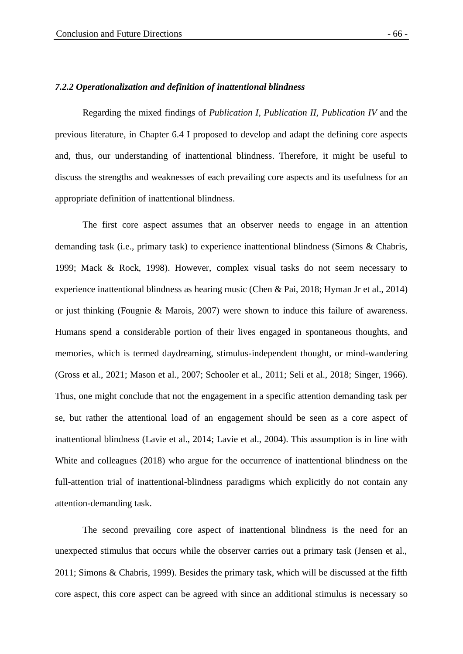#### *7.2.2 Operationalization and definition of inattentional blindness*

Regarding the mixed findings of *Publication I, Publication II, Publication IV* and the previous literature, in Chapter 6.4 I proposed to develop and adapt the defining core aspects and, thus, our understanding of inattentional blindness. Therefore, it might be useful to discuss the strengths and weaknesses of each prevailing core aspects and its usefulness for an appropriate definition of inattentional blindness.

The first core aspect assumes that an observer needs to engage in an attention demanding task (i.e., primary task) to experience inattentional blindness (Simons & Chabris, 1999; Mack & Rock, 1998). However, complex visual tasks do not seem necessary to experience inattentional blindness as hearing music (Chen & Pai, 2018; Hyman Jr et al., 2014) or just thinking (Fougnie & Marois, 2007) were shown to induce this failure of awareness. Humans spend a considerable portion of their lives engaged in spontaneous thoughts, and memories, which is termed daydreaming, stimulus-independent thought, or mind-wandering (Gross et al., 2021; Mason et al., 2007; Schooler et al., 2011; Seli et al., 2018; Singer, 1966). Thus, one might conclude that not the engagement in a specific attention demanding task per se, but rather the attentional load of an engagement should be seen as a core aspect of inattentional blindness (Lavie et al., 2014; Lavie et al., 2004). This assumption is in line with White and colleagues (2018) who argue for the occurrence of inattentional blindness on the full-attention trial of inattentional-blindness paradigms which explicitly do not contain any attention-demanding task.

The second prevailing core aspect of inattentional blindness is the need for an unexpected stimulus that occurs while the observer carries out a primary task (Jensen et al., 2011; Simons & Chabris, 1999). Besides the primary task, which will be discussed at the fifth core aspect, this core aspect can be agreed with since an additional stimulus is necessary so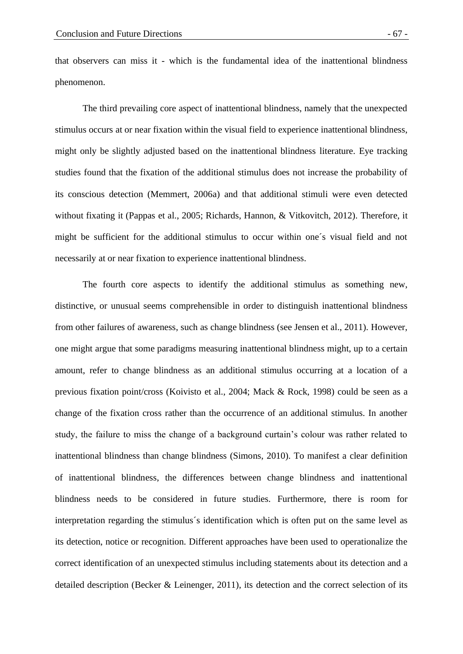that observers can miss it - which is the fundamental idea of the inattentional blindness phenomenon.

The third prevailing core aspect of inattentional blindness, namely that the unexpected stimulus occurs at or near fixation within the visual field to experience inattentional blindness, might only be slightly adjusted based on the inattentional blindness literature. Eye tracking studies found that the fixation of the additional stimulus does not increase the probability of its conscious detection (Memmert, 2006a) and that additional stimuli were even detected without fixating it (Pappas et al., 2005; Richards, Hannon, & Vitkovitch, 2012). Therefore, it might be sufficient for the additional stimulus to occur within one´s visual field and not necessarily at or near fixation to experience inattentional blindness.

The fourth core aspects to identify the additional stimulus as something new, distinctive, or unusual seems comprehensible in order to distinguish inattentional blindness from other failures of awareness, such as change blindness (see Jensen et al., 2011). However, one might argue that some paradigms measuring inattentional blindness might, up to a certain amount, refer to change blindness as an additional stimulus occurring at a location of a previous fixation point/cross (Koivisto et al., 2004; Mack & Rock, 1998) could be seen as a change of the fixation cross rather than the occurrence of an additional stimulus. In another study, the failure to miss the change of a background curtain's colour was rather related to inattentional blindness than change blindness (Simons, 2010). To manifest a clear definition of inattentional blindness, the differences between change blindness and inattentional blindness needs to be considered in future studies. Furthermore, there is room for interpretation regarding the stimulus´s identification which is often put on the same level as its detection, notice or recognition. Different approaches have been used to operationalize the correct identification of an unexpected stimulus including statements about its detection and a detailed description (Becker & Leinenger, 2011), its detection and the correct selection of its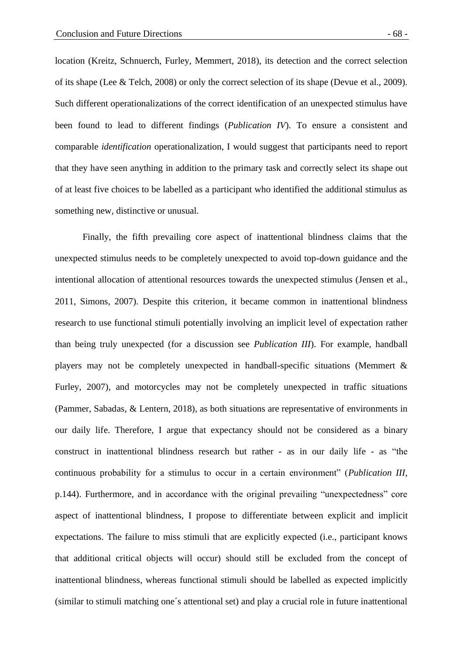location (Kreitz, Schnuerch, Furley, Memmert, 2018), its detection and the correct selection of its shape (Lee & Telch, 2008) or only the correct selection of its shape (Devue et al., 2009). Such different operationalizations of the correct identification of an unexpected stimulus have been found to lead to different findings (*Publication IV*). To ensure a consistent and comparable *identification* operationalization, I would suggest that participants need to report that they have seen anything in addition to the primary task and correctly select its shape out of at least five choices to be labelled as a participant who identified the additional stimulus as something new, distinctive or unusual.

Finally, the fifth prevailing core aspect of inattentional blindness claims that the unexpected stimulus needs to be completely unexpected to avoid top-down guidance and the intentional allocation of attentional resources towards the unexpected stimulus (Jensen et al., 2011, Simons, 2007). Despite this criterion, it became common in inattentional blindness research to use functional stimuli potentially involving an implicit level of expectation rather than being truly unexpected (for a discussion see *Publication III*). For example, handball players may not be completely unexpected in handball-specific situations (Memmert & Furley, 2007), and motorcycles may not be completely unexpected in traffic situations (Pammer, Sabadas, & Lentern, 2018), as both situations are representative of environments in our daily life. Therefore, I argue that expectancy should not be considered as a binary construct in inattentional blindness research but rather - as in our daily life - as "the continuous probability for a stimulus to occur in a certain environment" (*Publication III*, p.144). Furthermore, and in accordance with the original prevailing "unexpectedness" core aspect of inattentional blindness, I propose to differentiate between explicit and implicit expectations. The failure to miss stimuli that are explicitly expected (i.e., participant knows that additional critical objects will occur) should still be excluded from the concept of inattentional blindness, whereas functional stimuli should be labelled as expected implicitly (similar to stimuli matching one´s attentional set) and play a crucial role in future inattentional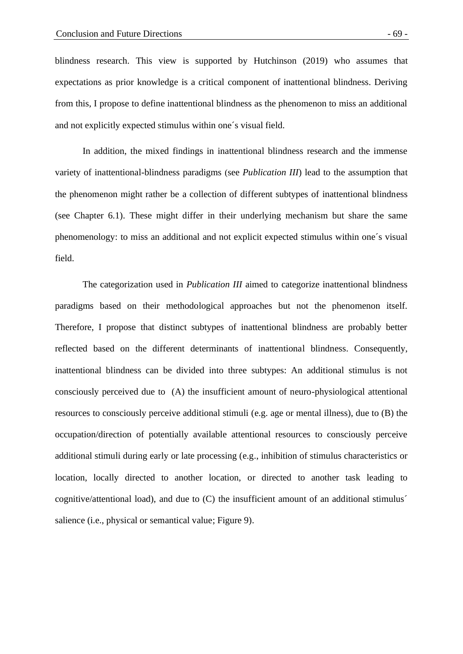blindness research. This view is supported by Hutchinson (2019) who assumes that expectations as prior knowledge is a critical component of inattentional blindness. Deriving from this, I propose to define inattentional blindness as the phenomenon to miss an additional and not explicitly expected stimulus within one´s visual field.

In addition, the mixed findings in inattentional blindness research and the immense variety of inattentional-blindness paradigms (see *Publication III*) lead to the assumption that the phenomenon might rather be a collection of different subtypes of inattentional blindness (see Chapter 6.1). These might differ in their underlying mechanism but share the same phenomenology: to miss an additional and not explicit expected stimulus within one´s visual field.

The categorization used in *Publication III* aimed to categorize inattentional blindness paradigms based on their methodological approaches but not the phenomenon itself. Therefore, I propose that distinct subtypes of inattentional blindness are probably better reflected based on the different determinants of inattentional blindness. Consequently, inattentional blindness can be divided into three subtypes: An additional stimulus is not consciously perceived due to (A) the insufficient amount of neuro-physiological attentional resources to consciously perceive additional stimuli (e.g. age or mental illness), due to (B) the occupation/direction of potentially available attentional resources to consciously perceive additional stimuli during early or late processing (e.g., inhibition of stimulus characteristics or location, locally directed to another location, or directed to another task leading to cognitive/attentional load), and due to (C) the insufficient amount of an additional stimulus´ salience (i.e., physical or semantical value; Figure 9).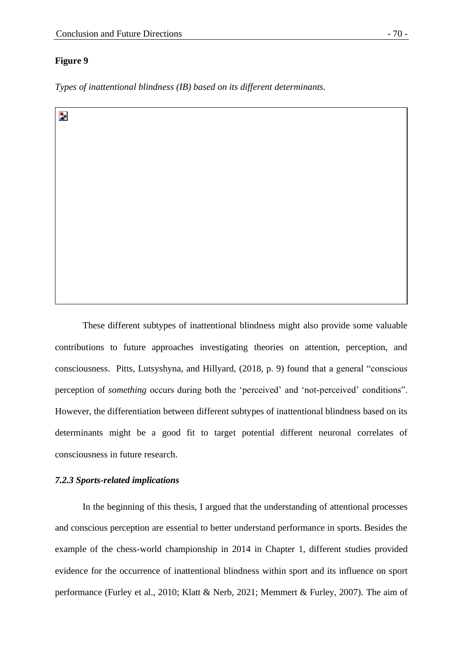## **Figure 9**

Þ.

*Types of inattentional blindness (IB) based on its different determinants.*

These different subtypes of inattentional blindness might also provide some valuable contributions to future approaches investigating theories on attention, perception, and consciousness. Pitts, Lutsyshyna, and Hillyard, (2018, p. 9) found that a general "conscious perception of *something* occurs during both the 'perceived' and 'not-perceived' conditions". However, the differentiation between different subtypes of inattentional blindness based on its determinants might be a good fit to target potential different neuronal correlates of consciousness in future research.

# *7.2.3 Sports-related implications*

In the beginning of this thesis, I argued that the understanding of attentional processes and conscious perception are essential to better understand performance in sports. Besides the example of the chess-world championship in 2014 in Chapter 1, different studies provided evidence for the occurrence of inattentional blindness within sport and its influence on sport performance (Furley et al., 2010; Klatt & Nerb, 2021; Memmert & Furley, 2007). The aim of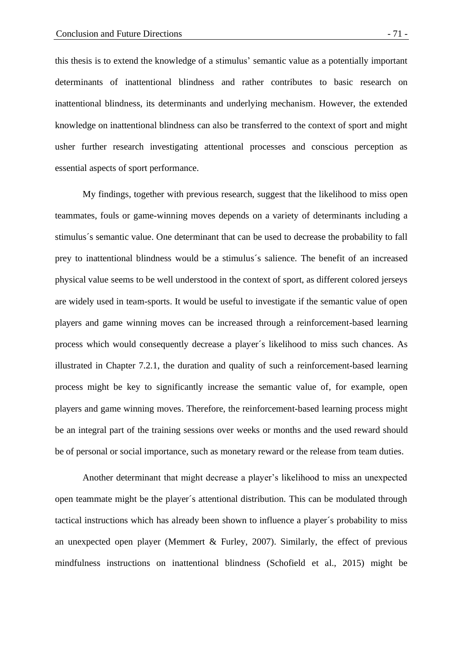this thesis is to extend the knowledge of a stimulus' semantic value as a potentially important determinants of inattentional blindness and rather contributes to basic research on inattentional blindness, its determinants and underlying mechanism. However, the extended knowledge on inattentional blindness can also be transferred to the context of sport and might usher further research investigating attentional processes and conscious perception as essential aspects of sport performance.

My findings, together with previous research, suggest that the likelihood to miss open teammates, fouls or game-winning moves depends on a variety of determinants including a stimulus´s semantic value. One determinant that can be used to decrease the probability to fall prey to inattentional blindness would be a stimulus´s salience. The benefit of an increased physical value seems to be well understood in the context of sport, as different colored jerseys are widely used in team-sports. It would be useful to investigate if the semantic value of open players and game winning moves can be increased through a reinforcement-based learning process which would consequently decrease a player´s likelihood to miss such chances. As illustrated in Chapter 7.2.1, the duration and quality of such a reinforcement-based learning process might be key to significantly increase the semantic value of, for example, open players and game winning moves. Therefore, the reinforcement-based learning process might be an integral part of the training sessions over weeks or months and the used reward should be of personal or social importance, such as monetary reward or the release from team duties.

Another determinant that might decrease a player's likelihood to miss an unexpected open teammate might be the player´s attentional distribution. This can be modulated through tactical instructions which has already been shown to influence a player´s probability to miss an unexpected open player (Memmert & Furley, 2007). Similarly, the effect of previous mindfulness instructions on inattentional blindness (Schofield et al., 2015) might be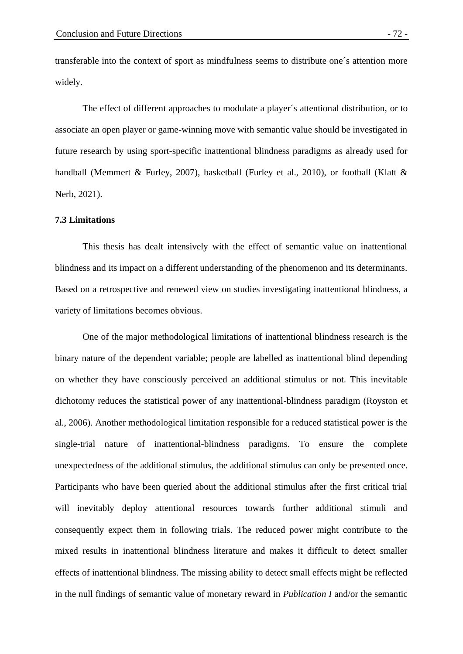transferable into the context of sport as mindfulness seems to distribute one´s attention more widely.

The effect of different approaches to modulate a player´s attentional distribution, or to associate an open player or game-winning move with semantic value should be investigated in future research by using sport-specific inattentional blindness paradigms as already used for handball (Memmert & Furley, 2007), basketball (Furley et al., 2010), or football (Klatt & Nerb, 2021).

#### **7.3 Limitations**

This thesis has dealt intensively with the effect of semantic value on inattentional blindness and its impact on a different understanding of the phenomenon and its determinants. Based on a retrospective and renewed view on studies investigating inattentional blindness, a variety of limitations becomes obvious.

One of the major methodological limitations of inattentional blindness research is the binary nature of the dependent variable; people are labelled as inattentional blind depending on whether they have consciously perceived an additional stimulus or not. This inevitable dichotomy reduces the statistical power of any inattentional-blindness paradigm (Royston et al., 2006). Another methodological limitation responsible for a reduced statistical power is the single-trial nature of inattentional-blindness paradigms. To ensure the complete unexpectedness of the additional stimulus, the additional stimulus can only be presented once. Participants who have been queried about the additional stimulus after the first critical trial will inevitably deploy attentional resources towards further additional stimuli and consequently expect them in following trials. The reduced power might contribute to the mixed results in inattentional blindness literature and makes it difficult to detect smaller effects of inattentional blindness. The missing ability to detect small effects might be reflected in the null findings of semantic value of monetary reward in *Publication I* and/or the semantic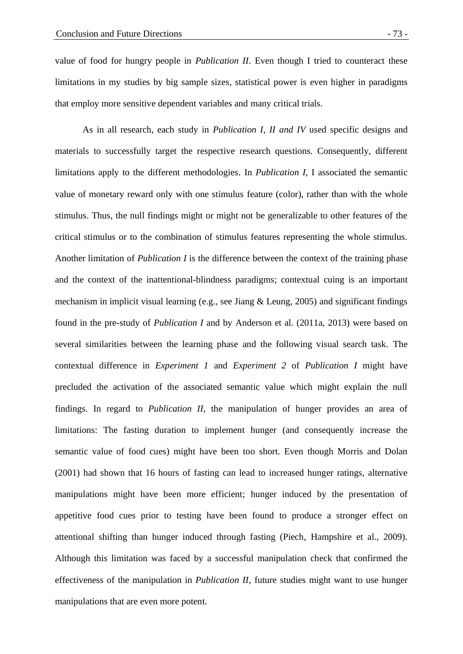value of food for hungry people in *Publication II*. Even though I tried to counteract these limitations in my studies by big sample sizes, statistical power is even higher in paradigms that employ more sensitive dependent variables and many critical trials.

As in all research, each study in *Publication I, II and IV* used specific designs and materials to successfully target the respective research questions. Consequently, different limitations apply to the different methodologies. In *Publication I*, I associated the semantic value of monetary reward only with one stimulus feature (color), rather than with the whole stimulus. Thus, the null findings might or might not be generalizable to other features of the critical stimulus or to the combination of stimulus features representing the whole stimulus. Another limitation of *Publication I* is the difference between the context of the training phase and the context of the inattentional-blindness paradigms; contextual cuing is an important mechanism in implicit visual learning (e.g., see Jiang & Leung, 2005) and significant findings found in the pre-study of *Publication I* and by Anderson et al. (2011a, 2013) were based on several similarities between the learning phase and the following visual search task. The contextual difference in *Experiment 1* and *Experiment 2* of *Publication I* might have precluded the activation of the associated semantic value which might explain the null findings. In regard to *Publication II*, the manipulation of hunger provides an area of limitations: The fasting duration to implement hunger (and consequently increase the semantic value of food cues) might have been too short. Even though Morris and Dolan (2001) had shown that 16 hours of fasting can lead to increased hunger ratings, alternative manipulations might have been more efficient; hunger induced by the presentation of appetitive food cues prior to testing have been found to produce a stronger effect on attentional shifting than hunger induced through fasting (Piech, Hampshire et al., 2009). Although this limitation was faced by a successful manipulation check that confirmed the effectiveness of the manipulation in *Publication II*, future studies might want to use hunger manipulations that are even more potent.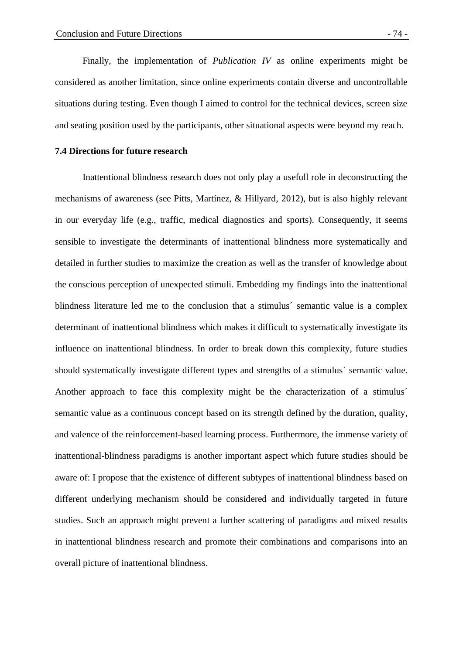Finally, the implementation of *Publication IV* as online experiments might be considered as another limitation, since online experiments contain diverse and uncontrollable situations during testing. Even though I aimed to control for the technical devices, screen size and seating position used by the participants, other situational aspects were beyond my reach.

# **7.4 Directions for future research**

Inattentional blindness research does not only play a usefull role in deconstructing the mechanisms of awareness (see Pitts, Martínez, & Hillyard, 2012), but is also highly relevant in our everyday life (e.g., traffic, medical diagnostics and sports). Consequently, it seems sensible to investigate the determinants of inattentional blindness more systematically and detailed in further studies to maximize the creation as well as the transfer of knowledge about the conscious perception of unexpected stimuli. Embedding my findings into the inattentional blindness literature led me to the conclusion that a stimulus´ semantic value is a complex determinant of inattentional blindness which makes it difficult to systematically investigate its influence on inattentional blindness. In order to break down this complexity, future studies should systematically investigate different types and strengths of a stimulus` semantic value. Another approach to face this complexity might be the characterization of a stimulus´ semantic value as a continuous concept based on its strength defined by the duration, quality, and valence of the reinforcement-based learning process. Furthermore, the immense variety of inattentional-blindness paradigms is another important aspect which future studies should be aware of: I propose that the existence of different subtypes of inattentional blindness based on different underlying mechanism should be considered and individually targeted in future studies. Such an approach might prevent a further scattering of paradigms and mixed results in inattentional blindness research and promote their combinations and comparisons into an overall picture of inattentional blindness.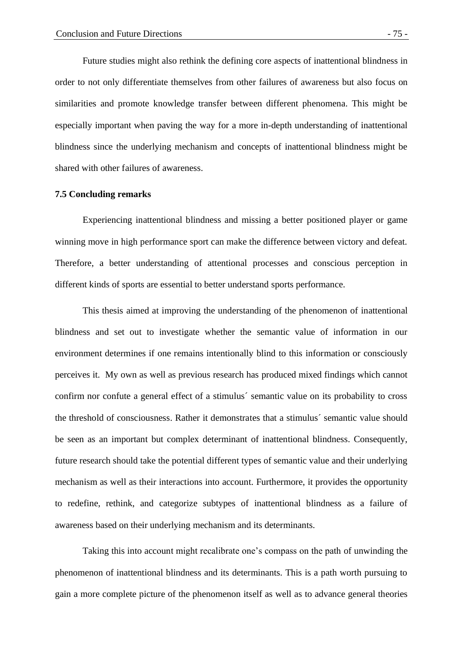Future studies might also rethink the defining core aspects of inattentional blindness in order to not only differentiate themselves from other failures of awareness but also focus on similarities and promote knowledge transfer between different phenomena. This might be especially important when paving the way for a more in-depth understanding of inattentional blindness since the underlying mechanism and concepts of inattentional blindness might be shared with other failures of awareness.

#### **7.5 Concluding remarks**

Experiencing inattentional blindness and missing a better positioned player or game winning move in high performance sport can make the difference between victory and defeat. Therefore, a better understanding of attentional processes and conscious perception in different kinds of sports are essential to better understand sports performance.

This thesis aimed at improving the understanding of the phenomenon of inattentional blindness and set out to investigate whether the semantic value of information in our environment determines if one remains intentionally blind to this information or consciously perceives it. My own as well as previous research has produced mixed findings which cannot confirm nor confute a general effect of a stimulus´ semantic value on its probability to cross the threshold of consciousness. Rather it demonstrates that a stimulus´ semantic value should be seen as an important but complex determinant of inattentional blindness. Consequently, future research should take the potential different types of semantic value and their underlying mechanism as well as their interactions into account. Furthermore, it provides the opportunity to redefine, rethink, and categorize subtypes of inattentional blindness as a failure of awareness based on their underlying mechanism and its determinants.

Taking this into account might recalibrate one's compass on the path of unwinding the phenomenon of inattentional blindness and its determinants. This is a path worth pursuing to gain a more complete picture of the phenomenon itself as well as to advance general theories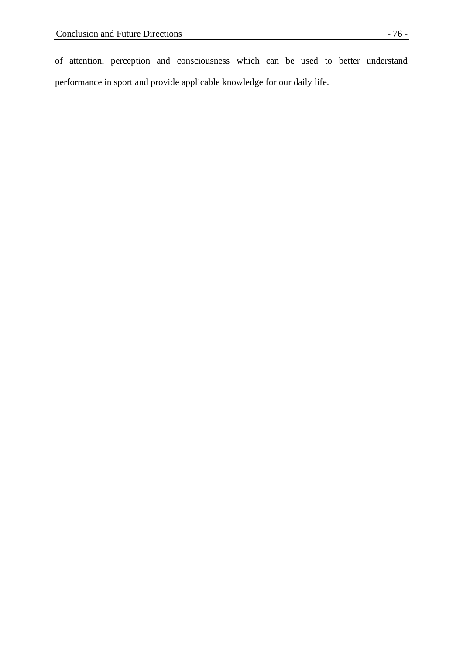of attention, perception and consciousness which can be used to better understand performance in sport and provide applicable knowledge for our daily life.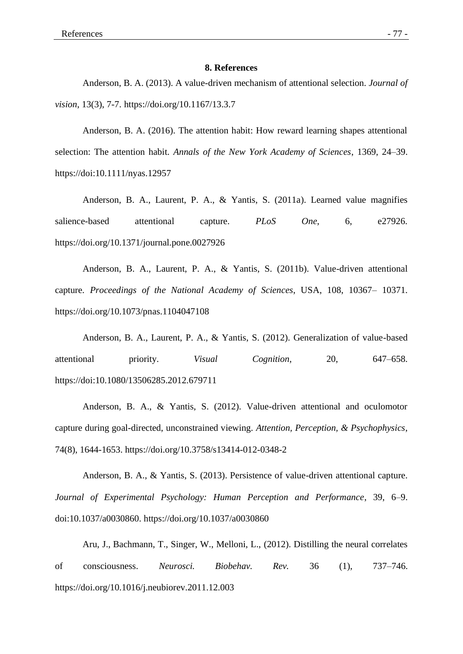#### **8. References**

Anderson, B. A. (2013). A value-driven mechanism of attentional selection. *Journal of vision*, 13(3), 7-7. https://doi.org/10.1167/13.3.7

Anderson, B. A. (2016). The attention habit: How reward learning shapes attentional selection: The attention habit. *Annals of the New York Academy of Sciences*, 1369, 24–39. https://doi:10.1111/nyas.12957

Anderson, B. A., Laurent, P. A., & Yantis, S. (2011a). Learned value magnifies salience-based attentional capture. *PLoS One*, 6, e27926. https://doi.org/10.1371/journal.pone.0027926

Anderson, B. A., Laurent, P. A., & Yantis, S. (2011b). Value-driven attentional capture. *Proceedings of the National Academy of Sciences*, USA, 108, 10367– 10371. https://doi.org/10.1073/pnas.1104047108

Anderson, B. A., Laurent, P. A., & Yantis, S. (2012). Generalization of value-based attentional priority. *Visual Cognition*, 20, 647–658. https://doi:10.1080/13506285.2012.679711

Anderson, B. A., & Yantis, S. (2012). Value-driven attentional and oculomotor capture during goal-directed, unconstrained viewing. *Attention, Perception, & Psychophysics*, 74(8), 1644-1653. https://doi.org/10.3758/s13414-012-0348-2

Anderson, B. A., & Yantis, S. (2013). Persistence of value-driven attentional capture. *Journal of Experimental Psychology: Human Perception and Performance*, 39, 6–9. doi:10.1037/a0030860. https://doi.org/10.1037/a0030860

Aru, J., Bachmann, T., Singer, W., Melloni, L., (2012). Distilling the neural correlates of consciousness. *Neurosci. Biobehav. Rev.* 36 (1), 737–746. https://doi.org/10.1016/j.neubiorev.2011.12.003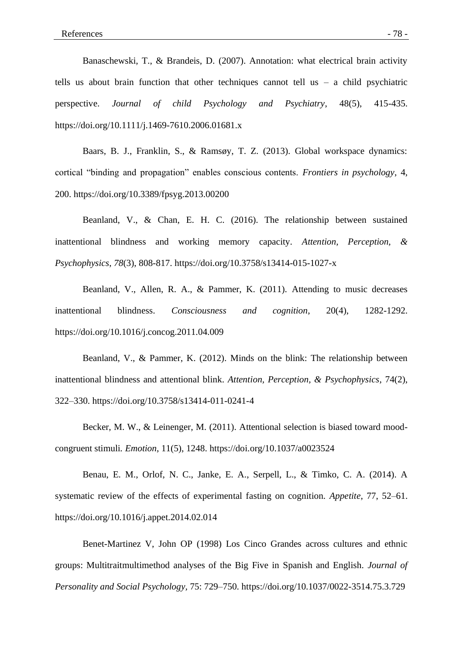Banaschewski, T., & Brandeis, D. (2007). Annotation: what electrical brain activity tells us about brain function that other techniques cannot tell us  $-$  a child psychiatric perspective. *Journal of child Psychology and Psychiatry*, 48(5), 415-435. https://doi.org/10.1111/j.1469-7610.2006.01681.x

Baars, B. J., Franklin, S., & Ramsøy, T. Z. (2013). Global workspace dynamics: cortical "binding and propagation" enables conscious contents. *Frontiers in psychology*, 4, 200. https://doi.org/10.3389/fpsyg.2013.00200

Beanland, V., & Chan, E. H. C. (2016). The relationship between sustained inattentional blindness and working memory capacity. *Attention, Perception, & Psychophysics*, *78*(3), 808-817. https://doi.org/10.3758/s13414-015-1027-x

Beanland, V., Allen, R. A., & Pammer, K. (2011). Attending to music decreases inattentional blindness. *Consciousness and cognition*, 20(4), 1282-1292. https://doi.org/10.1016/j.concog.2011.04.009

Beanland, V., & Pammer, K. (2012). Minds on the blink: The relationship between inattentional blindness and attentional blink. *Attention, Perception, & Psychophysics*, 74(2), 322–330. https://doi.org/10.3758/s13414-011-0241-4

Becker, M. W., & Leinenger, M. (2011). Attentional selection is biased toward moodcongruent stimuli*. Emotion*, 11(5), 1248. https://doi.org/10.1037/a0023524

Benau, E. M., Orlof, N. C., Janke, E. A., Serpell, L., & Timko, C. A. (2014). A systematic review of the effects of experimental fasting on cognition. *Appetite*, 77, 52–61. https://doi.org/10.1016/j.appet.2014.02.014

Benet-Martinez V, John OP (1998) Los Cinco Grandes across cultures and ethnic groups: Multitraitmultimethod analyses of the Big Five in Spanish and English. *Journal of Personality and Social Psychology,* 75: 729–750. https://doi.org/10.1037/0022-3514.75.3.729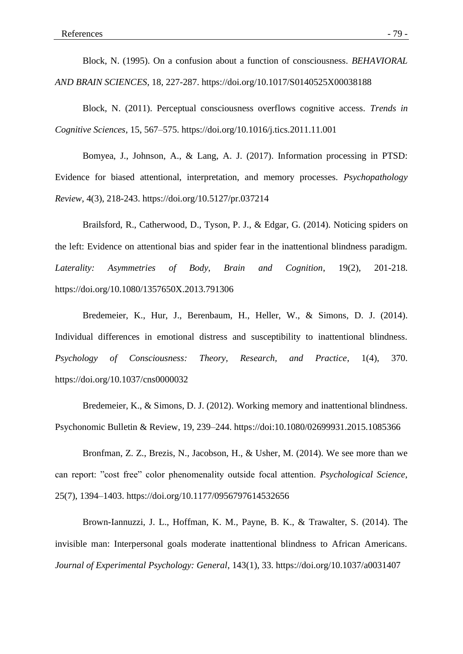Block, N. (1995). On a confusion about a function of consciousness. *BEHAVIORAL AND BRAIN SCIENCES*, 18, 227-287. https://doi.org/10.1017/S0140525X00038188

Block, N. (2011). Perceptual consciousness overflows cognitive access. *Trends in Cognitive Sciences*, 15, 567–575. https://doi.org/10.1016/j.tics.2011.11.001

Bomyea, J., Johnson, A., & Lang, A. J. (2017). Information processing in PTSD: Evidence for biased attentional, interpretation, and memory processes. *Psychopathology Review*, 4(3), 218-243. https://doi.org/10.5127/pr.037214

Brailsford, R., Catherwood, D., Tyson, P. J., & Edgar, G. (2014). Noticing spiders on the left: Evidence on attentional bias and spider fear in the inattentional blindness paradigm. *Laterality: Asymmetries of Body, Brain and Cognition*, 19(2), 201-218. https://doi.org/10.1080/1357650X.2013.791306

Bredemeier, K., Hur, J., Berenbaum, H., Heller, W., & Simons, D. J. (2014). Individual differences in emotional distress and susceptibility to inattentional blindness. *Psychology of Consciousness: Theory, Research, and Practice*, 1(4), 370. https://doi.org/10.1037/cns0000032

Bredemeier, K., & Simons, D. J. (2012). Working memory and inattentional blindness. Psychonomic Bulletin & Review, 19, 239–244. https://doi:10.1080/02699931.2015.1085366

Bronfman, Z. Z., Brezis, N., Jacobson, H., & Usher, M. (2014). We see more than we can report: "cost free" color phenomenality outside focal attention. *Psychological Science*, 25(7), 1394–1403. https://doi.org/10.1177/0956797614532656

Brown-Iannuzzi, J. L., Hoffman, K. M., Payne, B. K., & Trawalter, S. (2014). The invisible man: Interpersonal goals moderate inattentional blindness to African Americans. *Journal of Experimental Psychology: General*, 143(1), 33. https://doi.org/10.1037/a0031407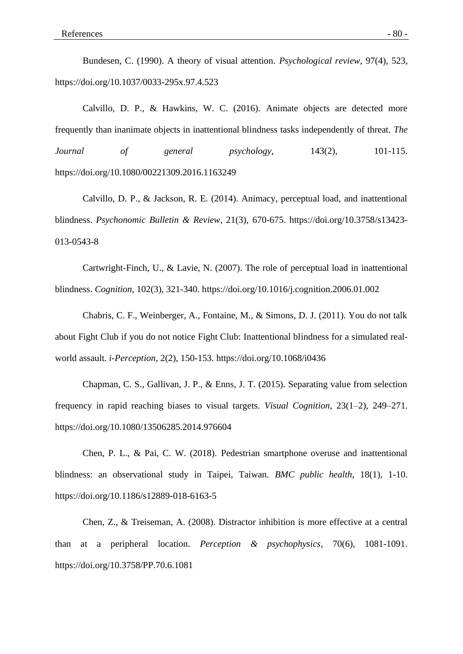Bundesen, C. (1990). A theory of visual attention. *Psychological review*, 97(4), 523, https://doi.org/10.1037/0033-295x.97.4.523

Calvillo, D. P., & Hawkins, W. C. (2016). Animate objects are detected more frequently than inanimate objects in inattentional blindness tasks independently of threat. *The Journal of general psychology*, 143(2), 101-115. https://doi.org/10.1080/00221309.2016.1163249

Calvillo, D. P., & Jackson, R. E. (2014). Animacy, perceptual load, and inattentional blindness. *Psychonomic Bulletin & Review*, 21(3), 670-675. https://doi.org/10.3758/s13423- 013-0543-8

Cartwright-Finch, U., & Lavie, N. (2007). The role of perceptual load in inattentional blindness. *Cognition*, 102(3), 321-340. https://doi.org/10.1016/j.cognition.2006.01.002

Chabris, C. F., Weinberger, A., Fontaine, M., & Simons, D. J. (2011). You do not talk about Fight Club if you do not notice Fight Club: Inattentional blindness for a simulated realworld assault. *i-Perception*, 2(2), 150-153. https://doi.org/10.1068/i0436

Chapman, C. S., Gallivan, J. P., & Enns, J. T. (2015). Separating value from selection frequency in rapid reaching biases to visual targets. *Visual Cognition*, 23(1–2), 249–271. https://doi.org/10.1080/13506285.2014.976604

Chen, P. L., & Pai, C. W. (2018). Pedestrian smartphone overuse and inattentional blindness: an observational study in Taipei, Taiwan. *BMC public health*, 18(1), 1-10. https://doi.org/10.1186/s12889-018-6163-5

Chen, Z., & Treiseman, A. (2008). Distractor inhibition is more effective at a central than at a peripheral location. *Perception & psychophysics*, 70(6), 1081-1091. https://doi.org/10.3758/PP.70.6.1081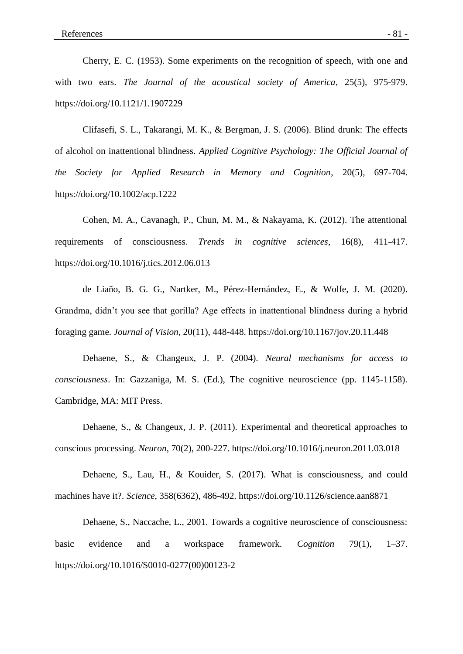Cherry, E. C. (1953). Some experiments on the recognition of speech, with one and with two ears. *The Journal of the acoustical society of America*, 25(5), 975-979. https://doi.org/10.1121/1.1907229

Clifasefi, S. L., Takarangi, M. K., & Bergman, J. S. (2006). Blind drunk: The effects of alcohol on inattentional blindness. *Applied Cognitive Psychology: The Official Journal of the Society for Applied Research in Memory and Cognition*, 20(5), 697-704. https://doi.org/10.1002/acp.1222

Cohen, M. A., Cavanagh, P., Chun, M. M., & Nakayama, K. (2012). The attentional requirements of consciousness. *Trends in cognitive sciences*, 16(8), 411-417. https://doi.org/10.1016/j.tics.2012.06.013

de Liaño, B. G. G., Nartker, M., Pérez-Hernández, E., & Wolfe, J. M. (2020). Grandma, didn't you see that gorilla? Age effects in inattentional blindness during a hybrid foraging game. *Journal of Vision*, 20(11), 448-448. https://doi.org/10.1167/jov.20.11.448

Dehaene, S., & Changeux, J. P. (2004). *Neural mechanisms for access to consciousness*. In: Gazzaniga, M. S. (Ed.), The cognitive neuroscience (pp. 1145-1158). Cambridge, MA: MIT Press.

Dehaene, S., & Changeux, J. P. (2011). Experimental and theoretical approaches to conscious processing. *Neuron*, 70(2), 200-227. https://doi.org/10.1016/j.neuron.2011.03.018

Dehaene, S., Lau, H., & Kouider, S. (2017). What is consciousness, and could machines have it?. *Science*, 358(6362), 486-492. https://doi.org/10.1126/science.aan8871

Dehaene, S., Naccache, L., 2001. Towards a cognitive neuroscience of consciousness: basic evidence and a workspace framework. *Cognition* 79(1), 1–37. https://doi.org/10.1016/S0010-0277(00)00123-2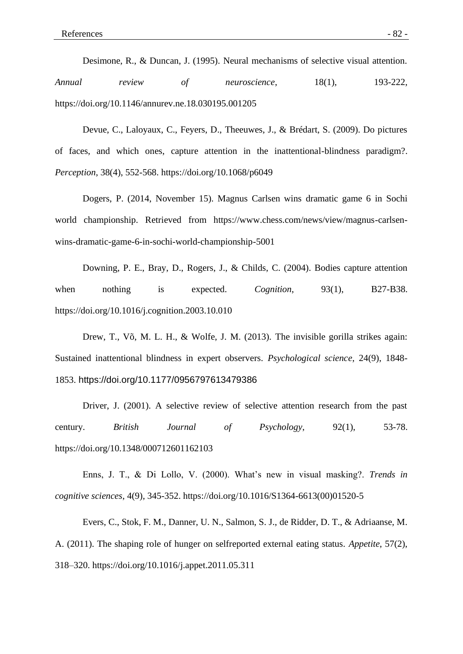Desimone, R., & Duncan, J. (1995). Neural mechanisms of selective visual attention. *Annual review of neuroscience*, 18(1), 193-222, https://doi.org/10.1146/annurev.ne.18.030195.001205

Devue, C., Laloyaux, C., Feyers, D., Theeuwes, J., & Brédart, S. (2009). Do pictures of faces, and which ones, capture attention in the inattentional-blindness paradigm?. *Perception*, 38(4), 552-568. https://doi.org/10.1068/p6049

Dogers, P. (2014, November 15). Magnus Carlsen wins dramatic game 6 in Sochi world championship. Retrieved from https://www.chess.com/news/view/magnus-carlsenwins-dramatic-game-6-in-sochi-world-championship-5001

Downing, P. E., Bray, D., Rogers, J., & Childs, C. (2004). Bodies capture attention when nothing is expected. *Cognition*, 93(1), B27-B38. https://doi.org/10.1016/j.cognition.2003.10.010

Drew, T., Võ, M. L. H., & Wolfe, J. M. (2013). The invisible gorilla strikes again: Sustained inattentional blindness in expert observers. *Psychological science*, 24(9), 1848- 1853. https://doi.org/10.1177/0956797613479386

Driver, J. (2001). A selective review of selective attention research from the past century. *British Journal of Psychology*, 92(1), 53-78. https://doi.org/10.1348/000712601162103

Enns, J. T., & Di Lollo, V. (2000). What's new in visual masking?. *Trends in cognitive sciences*, 4(9), 345-352. https://doi.org/10.1016/S1364-6613(00)01520-5

Evers, C., Stok, F. M., Danner, U. N., Salmon, S. J., de Ridder, D. T., & Adriaanse, M. A. (2011). The shaping role of hunger on selfreported external eating status. *Appetite*, 57(2), 318–320. https://doi.org/10.1016/j.appet.2011.05.311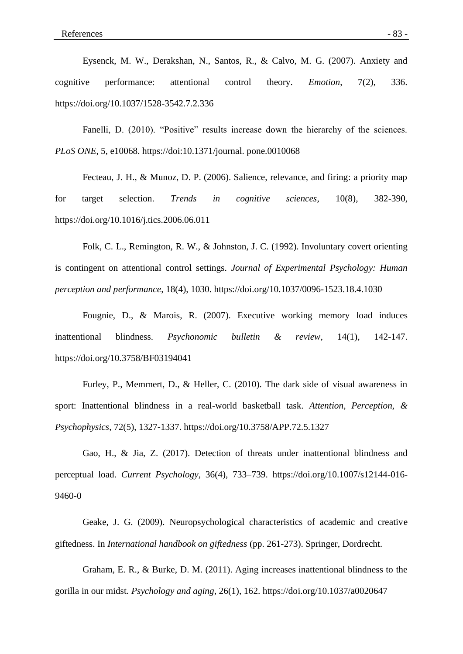Eysenck, M. W., Derakshan, N., Santos, R., & Calvo, M. G. (2007). Anxiety and cognitive performance: attentional control theory. *Emotion*, 7(2), 336. https://doi.org/10.1037/1528-3542.7.2.336

Fanelli, D. (2010). "Positive" results increase down the hierarchy of the sciences. *PLoS ONE*, 5, e10068. https://doi:10.1371/journal. pone.0010068

Fecteau, J. H., & Munoz, D. P. (2006). Salience, relevance, and firing: a priority map for target selection. *Trends in cognitive sciences*, 10(8), 382-390, https://doi.org/10.1016/j.tics.2006.06.011

Folk, C. L., Remington, R. W., & Johnston, J. C. (1992). Involuntary covert orienting is contingent on attentional control settings. *Journal of Experimental Psychology: Human perception and performance*, 18(4), 1030. https://doi.org/10.1037/0096-1523.18.4.1030

Fougnie, D., & Marois, R. (2007). Executive working memory load induces inattentional blindness. *Psychonomic bulletin & review*, 14(1), 142-147. https://doi.org/10.3758/BF03194041

Furley, P., Memmert, D., & Heller, C. (2010). The dark side of visual awareness in sport: Inattentional blindness in a real-world basketball task. *Attention, Perception, & Psychophysics*, 72(5), 1327-1337. https://doi.org/10.3758/APP.72.5.1327

Gao, H., & Jia, Z. (2017). Detection of threats under inattentional blindness and perceptual load. *Current Psychology*, 36(4), 733–739. https://doi.org/10.1007/s12144-016- 9460-0

Geake, J. G. (2009). Neuropsychological characteristics of academic and creative giftedness. In *International handbook on giftedness* (pp. 261-273). Springer, Dordrecht.

Graham, E. R., & Burke, D. M. (2011). Aging increases inattentional blindness to the gorilla in our midst. *Psychology and aging*, 26(1), 162. https://doi.org/10.1037/a0020647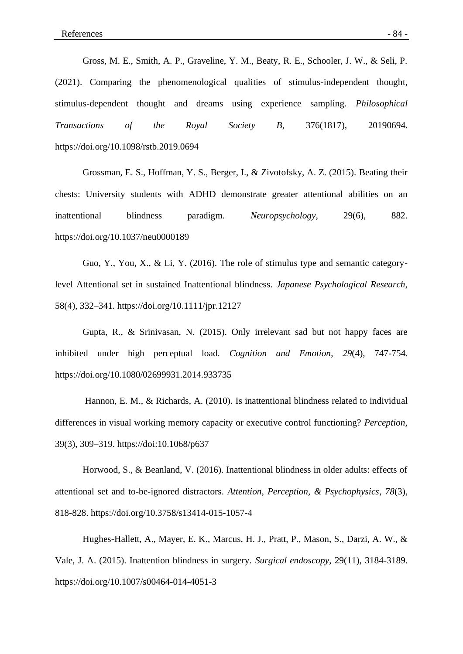Gross, M. E., Smith, A. P., Graveline, Y. M., Beaty, R. E., Schooler, J. W., & Seli, P. (2021). Comparing the phenomenological qualities of stimulus-independent thought, stimulus-dependent thought and dreams using experience sampling. *Philosophical Transactions of the Royal Society B*, 376(1817), 20190694. https://doi.org/10.1098/rstb.2019.0694

Grossman, E. S., Hoffman, Y. S., Berger, I., & Zivotofsky, A. Z. (2015). Beating their chests: University students with ADHD demonstrate greater attentional abilities on an inattentional blindness paradigm. *Neuropsychology*, 29(6), 882. https://doi.org/10.1037/neu0000189

Guo, Y., You, X., & Li, Y. (2016). The role of stimulus type and semantic categorylevel Attentional set in sustained Inattentional blindness. *Japanese Psychological Research*, 58(4), 332–341. https://doi.org/10.1111/jpr.12127

Gupta, R., & Srinivasan, N. (2015). Only irrelevant sad but not happy faces are inhibited under high perceptual load. *Cognition and Emotion*, *29*(4), 747-754. https://doi.org/10.1080/02699931.2014.933735

Hannon, E. M., & Richards, A. (2010). Is inattentional blindness related to individual differences in visual working memory capacity or executive control functioning? *Perception*, 39(3), 309–319. https://doi:10.1068/p637

Horwood, S., & Beanland, V. (2016). Inattentional blindness in older adults: effects of attentional set and to-be-ignored distractors. *Attention, Perception, & Psychophysics*, *78*(3), 818-828. https://doi.org/10.3758/s13414-015-1057-4

Hughes-Hallett, A., Mayer, E. K., Marcus, H. J., Pratt, P., Mason, S., Darzi, A. W., & Vale, J. A. (2015). Inattention blindness in surgery. *Surgical endoscopy*, 29(11), 3184-3189. https://doi.org/10.1007/s00464-014-4051-3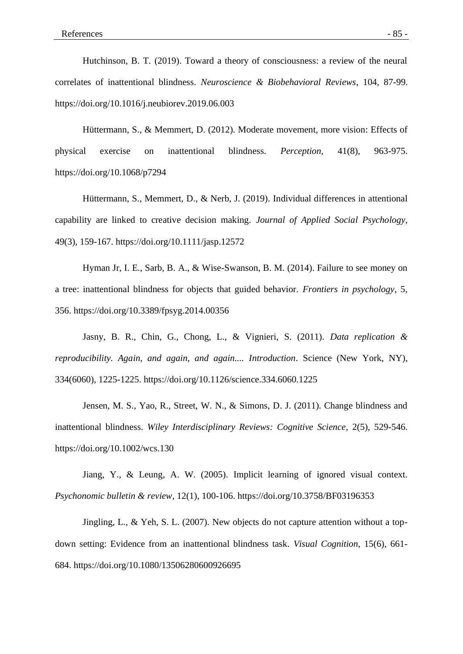Hutchinson, B. T. (2019). Toward a theory of consciousness: a review of the neural correlates of inattentional blindness. *Neuroscience & Biobehavioral Reviews*, 104, 87-99. https://doi.org/10.1016/j.neubiorev.2019.06.003

Hüttermann, S., & Memmert, D. (2012). Moderate movement, more vision: Effects of physical exercise on inattentional blindness. *Perception,* 41(8), 963-975. https://doi.org/10.1068/p7294

Hüttermann, S., Memmert, D., & Nerb, J. (2019). Individual differences in attentional capability are linked to creative decision making. *Journal of Applied Social Psychology*, 49(3), 159-167. https://doi.org/10.1111/jasp.12572

Hyman Jr, I. E., Sarb, B. A., & Wise-Swanson, B. M. (2014). Failure to see money on a tree: inattentional blindness for objects that guided behavior. *Frontiers in psychology*, 5, 356. https://doi.org/10.3389/fpsyg.2014.00356

Jasny, B. R., Chin, G., Chong, L., & Vignieri, S. (2011). *Data replication & reproducibility. Again, and again, and again.... Introduction*. Science (New York, NY), 334(6060), 1225-1225. https://doi.org/10.1126/science.334.6060.1225

Jensen, M. S., Yao, R., Street, W. N., & Simons, D. J. (2011). Change blindness and inattentional blindness. *Wiley Interdisciplinary Reviews: Cognitive Science*, 2(5), 529-546. https://doi.org/10.1002/wcs.130

Jiang, Y., & Leung, A. W. (2005). Implicit learning of ignored visual context. *Psychonomic bulletin & review*, 12(1), 100-106. https://doi.org/10.3758/BF03196353

Jingling, L., & Yeh, S. L. (2007). New objects do not capture attention without a topdown setting: Evidence from an inattentional blindness task. *Visual Cognition*, 15(6), 661- 684. https://doi.org/10.1080/13506280600926695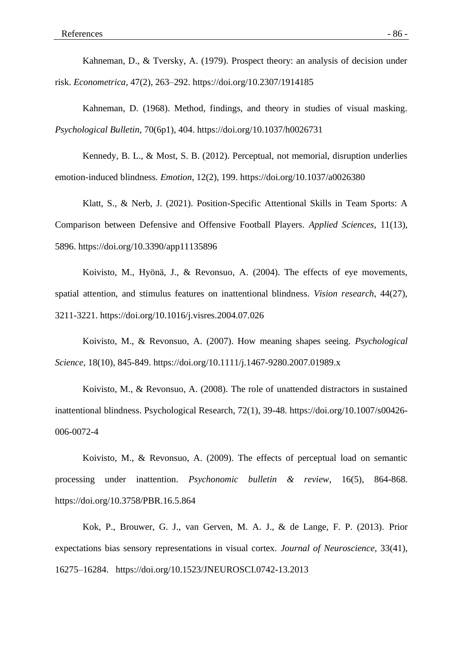Kahneman, D., & Tversky, A. (1979). Prospect theory: an analysis of decision under risk. *Econometrica*, 47(2), 263–292. https://doi.org/10.2307/1914185

Kahneman, D. (1968). Method, findings, and theory in studies of visual masking. *Psychological Bulletin*, 70(6p1), 404. https://doi.org/10.1037/h0026731

Kennedy, B. L., & Most, S. B. (2012). Perceptual, not memorial, disruption underlies emotion-induced blindness*. Emotion*, 12(2), 199. https://doi.org/10.1037/a0026380

Klatt, S., & Nerb, J. (2021). Position-Specific Attentional Skills in Team Sports: A Comparison between Defensive and Offensive Football Players. *Applied Sciences*, 11(13), 5896. https://doi.org/10.3390/app11135896

Koivisto, M., Hyönä, J., & Revonsuo, A. (2004). The effects of eye movements, spatial attention, and stimulus features on inattentional blindness. *Vision research*, 44(27), 3211-3221. https://doi.org/10.1016/j.visres.2004.07.026

Koivisto, M., & Revonsuo, A. (2007). How meaning shapes seeing. *Psychological Science*, 18(10), 845-849. https://doi.org/10.1111/j.1467-9280.2007.01989.x

Koivisto, M., & Revonsuo, A. (2008). The role of unattended distractors in sustained inattentional blindness. Psychological Research, 72(1), 39-48. https://doi.org/10.1007/s00426- 006-0072-4

Koivisto, M., & Revonsuo, A. (2009). The effects of perceptual load on semantic processing under inattention. *Psychonomic bulletin & review*, 16(5), 864-868. https://doi.org/10.3758/PBR.16.5.864

Kok, P., Brouwer, G. J., van Gerven, M. A. J., & de Lange, F. P. (2013). Prior expectations bias sensory representations in visual cortex. *Journal of Neuroscience*, 33(41), 16275–16284. https://doi.org/10.1523/JNEUROSCI.0742-13.2013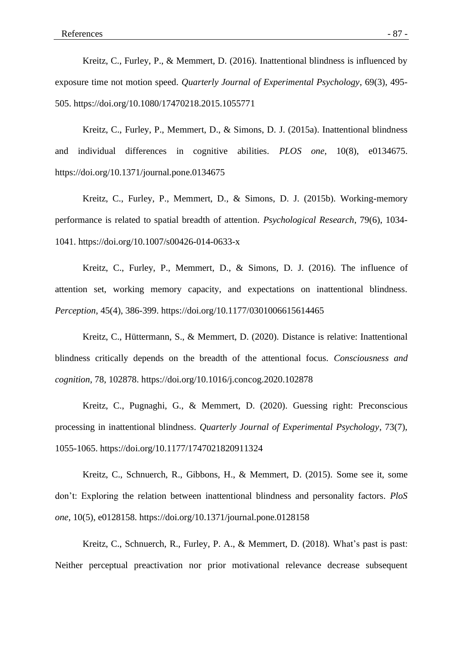Kreitz, C., Furley, P., & Memmert, D. (2016). Inattentional blindness is influenced by exposure time not motion speed. *Quarterly Journal of Experimental Psychology*, 69(3), 495- 505. https://doi.org/10.1080/17470218.2015.1055771

Kreitz, C., Furley, P., Memmert, D., & Simons, D. J. (2015a). Inattentional blindness and individual differences in cognitive abilities. *PLOS one*, 10(8), e0134675. https://doi.org/10.1371/journal.pone.0134675

Kreitz, C., Furley, P., Memmert, D., & Simons, D. J. (2015b). Working-memory performance is related to spatial breadth of attention. *Psychological Research*, 79(6), 1034- 1041. https://doi.org/10.1007/s00426-014-0633-x

Kreitz, C., Furley, P., Memmert, D., & Simons, D. J. (2016). The influence of attention set, working memory capacity, and expectations on inattentional blindness. *Perception*, 45(4), 386-399. https://doi.org/10.1177/0301006615614465

Kreitz, C., Hüttermann, S., & Memmert, D. (2020). Distance is relative: Inattentional blindness critically depends on the breadth of the attentional focus. *Consciousness and cognition*, 78, 102878. https://doi.org/10.1016/j.concog.2020.102878

Kreitz, C., Pugnaghi, G., & Memmert, D. (2020). Guessing right: Preconscious processing in inattentional blindness. *Quarterly Journal of Experimental Psychology*, 73(7), 1055-1065. https://doi.org/10.1177/1747021820911324

Kreitz, C., Schnuerch, R., Gibbons, H., & Memmert, D. (2015). Some see it, some don't: Exploring the relation between inattentional blindness and personality factors. *PloS one*, 10(5), e0128158. https://doi.org/10.1371/journal.pone.0128158

Kreitz, C., Schnuerch, R., Furley, P. A., & Memmert, D. (2018). What's past is past: Neither perceptual preactivation nor prior motivational relevance decrease subsequent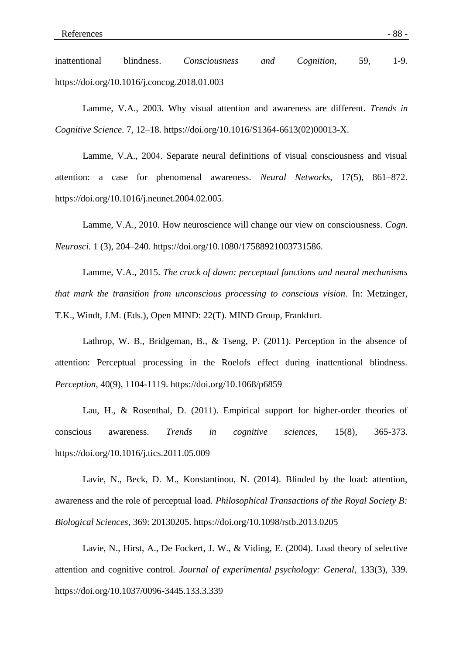inattentional blindness. *Consciousness and Cognition*, 59, 1-9. https://doi.org/10.1016/j.concog.2018.01.003

Lamme, V.A., 2003. Why visual attention and awareness are different. *Trends in Cognitive Science*. 7, 12–18. https://doi.org/10.1016/S1364-6613(02)00013-X.

Lamme, V.A., 2004. Separate neural definitions of visual consciousness and visual attention: a case for phenomenal awareness. *Neural Networks,* 17(5), 861–872. https://doi.org/10.1016/j.neunet.2004.02.005.

Lamme, V.A., 2010. How neuroscience will change our view on consciousness. *Cogn. Neurosci*. 1 (3), 204–240. https://doi.org/10.1080/17588921003731586.

Lamme, V.A., 2015. *The crack of dawn: perceptual functions and neural mechanisms that mark the transition from unconscious processing to conscious vision*. In: Metzinger, T.K., Windt, J.M. (Eds.), Open MIND: 22(T). MIND Group, Frankfurt.

Lathrop, W. B., Bridgeman, B., & Tseng, P. (2011). Perception in the absence of attention: Perceptual processing in the Roelofs effect during inattentional blindness. *Perception*, 40(9), 1104-1119. https://doi.org/10.1068/p6859

Lau, H., & Rosenthal, D. (2011). Empirical support for higher-order theories of conscious awareness. *Trends in cognitive sciences*, 15(8), 365-373. https://doi.org/10.1016/j.tics.2011.05.009

Lavie, N., Beck, D. M., Konstantinou, N. (2014). Blinded by the load: attention, awareness and the role of perceptual load. *Philosophical Transactions of the Royal Society B: Biological Sciences*, 369: 20130205. https://doi.org/10.1098/rstb.2013.0205

Lavie, N., Hirst, A., De Fockert, J. W., & Viding, E. (2004). Load theory of selective attention and cognitive control. *Journal of experimental psychology: General*, 133(3), 339. https://doi.org/10.1037/0096-3445.133.3.339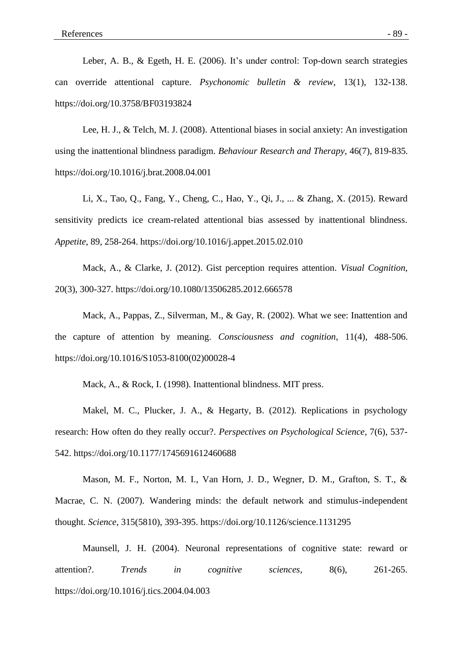Leber, A. B., & Egeth, H. E. (2006). It's under control: Top-down search strategies can override attentional capture. *Psychonomic bulletin & review*, 13(1), 132-138. https://doi.org/10.3758/BF03193824

Lee, H. J., & Telch, M. J. (2008). Attentional biases in social anxiety: An investigation using the inattentional blindness paradigm. *Behaviour Research and Therapy*, 46(7), 819-835. https://doi.org/10.1016/j.brat.2008.04.001

Li, X., Tao, Q., Fang, Y., Cheng, C., Hao, Y., Qi, J., ... & Zhang, X. (2015). Reward sensitivity predicts ice cream-related attentional bias assessed by inattentional blindness. *Appetite*, 89, 258-264. https://doi.org/10.1016/j.appet.2015.02.010

Mack, A., & Clarke, J. (2012). Gist perception requires attention. *Visual Cognition*, 20(3), 300-327. https://doi.org/10.1080/13506285.2012.666578

Mack, A., Pappas, Z., Silverman, M., & Gay, R. (2002). What we see: Inattention and the capture of attention by meaning. *Consciousness and cognition*, 11(4), 488-506. https://doi.org/10.1016/S1053-8100(02)00028-4

Mack, A., & Rock, I. (1998). Inattentional blindness. MIT press.

Makel, M. C., Plucker, J. A., & Hegarty, B. (2012). Replications in psychology research: How often do they really occur?. *Perspectives on Psychological Science*, 7(6), 537- 542. https://doi.org/10.1177/1745691612460688

Mason, M. F., Norton, M. I., Van Horn, J. D., Wegner, D. M., Grafton, S. T., & Macrae, C. N. (2007). Wandering minds: the default network and stimulus-independent thought. *Science*, 315(5810), 393-395. https://doi.org/10.1126/science.1131295

Maunsell, J. H. (2004). Neuronal representations of cognitive state: reward or attention?. *Trends in cognitive sciences*, 8(6), 261-265. https://doi.org/10.1016/j.tics.2004.04.003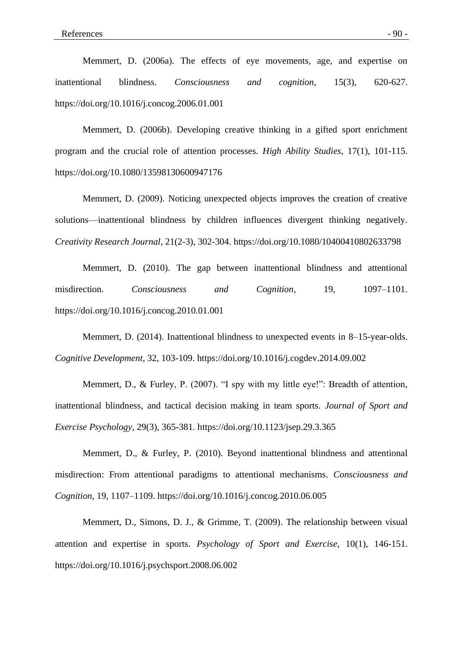Memmert, D. (2006a). The effects of eye movements, age, and expertise on inattentional blindness. *Consciousness and cognition*, 15(3), 620-627. https://doi.org/10.1016/j.concog.2006.01.001

Memmert, D. (2006b). Developing creative thinking in a gifted sport enrichment program and the crucial role of attention processes. *High Ability Studies*, 17(1), 101-115. https://doi.org/10.1080/13598130600947176

Memmert, D. (2009). Noticing unexpected objects improves the creation of creative solutions—inattentional blindness by children influences divergent thinking negatively. *Creativity Research Journal*, 21(2-3), 302-304. https://doi.org/10.1080/10400410802633798

Memmert, D. (2010). The gap between inattentional blindness and attentional misdirection. *Consciousness and Cognition*, 19, 1097–1101. https://doi.org/10.1016/j.concog.2010.01.001

Memmert, D. (2014). Inattentional blindness to unexpected events in 8–15-year-olds. *Cognitive Development*, 32, 103-109. https://doi.org/10.1016/j.cogdev.2014.09.002

Memmert, D., & Furley, P. (2007). "I spy with my little eye!": Breadth of attention, inattentional blindness, and tactical decision making in team sports. *Journal of Sport and Exercise Psychology*, 29(3), 365-381. https://doi.org/10.1123/jsep.29.3.365

Memmert, D., & Furley, P. (2010). Beyond inattentional blindness and attentional misdirection: From attentional paradigms to attentional mechanisms. *Consciousness and Cognition*, 19, 1107–1109. https://doi.org/10.1016/j.concog.2010.06.005

Memmert, D., Simons, D. J., & Grimme, T. (2009). The relationship between visual attention and expertise in sports. *Psychology of Sport and Exercise*, 10(1), 146-151. https://doi.org/10.1016/j.psychsport.2008.06.002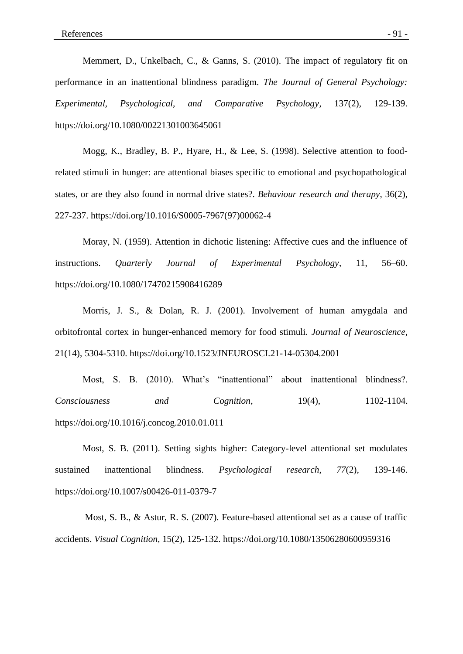Memmert, D., Unkelbach, C., & Ganns, S. (2010). The impact of regulatory fit on performance in an inattentional blindness paradigm. *The Journal of General Psychology: Experimental, Psychological, and Comparative Psychology*, 137(2), 129-139. https://doi.org/10.1080/00221301003645061

Mogg, K., Bradley, B. P., Hyare, H., & Lee, S. (1998). Selective attention to foodrelated stimuli in hunger: are attentional biases specific to emotional and psychopathological states, or are they also found in normal drive states?. *Behaviour research and therapy*, 36(2), 227-237. https://doi.org/10.1016/S0005-7967(97)00062-4

Moray, N. (1959). Attention in dichotic listening: Affective cues and the influence of instructions. *Quarterly Journal of Experimental Psychology*, 11, 56–60. https://doi.org/10.1080/17470215908416289

Morris, J. S., & Dolan, R. J. (2001). Involvement of human amygdala and orbitofrontal cortex in hunger-enhanced memory for food stimuli. *Journal of Neuroscience*, 21(14), 5304-5310. https://doi.org/10.1523/JNEUROSCI.21-14-05304.2001

Most, S. B. (2010). What's "inattentional" about inattentional blindness?. *Consciousness* and *Cognition*, 19(4), 1102-1104. https://doi.org/10.1016/j.concog.2010.01.011

Most, S. B. (2011). Setting sights higher: Category-level attentional set modulates sustained inattentional blindness. *Psychological research*, *77*(2), 139-146. https://doi.org/10.1007/s00426-011-0379-7

Most, S. B., & Astur, R. S. (2007). Feature-based attentional set as a cause of traffic accidents. *Visual Cognition*, 15(2), 125-132. https://doi.org/10.1080/13506280600959316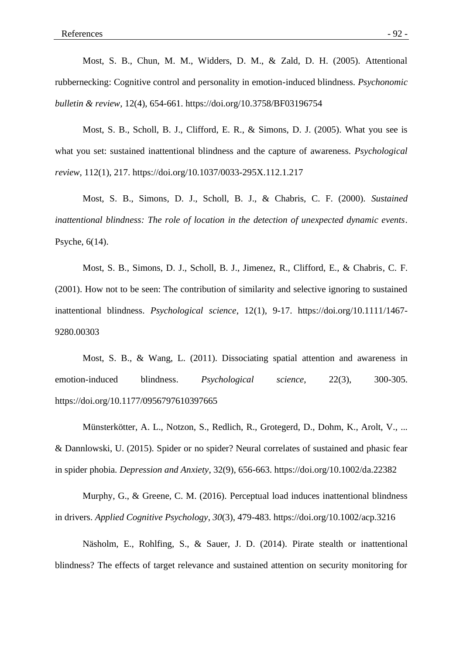Most, S. B., Chun, M. M., Widders, D. M., & Zald, D. H. (2005). Attentional rubbernecking: Cognitive control and personality in emotion-induced blindness. *Psychonomic bulletin & review*, 12(4), 654-661. https://doi.org/10.3758/BF03196754

Most, S. B., Scholl, B. J., Clifford, E. R., & Simons, D. J. (2005). What you see is what you set: sustained inattentional blindness and the capture of awareness. *Psychological review*, 112(1), 217. https://doi.org/10.1037/0033-295X.112.1.217

Most, S. B., Simons, D. J., Scholl, B. J., & Chabris, C. F. (2000). *Sustained inattentional blindness: The role of location in the detection of unexpected dynamic events*. Psyche, 6(14).

Most, S. B., Simons, D. J., Scholl, B. J., Jimenez, R., Clifford, E., & Chabris, C. F. (2001). How not to be seen: The contribution of similarity and selective ignoring to sustained inattentional blindness. *Psychological science*, 12(1), 9-17. https://doi.org/10.1111/1467- 9280.00303

Most, S. B., & Wang, L. (2011). Dissociating spatial attention and awareness in emotion-induced blindness. *Psychological science*, 22(3), 300-305. https://doi.org/10.1177/0956797610397665

Münsterkötter, A. L., Notzon, S., Redlich, R., Grotegerd, D., Dohm, K., Arolt, V., ... & Dannlowski, U. (2015). Spider or no spider? Neural correlates of sustained and phasic fear in spider phobia. *Depression and Anxiety*, 32(9), 656-663. https://doi.org/10.1002/da.22382

Murphy, G., & Greene, C. M. (2016). Perceptual load induces inattentional blindness in drivers. *Applied Cognitive Psychology*, *30*(3), 479-483. https://doi.org/10.1002/acp.3216

Näsholm, E., Rohlfing, S., & Sauer, J. D. (2014). Pirate stealth or inattentional blindness? The effects of target relevance and sustained attention on security monitoring for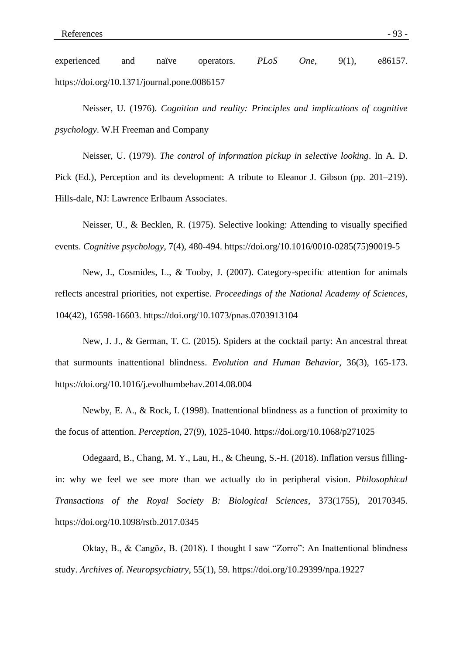experienced and naïve operators. *PLoS One*, 9(1), e86157. https://doi.org/10.1371/journal.pone.0086157

Neisser, U. (1976). *Cognition and reality: Principles and implications of cognitive psychology*. W.H Freeman and Company

Neisser, U. (1979). *The control of information pickup in selective looking*. In A. D. Pick (Ed.), Perception and its development: A tribute to Eleanor J. Gibson (pp. 201–219). Hills-dale, NJ: Lawrence Erlbaum Associates.

Neisser, U., & Becklen, R. (1975). Selective looking: Attending to visually specified events. *Cognitive psychology*, 7(4), 480-494. https://doi.org/10.1016/0010-0285(75)90019-5

New, J., Cosmides, L., & Tooby, J. (2007). Category-specific attention for animals reflects ancestral priorities, not expertise. *Proceedings of the National Academy of Sciences*, 104(42), 16598-16603. https://doi.org/10.1073/pnas.0703913104

New, J. J., & German, T. C. (2015). Spiders at the cocktail party: An ancestral threat that surmounts inattentional blindness. *Evolution and Human Behavior*, 36(3), 165-173. https://doi.org/10.1016/j.evolhumbehav.2014.08.004

Newby, E. A., & Rock, I. (1998). Inattentional blindness as a function of proximity to the focus of attention. *Perception*, 27(9), 1025-1040. https://doi.org/10.1068/p271025

Odegaard, B., Chang, M. Y., Lau, H., & Cheung, S.-H. (2018). Inflation versus fillingin: why we feel we see more than we actually do in peripheral vision. *Philosophical Transactions of the Royal Society B: Biological Sciences*, 373(1755), 20170345. https://doi.org/10.1098/rstb.2017.0345

Oktay, B., & Cangöz, B. (2018). I thought I saw "Zorro": An Inattentional blindness study. *Archives of. Neuropsychiatry*, 55(1), 59. https://doi.org/10.29399/npa.19227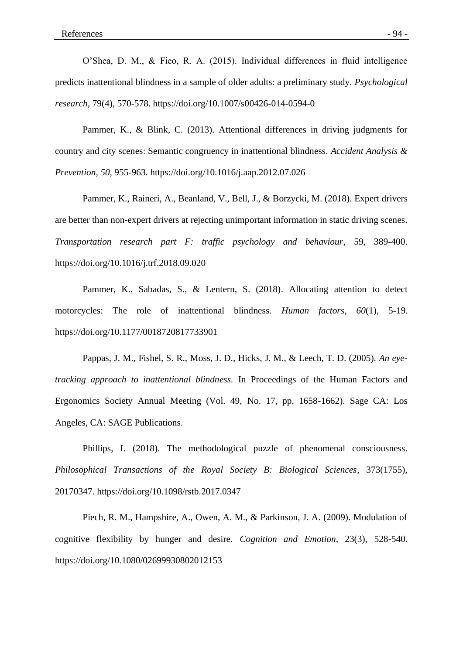O'Shea, D. M., & Fieo, R. A. (2015). Individual differences in fluid intelligence predicts inattentional blindness in a sample of older adults: a preliminary study. *Psychological research*, 79(4), 570-578. https://doi.org/10.1007/s00426-014-0594-0

Pammer, K., & Blink, C. (2013). Attentional differences in driving judgments for country and city scenes: Semantic congruency in inattentional blindness. *Accident Analysis & Prevention*, *50*, 955-963. https://doi.org/10.1016/j.aap.2012.07.026

Pammer, K., Raineri, A., Beanland, V., Bell, J., & Borzycki, M. (2018). Expert drivers are better than non-expert drivers at rejecting unimportant information in static driving scenes. *Transportation research part F: traffic psychology and behaviour*, 59, 389-400. https://doi.org/10.1016/j.trf.2018.09.020

Pammer, K., Sabadas, S., & Lentern, S. (2018). Allocating attention to detect motorcycles: The role of inattentional blindness. *Human factors*, *60*(1), 5-19. https://doi.org/10.1177/0018720817733901

Pappas, J. M., Fishel, S. R., Moss, J. D., Hicks, J. M., & Leech, T. D. (2005). *An eyetracking approach to inattentional blindness.* In Proceedings of the Human Factors and Ergonomics Society Annual Meeting (Vol. 49, No. 17, pp. 1658-1662). Sage CA: Los Angeles, CA: SAGE Publications.

Phillips, I. (2018). The methodological puzzle of phenomenal consciousness. *Philosophical Transactions of the Royal Society B: Biological Sciences*, 373(1755), 20170347. https://doi.org/10.1098/rstb.2017.0347

Piech, R. M., Hampshire, A., Owen, A. M., & Parkinson, J. A. (2009). Modulation of cognitive flexibility by hunger and desire. *Cognition and Emotion*, 23(3), 528-540. https://doi.org/10.1080/02699930802012153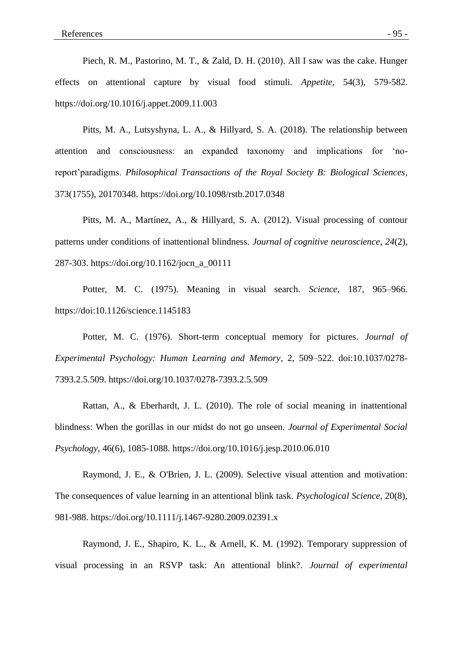Piech, R. M., Pastorino, M. T., & Zald, D. H. (2010). All I saw was the cake. Hunger effects on attentional capture by visual food stimuli. *Appetite*, 54(3), 579-582. https://doi.org/10.1016/j.appet.2009.11.003

Pitts, M. A., Lutsyshyna, L. A., & Hillyard, S. A. (2018). The relationship between attention and consciousness: an expanded taxonomy and implications for 'noreport'paradigms. *Philosophical Transactions of the Royal Society B: Biological Sciences*, 373(1755), 20170348. https://doi.org/10.1098/rstb.2017.0348

Pitts, M. A., Martínez, A., & Hillyard, S. A. (2012). Visual processing of contour patterns under conditions of inattentional blindness. *Journal of cognitive neuroscience*, *24*(2), 287-303. https://doi.org/10.1162/jocn\_a\_00111

Potter, M. C. (1975). Meaning in visual search. *Science*, 187, 965–966. https://doi:10.1126/science.1145183

Potter, M. C. (1976). Short-term conceptual memory for pictures. *Journal of Experimental Psychology: Human Learning and Memory*, 2, 509–522. doi:10.1037/0278- 7393.2.5.509. https://doi.org/10.1037/0278-7393.2.5.509

Rattan, A., & Eberhardt, J. L. (2010). The role of social meaning in inattentional blindness: When the gorillas in our midst do not go unseen. *Journal of Experimental Social Psychology*, 46(6), 1085-1088. https://doi.org/10.1016/j.jesp.2010.06.010

Raymond, J. E., & O'Brien, J. L. (2009). Selective visual attention and motivation: The consequences of value learning in an attentional blink task. *Psychological Science*, 20(8), 981-988. https://doi.org/10.1111/j.1467-9280.2009.02391.x

Raymond, J. E., Shapiro, K. L., & Arnell, K. M. (1992). Temporary suppression of visual processing in an RSVP task: An attentional blink?. *Journal of experimental*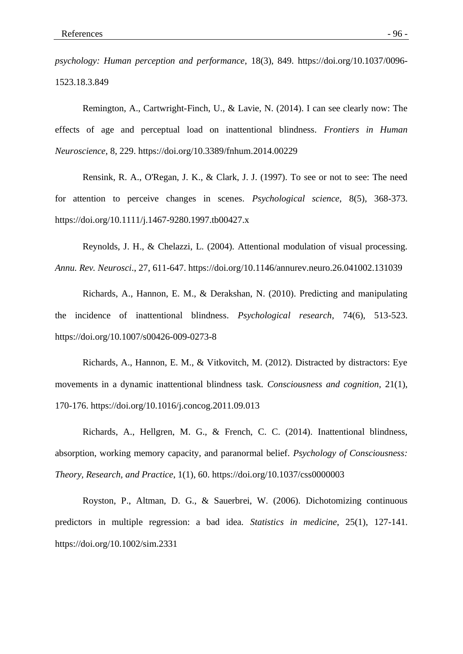*psychology: Human perception and performance*, 18(3), 849. https://doi.org/10.1037/0096- 1523.18.3.849

Remington, A., Cartwright-Finch, U., & Lavie, N. (2014). I can see clearly now: The effects of age and perceptual load on inattentional blindness. *Frontiers in Human Neuroscience*, 8, 229. https://doi.org/10.3389/fnhum.2014.00229

Rensink, R. A., O'Regan, J. K., & Clark, J. J. (1997). To see or not to see: The need for attention to perceive changes in scenes. *Psychological science*, 8(5), 368-373. https://doi.org/10.1111/j.1467-9280.1997.tb00427.x

Reynolds, J. H., & Chelazzi, L. (2004). Attentional modulation of visual processing. *Annu. Rev. Neurosci*., 27, 611-647. https://doi.org/10.1146/annurev.neuro.26.041002.131039

Richards, A., Hannon, E. M., & Derakshan, N. (2010). Predicting and manipulating the incidence of inattentional blindness. *Psychological research*, 74(6), 513-523. https://doi.org/10.1007/s00426-009-0273-8

Richards, A., Hannon, E. M., & Vitkovitch, M. (2012). Distracted by distractors: Eye movements in a dynamic inattentional blindness task. *Consciousness and cognition*, 21(1), 170-176. https://doi.org/10.1016/j.concog.2011.09.013

Richards, A., Hellgren, M. G., & French, C. C. (2014). Inattentional blindness, absorption, working memory capacity, and paranormal belief. *Psychology of Consciousness: Theory, Research, and Practice*, 1(1), 60. https://doi.org/10.1037/css0000003

Royston, P., Altman, D. G., & Sauerbrei, W. (2006). Dichotomizing continuous predictors in multiple regression: a bad idea. *Statistics in medicine*, 25(1), 127-141. https://doi.org/10.1002/sim.2331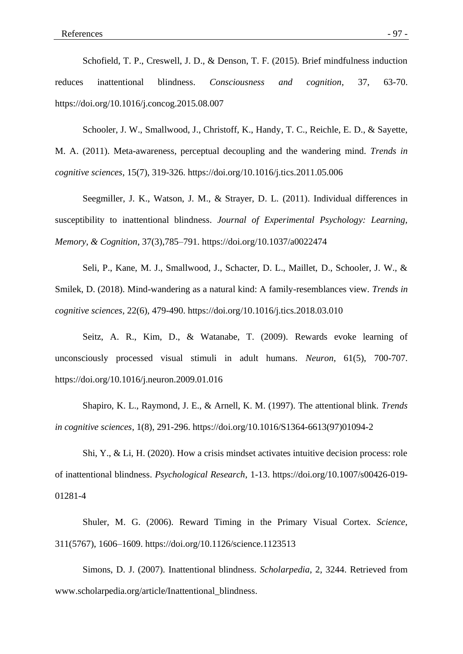Schofield, T. P., Creswell, J. D., & Denson, T. F. (2015). Brief mindfulness induction reduces inattentional blindness. *Consciousness and cognition*, 37, 63-70. https://doi.org/10.1016/j.concog.2015.08.007

Schooler, J. W., Smallwood, J., Christoff, K., Handy, T. C., Reichle, E. D., & Sayette, M. A. (2011). Meta-awareness, perceptual decoupling and the wandering mind. *Trends in cognitive sciences*, 15(7), 319-326. https://doi.org/10.1016/j.tics.2011.05.006

Seegmiller, J. K., Watson, J. M., & Strayer, D. L. (2011). Individual differences in susceptibility to inattentional blindness. *Journal of Experimental Psychology: Learning, Memory, & Cognition*, 37(3),785–791. https://doi.org/10.1037/a0022474

Seli, P., Kane, M. J., Smallwood, J., Schacter, D. L., Maillet, D., Schooler, J. W., & Smilek, D. (2018). Mind-wandering as a natural kind: A family-resemblances view. *Trends in cognitive sciences*, 22(6), 479-490. https://doi.org/10.1016/j.tics.2018.03.010

Seitz, A. R., Kim, D., & Watanabe, T. (2009). Rewards evoke learning of unconsciously processed visual stimuli in adult humans. *Neuron*, 61(5), 700-707. https://doi.org/10.1016/j.neuron.2009.01.016

Shapiro, K. L., Raymond, J. E., & Arnell, K. M. (1997). The attentional blink. *Trends in cognitive sciences*, 1(8), 291-296. https://doi.org/10.1016/S1364-6613(97)01094-2

Shi, Y., & Li, H. (2020). How a crisis mindset activates intuitive decision process: role of inattentional blindness. *Psychological Research*, 1-13. https://doi.org/10.1007/s00426-019- 01281-4

Shuler, M. G. (2006). Reward Timing in the Primary Visual Cortex. *Science*, 311(5767), 1606–1609. https://doi.org/10.1126/science.1123513

Simons, D. J. (2007). Inattentional blindness. *Scholarpedia*, 2, 3244. Retrieved from www.scholarpedia.org/article/Inattentional\_blindness.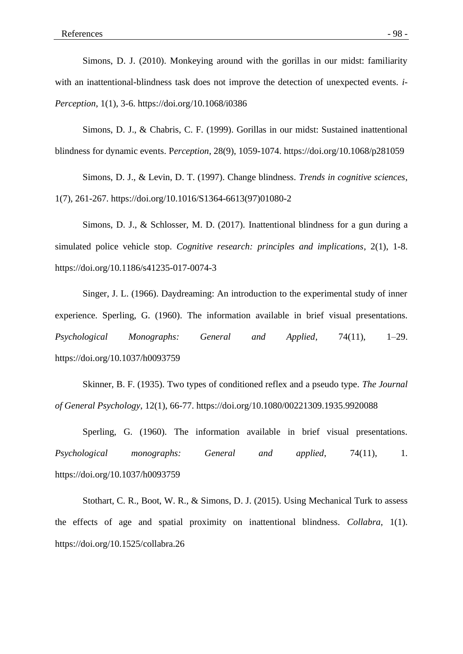Simons, D. J. (2010). Monkeying around with the gorillas in our midst: familiarity with an inattentional-blindness task does not improve the detection of unexpected events. *i-Perception*, 1(1), 3-6. https://doi.org/10.1068/i0386

Simons, D. J., & Chabris, C. F. (1999). Gorillas in our midst: Sustained inattentional blindness for dynamic events. P*erception*, 28(9), 1059-1074. https://doi.org/10.1068/p281059

Simons, D. J., & Levin, D. T. (1997). Change blindness. *Trends in cognitive sciences*, 1(7), 261-267. https://doi.org/10.1016/S1364-6613(97)01080-2

Simons, D. J., & Schlosser, M. D. (2017). Inattentional blindness for a gun during a simulated police vehicle stop. *Cognitive research: principles and implications*, 2(1), 1-8. https://doi.org/10.1186/s41235-017-0074-3

Singer, J. L. (1966). Daydreaming: An introduction to the experimental study of inner experience. Sperling, G. (1960). The information available in brief visual presentations. *Psychological Monographs: General and Applied*, 74(11), 1–29. https://doi.org/10.1037/h0093759

Skinner, B. F. (1935). Two types of conditioned reflex and a pseudo type. *The Journal of General Psychology*, 12(1), 66-77. https://doi.org/10.1080/00221309.1935.9920088

Sperling, G. (1960). The information available in brief visual presentations. *Psychological monographs: General and applied*, 74(11), 1. https://doi.org/10.1037/h0093759

Stothart, C. R., Boot, W. R., & Simons, D. J. (2015). Using Mechanical Turk to assess the effects of age and spatial proximity on inattentional blindness. *Collabra*, 1(1). https://doi.org/10.1525/collabra.26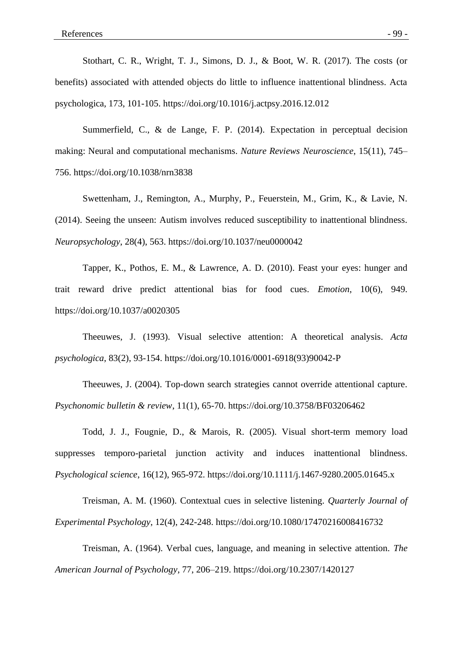Stothart, C. R., Wright, T. J., Simons, D. J., & Boot, W. R. (2017). The costs (or benefits) associated with attended objects do little to influence inattentional blindness. Acta psychologica, 173, 101-105. https://doi.org/10.1016/j.actpsy.2016.12.012

Summerfield, C., & de Lange, F. P. (2014). Expectation in perceptual decision making: Neural and computational mechanisms. *Nature Reviews Neuroscience*, 15(11), 745– 756. https://doi.org/10.1038/nrn3838

Swettenham, J., Remington, A., Murphy, P., Feuerstein, M., Grim, K., & Lavie, N. (2014). Seeing the unseen: Autism involves reduced susceptibility to inattentional blindness. *Neuropsychology*, 28(4), 563. https://doi.org/10.1037/neu0000042

Tapper, K., Pothos, E. M., & Lawrence, A. D. (2010). Feast your eyes: hunger and trait reward drive predict attentional bias for food cues. *Emotion*, 10(6), 949. https://doi.org/10.1037/a0020305

Theeuwes, J. (1993). Visual selective attention: A theoretical analysis. *Acta psychologica*, 83(2), 93-154. https://doi.org/10.1016/0001-6918(93)90042-P

Theeuwes, J. (2004). Top-down search strategies cannot override attentional capture*. Psychonomic bulletin & review*, 11(1), 65-70. https://doi.org/10.3758/BF03206462

Todd, J. J., Fougnie, D., & Marois, R. (2005). Visual short-term memory load suppresses temporo-parietal junction activity and induces inattentional blindness. *Psychological science*, 16(12), 965-972. https://doi.org/10.1111/j.1467-9280.2005.01645.x

Treisman, A. M. (1960). Contextual cues in selective listening. *Quarterly Journal of Experimental Psychology*, 12(4), 242-248. https://doi.org/10.1080/17470216008416732

Treisman, A. (1964). Verbal cues, language, and meaning in selective attention. *The American Journal of Psychology*, 77, 206–219. https://doi.org/10.2307/1420127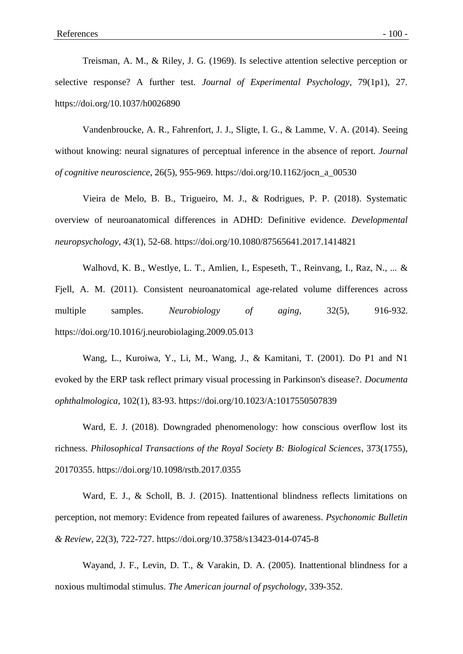Treisman, A. M., & Riley, J. G. (1969). Is selective attention selective perception or selective response? A further test. *Journal of Experimental Psychology*, 79(1p1), 27. https://doi.org/10.1037/h0026890

Vandenbroucke, A. R., Fahrenfort, J. J., Sligte, I. G., & Lamme, V. A. (2014). Seeing without knowing: neural signatures of perceptual inference in the absence of report. *Journal of cognitive neuroscience*, 26(5), 955-969. https://doi.org/10.1162/jocn\_a\_00530

Vieira de Melo, B. B., Trigueiro, M. J., & Rodrigues, P. P. (2018). Systematic overview of neuroanatomical differences in ADHD: Definitive evidence. *Developmental neuropsychology*, *43*(1), 52-68. https://doi.org/10.1080/87565641.2017.1414821

Walhovd, K. B., Westlye, L. T., Amlien, I., Espeseth, T., Reinvang, I., Raz, N., ... & Fjell, A. M. (2011). Consistent neuroanatomical age-related volume differences across multiple samples. *Neurobiology of aging*, 32(5), 916-932. https://doi.org/10.1016/j.neurobiolaging.2009.05.013

Wang, L., Kuroiwa, Y., Li, M., Wang, J., & Kamitani, T. (2001). Do P1 and N1 evoked by the ERP task reflect primary visual processing in Parkinson's disease?. *Documenta ophthalmologica*, 102(1), 83-93. https://doi.org/10.1023/A:1017550507839

Ward, E. J. (2018). Downgraded phenomenology: how conscious overflow lost its richness. *Philosophical Transactions of the Royal Society B: Biological Sciences*, 373(1755), 20170355. https://doi.org/10.1098/rstb.2017.0355

Ward, E. J., & Scholl, B. J. (2015). Inattentional blindness reflects limitations on perception, not memory: Evidence from repeated failures of awareness. *Psychonomic Bulletin & Review*, 22(3), 722-727. https://doi.org/10.3758/s13423-014-0745-8

Wayand, J. F., Levin, D. T., & Varakin, D. A. (2005). Inattentional blindness for a noxious multimodal stimulus. *The American journal of psychology*, 339-352.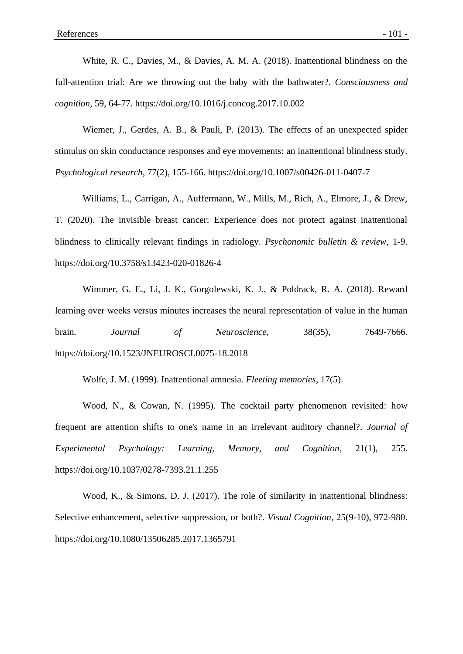White, R. C., Davies, M., & Davies, A. M. A. (2018). Inattentional blindness on the full-attention trial: Are we throwing out the baby with the bathwater?. *Consciousness and cognition*, 59, 64-77. https://doi.org/10.1016/j.concog.2017.10.002

Wiemer, J., Gerdes, A. B., & Pauli, P. (2013). The effects of an unexpected spider stimulus on skin conductance responses and eye movements: an inattentional blindness study. *Psychological research*, 77(2), 155-166. https://doi.org/10.1007/s00426-011-0407-7

Williams, L., Carrigan, A., Auffermann, W., Mills, M., Rich, A., Elmore, J., & Drew, T. (2020). The invisible breast cancer: Experience does not protect against inattentional blindness to clinically relevant findings in radiology. *Psychonomic bulletin & review*, 1-9. https://doi.org/10.3758/s13423-020-01826-4

Wimmer, G. E., Li, J. K., Gorgolewski, K. J., & Poldrack, R. A. (2018). Reward learning over weeks versus minutes increases the neural representation of value in the human brain. *Journal of Neuroscience*, 38(35), 7649-7666. https://doi.org/10.1523/JNEUROSCI.0075-18.2018

Wolfe, J. M. (1999). Inattentional amnesia. *Fleeting memories*, 17(5).

Wood, N., & Cowan, N. (1995). The cocktail party phenomenon revisited: how frequent are attention shifts to one's name in an irrelevant auditory channel?. *Journal of Experimental Psychology: Learning, Memory, and Cognition*, 21(1), 255. https://doi.org/10.1037/0278-7393.21.1.255

Wood, K., & Simons, D. J. (2017). The role of similarity in inattentional blindness: Selective enhancement, selective suppression, or both?. *Visual Cognition*, 25(9-10), 972-980. https://doi.org/10.1080/13506285.2017.1365791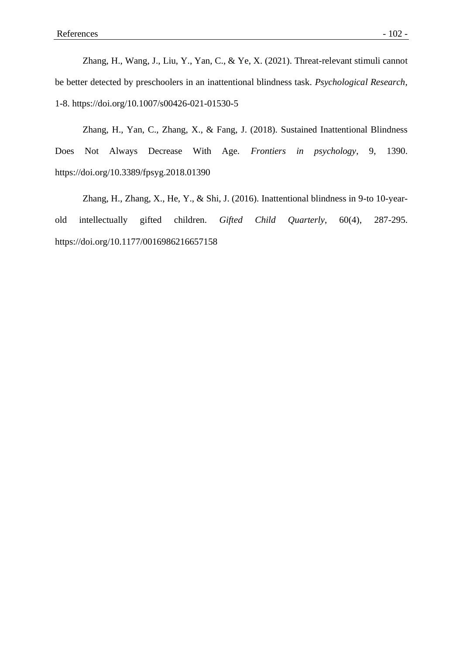Zhang, H., Wang, J., Liu, Y., Yan, C., & Ye, X. (2021). Threat-relevant stimuli cannot be better detected by preschoolers in an inattentional blindness task. *Psychological Research*, 1-8. https://doi.org/10.1007/s00426-021-01530-5

Zhang, H., Yan, C., Zhang, X., & Fang, J. (2018). Sustained Inattentional Blindness Does Not Always Decrease With Age. *Frontiers in psychology*, 9, 1390. https://doi.org/10.3389/fpsyg.2018.01390

Zhang, H., Zhang, X., He, Y., & Shi, J. (2016). Inattentional blindness in 9-to 10-yearold intellectually gifted children. *Gifted Child Quarterly*, 60(4), 287-295. https://doi.org/10.1177/0016986216657158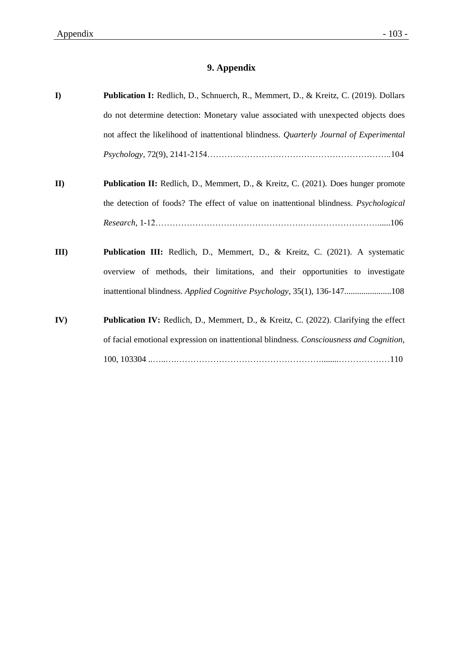# **9. Appendix**

| $\mathbf{I}$ | Publication I: Redlich, D., Schnuerch, R., Memmert, D., & Kreitz, C. (2019). Dollars                                                                                               |
|--------------|------------------------------------------------------------------------------------------------------------------------------------------------------------------------------------|
|              | do not determine detection: Monetary value associated with unexpected objects does                                                                                                 |
|              | not affect the likelihood of inattentional blindness. Quarterly Journal of Experimental                                                                                            |
|              | $Psychology, 72(9), 2141-2154$                                                                                                                                                     |
| $II$         | <b>Publication II:</b> Redlich, D., Memmert, D., & Kreitz, C. (2021). Does hunger promote<br>the detection of foods? The effect of value on inattentional blindness. Psychological |
|              |                                                                                                                                                                                    |
| III          | Publication III: Redlich, D., Memmert, D., & Kreitz, C. (2021). A systematic<br>overview of methods, their limitations, and their opportunities to investigate                     |
| IV)          | Publication IV: Redlich, D., Memmert, D., & Kreitz, C. (2022). Clarifying the effect<br>of facial emotional expression on inattentional blindness. Consciousness and Cognition,    |
|              |                                                                                                                                                                                    |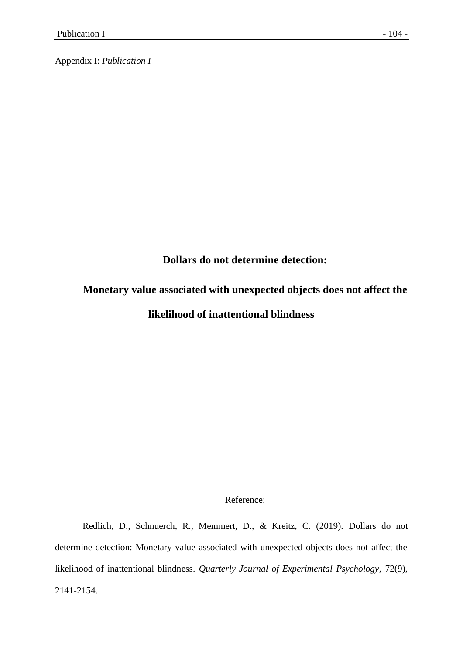Appendix I: *Publication I*

**Dollars do not determine detection:** 

# **Monetary value associated with unexpected objects does not affect the likelihood of inattentional blindness**

### Reference:

Redlich, D., Schnuerch, R., Memmert, D., & Kreitz, C. (2019). Dollars do not determine detection: Monetary value associated with unexpected objects does not affect the likelihood of inattentional blindness. *Quarterly Journal of Experimental Psychology*, 72(9), 2141-2154.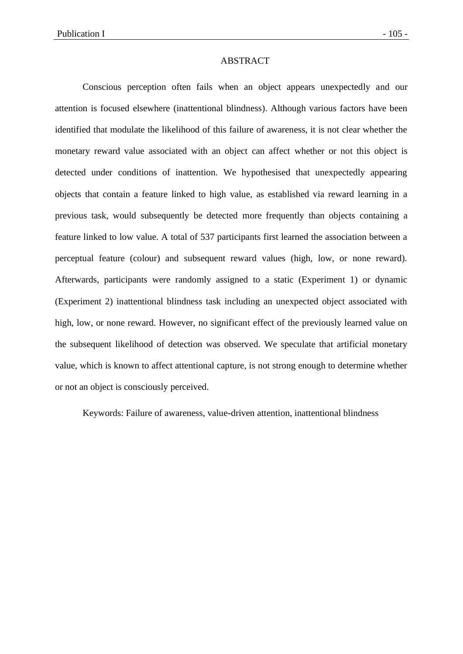#### ABSTRACT

Conscious perception often fails when an object appears unexpectedly and our attention is focused elsewhere (inattentional blindness). Although various factors have been identified that modulate the likelihood of this failure of awareness, it is not clear whether the monetary reward value associated with an object can affect whether or not this object is detected under conditions of inattention. We hypothesised that unexpectedly appearing objects that contain a feature linked to high value, as established via reward learning in a previous task, would subsequently be detected more frequently than objects containing a feature linked to low value. A total of 537 participants first learned the association between a perceptual feature (colour) and subsequent reward values (high, low, or none reward). Afterwards, participants were randomly assigned to a static (Experiment 1) or dynamic (Experiment 2) inattentional blindness task including an unexpected object associated with high, low, or none reward. However, no significant effect of the previously learned value on the subsequent likelihood of detection was observed. We speculate that artificial monetary value, which is known to affect attentional capture, is not strong enough to determine whether or not an object is consciously perceived.

Keywords: Failure of awareness, value-driven attention, inattentional blindness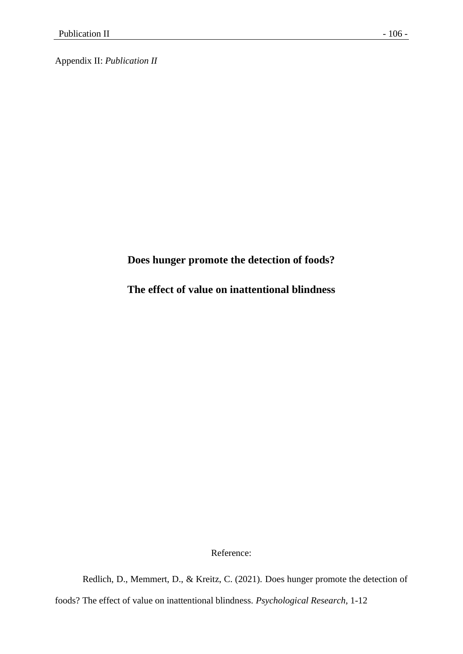Appendix II: *Publication II*

# **Does hunger promote the detection of foods?**

**The effect of value on inattentional blindness**

Reference:

Redlich, D., Memmert, D., & Kreitz, C. (2021). Does hunger promote the detection of

foods? The effect of value on inattentional blindness. *Psychological Research*, 1-12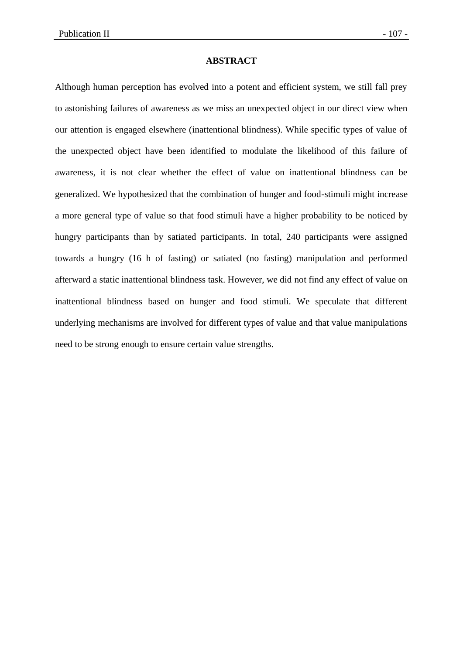### **ABSTRACT**

Although human perception has evolved into a potent and efficient system, we still fall prey to astonishing failures of awareness as we miss an unexpected object in our direct view when our attention is engaged elsewhere (inattentional blindness). While specific types of value of the unexpected object have been identified to modulate the likelihood of this failure of awareness, it is not clear whether the effect of value on inattentional blindness can be generalized. We hypothesized that the combination of hunger and food-stimuli might increase a more general type of value so that food stimuli have a higher probability to be noticed by hungry participants than by satiated participants. In total, 240 participants were assigned towards a hungry (16 h of fasting) or satiated (no fasting) manipulation and performed afterward a static inattentional blindness task. However, we did not find any effect of value on inattentional blindness based on hunger and food stimuli. We speculate that different underlying mechanisms are involved for different types of value and that value manipulations need to be strong enough to ensure certain value strengths.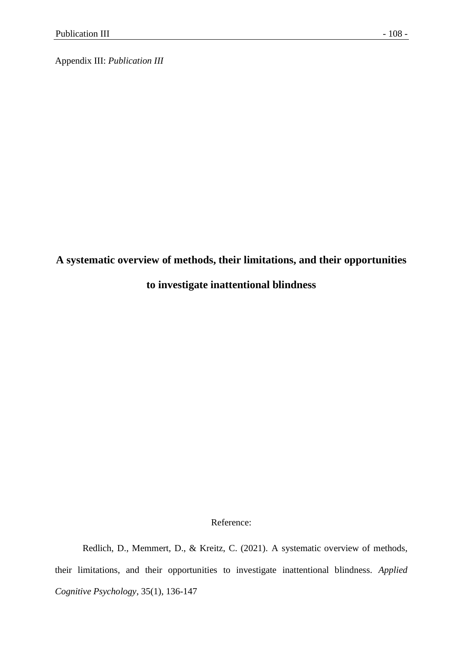Appendix III: *Publication III*

### **A systematic overview of methods, their limitations, and their opportunities**

### **to investigate inattentional blindness**

### Reference:

Redlich, D., Memmert, D., & Kreitz, C. (2021). A systematic overview of methods, their limitations, and their opportunities to investigate inattentional blindness. *Applied Cognitive Psychology*, 35(1), 136-147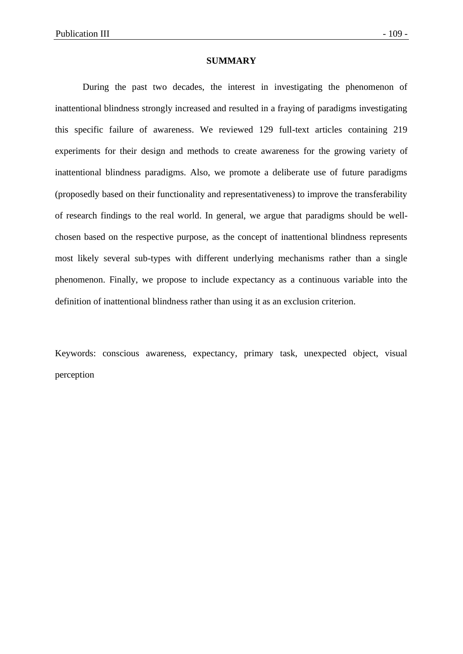#### **SUMMARY**

During the past two decades, the interest in investigating the phenomenon of inattentional blindness strongly increased and resulted in a fraying of paradigms investigating this specific failure of awareness. We reviewed 129 full-text articles containing 219 experiments for their design and methods to create awareness for the growing variety of inattentional blindness paradigms. Also, we promote a deliberate use of future paradigms (proposedly based on their functionality and representativeness) to improve the transferability of research findings to the real world. In general, we argue that paradigms should be wellchosen based on the respective purpose, as the concept of inattentional blindness represents most likely several sub-types with different underlying mechanisms rather than a single phenomenon. Finally, we propose to include expectancy as a continuous variable into the definition of inattentional blindness rather than using it as an exclusion criterion.

Keywords: conscious awareness, expectancy, primary task, unexpected object, visual perception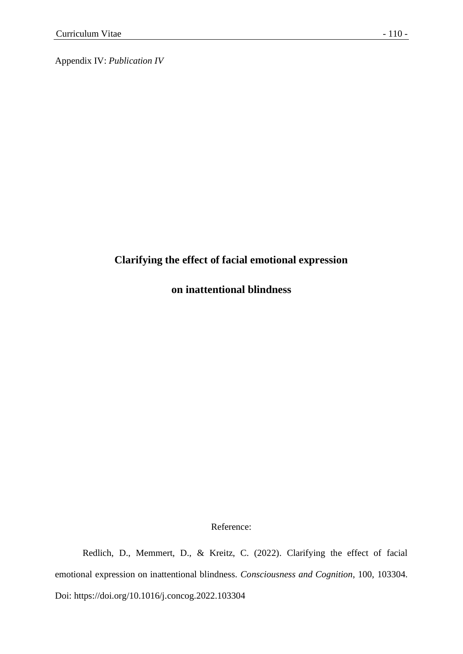Appendix IV: *Publication IV*

# **Clarifying the effect of facial emotional expression**

**on inattentional blindness**

Reference:

Redlich, D., Memmert, D., & Kreitz, C. (2022). Clarifying the effect of facial emotional expression on inattentional blindness. *Consciousness and Cognition*, 100, 103304. Doi: https://doi.org/10.1016/j.concog.2022.103304